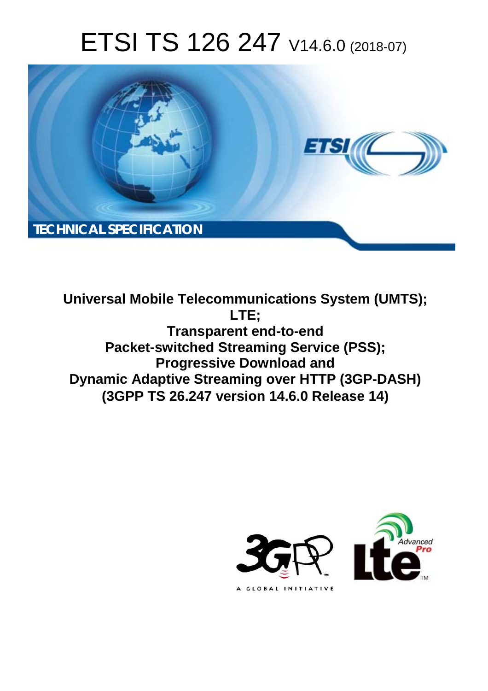# ETSI TS 126 247 V14.6.0 (2018-07)



**Universal Mobile Telecommunications System (UMTS); LTE; Transparent end-to-end Packet-switched Streaming Service (PSS); Progressive Download and Dynamic Adaptive Streaming over HTTP (3GP-DASH) (3GPP TS 26.247 version 14.6.0 Release 14)** 

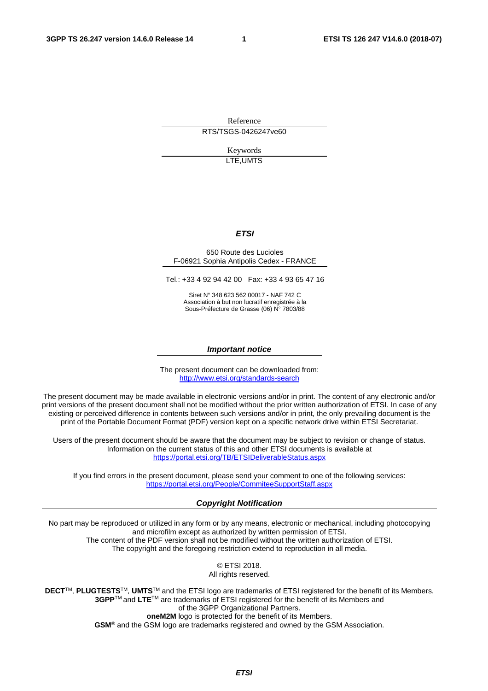Reference RTS/TSGS-0426247ve60

> Keywords LTE,UMTS

#### *ETSI*

#### 650 Route des Lucioles F-06921 Sophia Antipolis Cedex - FRANCE

Tel.: +33 4 92 94 42 00 Fax: +33 4 93 65 47 16

Siret N° 348 623 562 00017 - NAF 742 C Association à but non lucratif enregistrée à la Sous-Préfecture de Grasse (06) N° 7803/88

#### *Important notice*

The present document can be downloaded from: <http://www.etsi.org/standards-search>

The present document may be made available in electronic versions and/or in print. The content of any electronic and/or print versions of the present document shall not be modified without the prior written authorization of ETSI. In case of any existing or perceived difference in contents between such versions and/or in print, the only prevailing document is the print of the Portable Document Format (PDF) version kept on a specific network drive within ETSI Secretariat.

Users of the present document should be aware that the document may be subject to revision or change of status. Information on the current status of this and other ETSI documents is available at <https://portal.etsi.org/TB/ETSIDeliverableStatus.aspx>

If you find errors in the present document, please send your comment to one of the following services: <https://portal.etsi.org/People/CommiteeSupportStaff.aspx>

#### *Copyright Notification*

No part may be reproduced or utilized in any form or by any means, electronic or mechanical, including photocopying and microfilm except as authorized by written permission of ETSI. The content of the PDF version shall not be modified without the written authorization of ETSI. The copyright and the foregoing restriction extend to reproduction in all media.

> © ETSI 2018. All rights reserved.

**DECT**TM, **PLUGTESTS**TM, **UMTS**TM and the ETSI logo are trademarks of ETSI registered for the benefit of its Members. **3GPP**TM and **LTE**TM are trademarks of ETSI registered for the benefit of its Members and of the 3GPP Organizational Partners. **oneM2M** logo is protected for the benefit of its Members.

**GSM**® and the GSM logo are trademarks registered and owned by the GSM Association.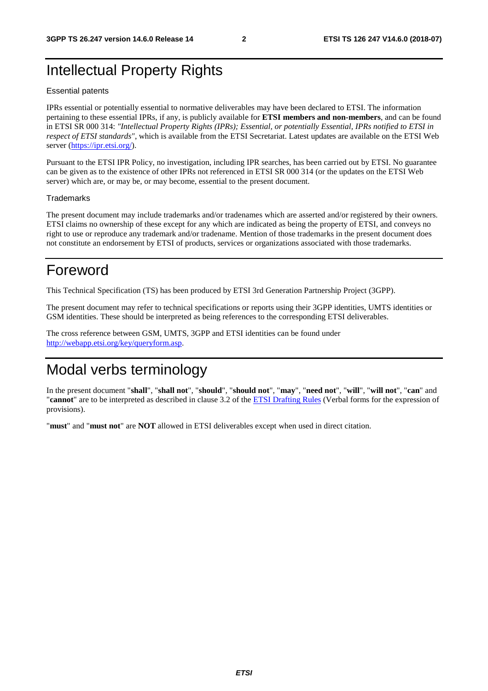## Intellectual Property Rights

#### Essential patents

IPRs essential or potentially essential to normative deliverables may have been declared to ETSI. The information pertaining to these essential IPRs, if any, is publicly available for **ETSI members and non-members**, and can be found in ETSI SR 000 314: *"Intellectual Property Rights (IPRs); Essential, or potentially Essential, IPRs notified to ETSI in respect of ETSI standards"*, which is available from the ETSI Secretariat. Latest updates are available on the ETSI Web server ([https://ipr.etsi.org/\)](https://ipr.etsi.org/).

Pursuant to the ETSI IPR Policy, no investigation, including IPR searches, has been carried out by ETSI. No guarantee can be given as to the existence of other IPRs not referenced in ETSI SR 000 314 (or the updates on the ETSI Web server) which are, or may be, or may become, essential to the present document.

#### **Trademarks**

The present document may include trademarks and/or tradenames which are asserted and/or registered by their owners. ETSI claims no ownership of these except for any which are indicated as being the property of ETSI, and conveys no right to use or reproduce any trademark and/or tradename. Mention of those trademarks in the present document does not constitute an endorsement by ETSI of products, services or organizations associated with those trademarks.

## Foreword

This Technical Specification (TS) has been produced by ETSI 3rd Generation Partnership Project (3GPP).

The present document may refer to technical specifications or reports using their 3GPP identities, UMTS identities or GSM identities. These should be interpreted as being references to the corresponding ETSI deliverables.

The cross reference between GSM, UMTS, 3GPP and ETSI identities can be found under [http://webapp.etsi.org/key/queryform.asp.](http://webapp.etsi.org/key/queryform.asp)

## Modal verbs terminology

In the present document "**shall**", "**shall not**", "**should**", "**should not**", "**may**", "**need not**", "**will**", "**will not**", "**can**" and "**cannot**" are to be interpreted as described in clause 3.2 of the [ETSI Drafting Rules](https://portal.etsi.org/Services/editHelp!/Howtostart/ETSIDraftingRules.aspx) (Verbal forms for the expression of provisions).

"**must**" and "**must not**" are **NOT** allowed in ETSI deliverables except when used in direct citation.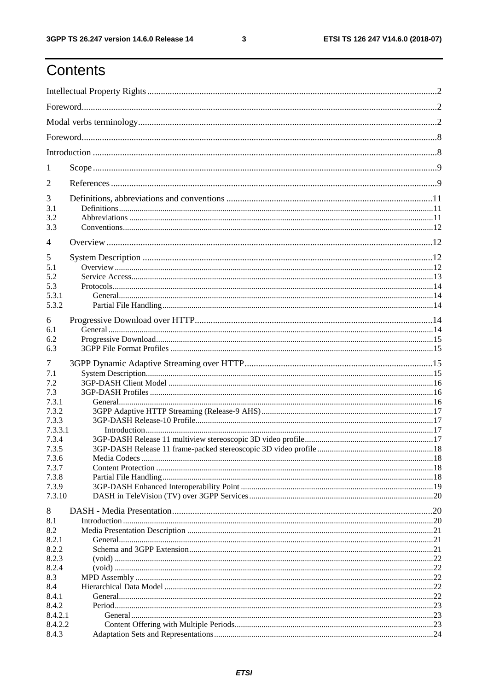## Contents

| 1               |  |  |  |
|-----------------|--|--|--|
| 2               |  |  |  |
| 3               |  |  |  |
| 3.1             |  |  |  |
| 3.2             |  |  |  |
| 3.3             |  |  |  |
| 4               |  |  |  |
| 5               |  |  |  |
| 5.1             |  |  |  |
| 5.2             |  |  |  |
| 5.3             |  |  |  |
| 5.3.1           |  |  |  |
| 5.3.2           |  |  |  |
| 6               |  |  |  |
| 6.1             |  |  |  |
| 6.2             |  |  |  |
| 6.3             |  |  |  |
|                 |  |  |  |
| 7               |  |  |  |
| 7.1             |  |  |  |
| 7.2             |  |  |  |
| 7.3             |  |  |  |
| 7.3.1           |  |  |  |
| 7.3.2           |  |  |  |
| 7.3.3           |  |  |  |
| 7.3.3.1         |  |  |  |
| 7.3.4           |  |  |  |
| 7.3.5           |  |  |  |
| 7.3.6           |  |  |  |
| 7.3.7           |  |  |  |
| 7.3.8           |  |  |  |
| 7.3.9<br>7.3.10 |  |  |  |
|                 |  |  |  |
| 8               |  |  |  |
| 8.1             |  |  |  |
| 8.2             |  |  |  |
| 8.2.1<br>8.2.2  |  |  |  |
| 8.2.3           |  |  |  |
| 8.2.4           |  |  |  |
| 8.3             |  |  |  |
| 8.4             |  |  |  |
| 8.4.1           |  |  |  |
| 8.4.2           |  |  |  |
| 8.4.2.1         |  |  |  |
| 8.4.2.2         |  |  |  |
| 8.4.3           |  |  |  |
|                 |  |  |  |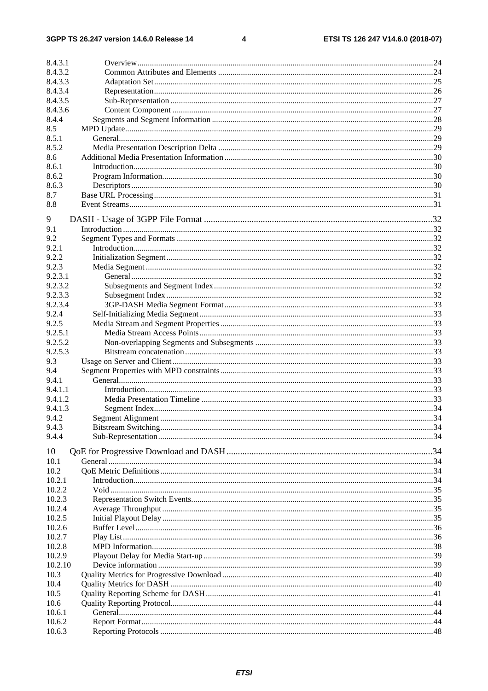$\overline{\mathbf{4}}$ 

| 8.4.3.1 |  |
|---------|--|
| 8.4.3.2 |  |
| 8.4.3.3 |  |
| 8.4.3.4 |  |
| 8.4.3.5 |  |
| 8.4.3.6 |  |
| 8.4.4   |  |
| 8.5     |  |
| 8.5.1   |  |
| 8.5.2   |  |
| 8.6     |  |
| 8.6.1   |  |
| 8.6.2   |  |
| 8.6.3   |  |
| 8.7     |  |
| 8.8     |  |
|         |  |
| 9       |  |
| 9.1     |  |
| 9.2     |  |
| 9.2.1   |  |
| 9.2.2   |  |
| 9.2.3   |  |
| 9.2.3.1 |  |
| 9.2.3.2 |  |
| 9.2.3.3 |  |
| 9.2.3.4 |  |
| 9.2.4   |  |
| 9.2.5   |  |
| 9.2.5.1 |  |
| 9.2.5.2 |  |
| 9.2.5.3 |  |
|         |  |
| 9.3     |  |
| 9.4     |  |
| 9.4.1   |  |
| 9.4.1.1 |  |
| 9.4.1.2 |  |
| 9.4.1.3 |  |
| 9.4.2   |  |
| 9.4.3   |  |
| 9.4.4   |  |
| 10      |  |
| 10.1    |  |
| 10.2    |  |
| 10.2.1  |  |
| 10.2.2  |  |
|         |  |
| 10.2.3  |  |
| 10.2.4  |  |
| 10.2.5  |  |
| 10.2.6  |  |
| 10.2.7  |  |
| 10.2.8  |  |
| 10.2.9  |  |
| 10.2.10 |  |
| 10.3    |  |
| 10.4    |  |
| 10.5    |  |
| 10.6    |  |
| 10.6.1  |  |
| 10.6.2  |  |
| 10.6.3  |  |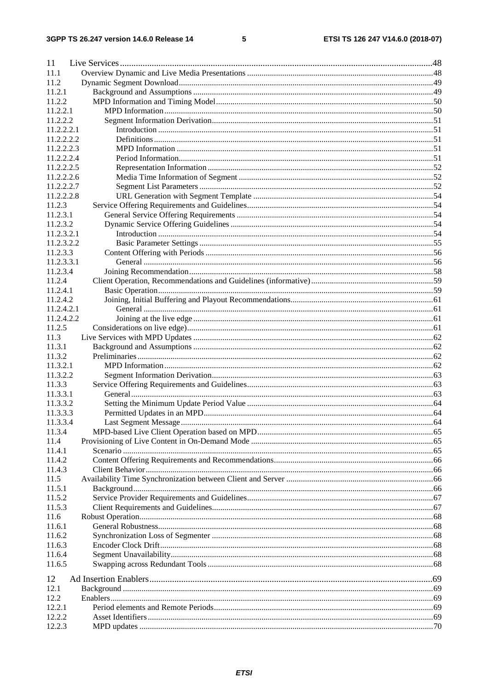#### $5\phantom{a}$

| 11                   |                      |    |
|----------------------|----------------------|----|
| 11.1                 |                      |    |
| 11.2                 |                      |    |
| 11.2.1               |                      |    |
| 11.2.2               |                      |    |
| 11.2.2.1             |                      |    |
| 11.2.2.2             |                      |    |
| 11.2.2.2.1           |                      |    |
| 11.2.2.2.2           |                      |    |
| 11.2.2.2.3           |                      |    |
| 11.2.2.2.4           |                      |    |
| 11.2.2.2.5           |                      |    |
| 11.2.2.2.6           |                      |    |
| 11.2.2.2.7           |                      |    |
| 11.2.2.2.8           |                      |    |
| 11.2.3               |                      |    |
| 11.2.3.1             |                      |    |
| 11.2.3.2             |                      |    |
| 11.2.3.2.1           |                      |    |
| 11.2.3.2.2           |                      |    |
| 11.2.3.3             |                      |    |
| 11.2.3.3.1           |                      |    |
| 11.2.3.4             |                      |    |
| 11.2.4               |                      |    |
| 11.2.4.1             |                      |    |
| 11.2.4.2             |                      |    |
| 11.2.4.2.1           |                      |    |
| 11.2.4.2.2           |                      |    |
| 11.2.5               |                      |    |
| 11.3                 |                      |    |
| 11.3.1               |                      |    |
| 11.3.2               |                      |    |
| 11.3.2.1<br>11.3.2.2 |                      |    |
| 11.3.3               |                      |    |
| 11.3.3.1             |                      |    |
| 11.3.3.2             |                      |    |
| 11.3.3.3             |                      |    |
| 11.3.3.4             | Last Segment Message | 64 |
| 11.3.4               |                      |    |
| 11.4                 |                      |    |
| 11.4.1               |                      |    |
| 11.4.2               |                      |    |
| 11.4.3               |                      |    |
| 11.5                 |                      |    |
| 11.5.1               |                      |    |
| 11.5.2               |                      |    |
| 11.5.3               |                      |    |
| 11.6                 |                      |    |
| 11.6.1               |                      |    |
| 11.6.2               |                      |    |
| 11.6.3               |                      |    |
| 11.6.4               |                      |    |
| 11.6.5               |                      |    |
| 12                   |                      |    |
| 12.1                 |                      |    |
| 12.2                 |                      |    |
| 12.2.1               |                      |    |
| 12.2.2               |                      |    |
| 12.2.3               |                      |    |
|                      |                      |    |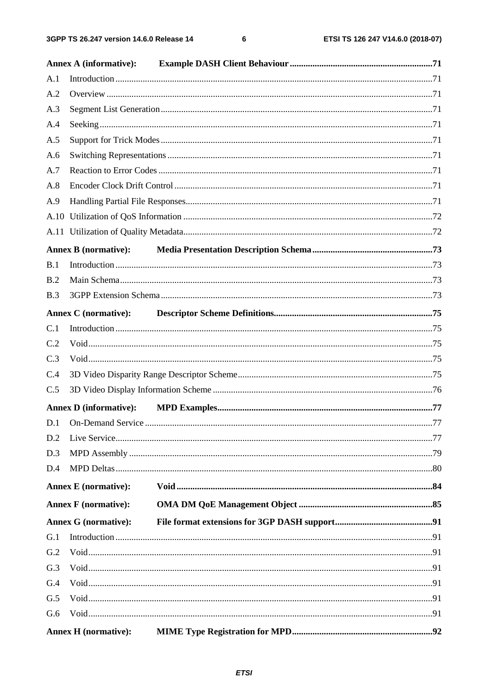$\bf 6$ 

|     | <b>Annex A (informative):</b> |  |  |  |  |
|-----|-------------------------------|--|--|--|--|
| A.1 |                               |  |  |  |  |
| A.2 |                               |  |  |  |  |
| A.3 |                               |  |  |  |  |
| A.4 |                               |  |  |  |  |
| A.5 |                               |  |  |  |  |
| A.6 |                               |  |  |  |  |
| A.7 |                               |  |  |  |  |
| A.8 |                               |  |  |  |  |
| A.9 |                               |  |  |  |  |
|     |                               |  |  |  |  |
|     |                               |  |  |  |  |
|     | <b>Annex B (normative):</b>   |  |  |  |  |
| B.1 |                               |  |  |  |  |
| B.2 |                               |  |  |  |  |
| B.3 |                               |  |  |  |  |
|     | Annex C (normative):          |  |  |  |  |
| C.1 |                               |  |  |  |  |
| C.2 |                               |  |  |  |  |
| C.3 |                               |  |  |  |  |
| C.4 |                               |  |  |  |  |
| C.5 |                               |  |  |  |  |
|     | <b>Annex D</b> (informative): |  |  |  |  |
|     |                               |  |  |  |  |
| D.2 |                               |  |  |  |  |
| D.3 |                               |  |  |  |  |
| D.4 |                               |  |  |  |  |
|     | <b>Annex E</b> (normative):   |  |  |  |  |
|     | <b>Annex F</b> (normative):   |  |  |  |  |
|     | <b>Annex G</b> (normative):   |  |  |  |  |
| G.1 |                               |  |  |  |  |
| G.2 |                               |  |  |  |  |
| G.3 |                               |  |  |  |  |
| G.4 |                               |  |  |  |  |
| G.5 |                               |  |  |  |  |
| G.6 |                               |  |  |  |  |
|     | <b>Annex H</b> (normative):   |  |  |  |  |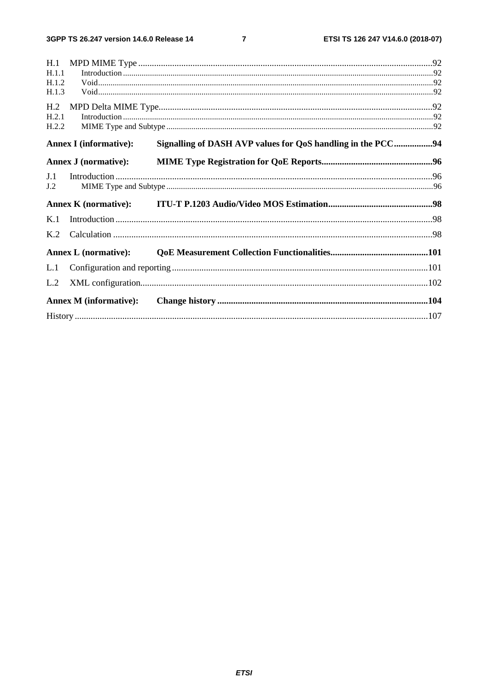$\overline{7}$ 

| H.1             |                               |                                                             |  |
|-----------------|-------------------------------|-------------------------------------------------------------|--|
| H.1.1           |                               |                                                             |  |
| H.1.2           |                               |                                                             |  |
| H.1.3           |                               |                                                             |  |
| H <sub>.2</sub> |                               |                                                             |  |
| H.2.1           |                               |                                                             |  |
| H.2.2           |                               |                                                             |  |
|                 | <b>Annex I</b> (informative): | Signalling of DASH AVP values for QoS handling in the PCC94 |  |
|                 | <b>Annex J</b> (normative):   |                                                             |  |
| J.1             |                               |                                                             |  |
| J.2             |                               |                                                             |  |
|                 | <b>Annex K</b> (normative):   |                                                             |  |
| K.1             |                               |                                                             |  |
| K <sub>2</sub>  |                               |                                                             |  |
|                 | <b>Annex L</b> (normative):   |                                                             |  |
| L.1             |                               |                                                             |  |
| L.2             |                               |                                                             |  |
|                 | <b>Annex M</b> (informative): |                                                             |  |
|                 |                               |                                                             |  |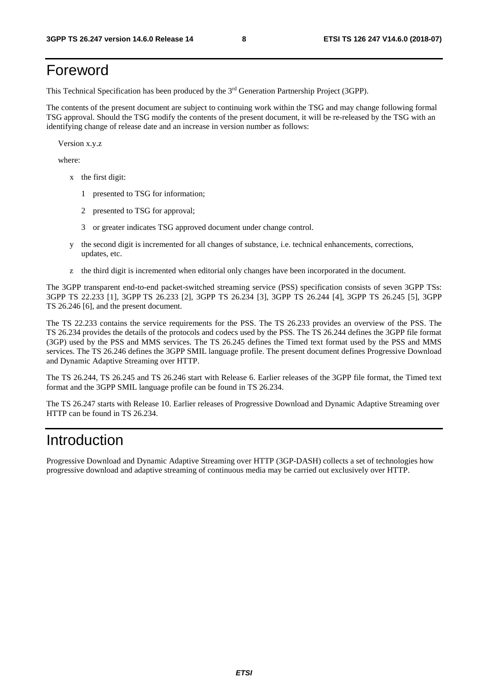## Foreword

This Technical Specification has been produced by the 3rd Generation Partnership Project (3GPP).

The contents of the present document are subject to continuing work within the TSG and may change following formal TSG approval. Should the TSG modify the contents of the present document, it will be re-released by the TSG with an identifying change of release date and an increase in version number as follows:

Version x.y.z

where:

- x the first digit:
	- 1 presented to TSG for information;
	- 2 presented to TSG for approval;
	- 3 or greater indicates TSG approved document under change control.
- y the second digit is incremented for all changes of substance, i.e. technical enhancements, corrections, updates, etc.
- z the third digit is incremented when editorial only changes have been incorporated in the document.

The 3GPP transparent end-to-end packet-switched streaming service (PSS) specification consists of seven 3GPP TSs: 3GPP TS 22.233 [1], 3GPP TS 26.233 [2], 3GPP TS 26.234 [3], 3GPP TS 26.244 [4], 3GPP TS 26.245 [5], 3GPP TS 26.246 [6], and the present document.

The TS 22.233 contains the service requirements for the PSS. The TS 26.233 provides an overview of the PSS. The TS 26.234 provides the details of the protocols and codecs used by the PSS. The TS 26.244 defines the 3GPP file format (3GP) used by the PSS and MMS services. The TS 26.245 defines the Timed text format used by the PSS and MMS services. The TS 26.246 defines the 3GPP SMIL language profile. The present document defines Progressive Download and Dynamic Adaptive Streaming over HTTP.

The TS 26.244, TS 26.245 and TS 26.246 start with Release 6. Earlier releases of the 3GPP file format, the Timed text format and the 3GPP SMIL language profile can be found in TS 26.234.

The TS 26.247 starts with Release 10. Earlier releases of Progressive Download and Dynamic Adaptive Streaming over HTTP can be found in TS 26.234.

## Introduction

Progressive Download and Dynamic Adaptive Streaming over HTTP (3GP-DASH) collects a set of technologies how progressive download and adaptive streaming of continuous media may be carried out exclusively over HTTP.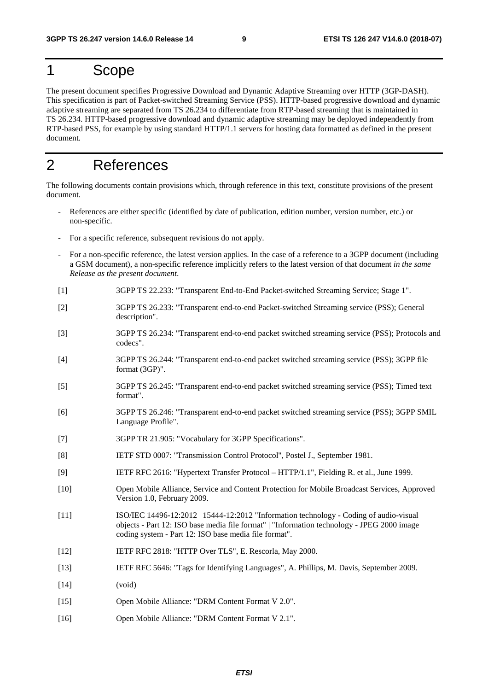## 1 Scope

The present document specifies Progressive Download and Dynamic Adaptive Streaming over HTTP (3GP-DASH). This specification is part of Packet-switched Streaming Service (PSS). HTTP-based progressive download and dynamic adaptive streaming are separated from TS 26.234 to differentiate from RTP-based streaming that is maintained in TS 26.234. HTTP-based progressive download and dynamic adaptive streaming may be deployed independently from RTP-based PSS, for example by using standard HTTP/1.1 servers for hosting data formatted as defined in the present document.

## 2 References

The following documents contain provisions which, through reference in this text, constitute provisions of the present document.

- References are either specific (identified by date of publication, edition number, version number, etc.) or non-specific.
- For a specific reference, subsequent revisions do not apply.
- For a non-specific reference, the latest version applies. In the case of a reference to a 3GPP document (including a GSM document), a non-specific reference implicitly refers to the latest version of that document *in the same Release as the present document*.
- [1] 3GPP TS 22.233: "Transparent End-to-End Packet-switched Streaming Service; Stage 1".
- [2] 3GPP TS 26.233: "Transparent end-to-end Packet-switched Streaming service (PSS); General description".
- [3] 3GPP TS 26.234: "Transparent end-to-end packet switched streaming service (PSS); Protocols and codecs".
- [4] 3GPP TS 26.244: "Transparent end-to-end packet switched streaming service (PSS); 3GPP file format (3GP)".
- [5] 3GPP TS 26.245: "Transparent end-to-end packet switched streaming service (PSS); Timed text format".
- [6] 3GPP TS 26.246: "Transparent end-to-end packet switched streaming service (PSS); 3GPP SMIL Language Profile".
- [7] 3GPP TR 21.905: "Vocabulary for 3GPP Specifications".
- [8] IETF STD 0007: "Transmission Control Protocol", Postel J., September 1981.
- [9] IETF RFC 2616: "Hypertext Transfer Protocol HTTP/1.1", Fielding R. et al., June 1999.
- [10] Open Mobile Alliance, Service and Content Protection for Mobile Broadcast Services, Approved Version 1.0, February 2009.
- [11] ISO/IEC 14496-12:2012 | 15444-12:2012 "Information technology Coding of audio-visual objects - Part 12: ISO base media file format" | "Information technology - JPEG 2000 image coding system - Part 12: ISO base media file format".
- [12] IETF RFC 2818: "HTTP Over TLS", E. Rescorla, May 2000.
- [13] IETF RFC 5646: "Tags for Identifying Languages", A. Phillips, M. Davis, September 2009.
- [14] (void)
- [15] Open Mobile Alliance: "DRM Content Format V 2.0".
- [16] Open Mobile Alliance: "DRM Content Format V 2.1".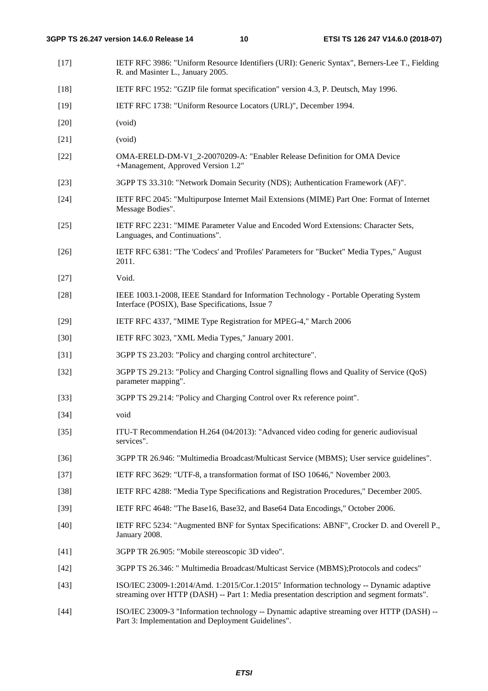[17] IETF RFC 3986: "Uniform Resource Identifiers (URI): Generic Syntax", Berners-Lee T., Fielding R. and Masinter L., January 2005. [18] IETF RFC 1952: "GZIP file format specification" version 4.3, P. Deutsch, May 1996. [19] IETF RFC 1738: "Uniform Resource Locators (URL)", December 1994. [20] (void) [21] (void) [22] OMA-ERELD-DM-V1\_2-20070209-A: "Enabler Release Definition for OMA Device +Management, Approved Version 1.2" [23] 3GPP TS 33.310: "Network Domain Security (NDS); Authentication Framework (AF)". [24] IETF RFC 2045: "Multipurpose Internet Mail Extensions (MIME) Part One: Format of Internet Message Bodies". [25] IETF RFC 2231: "MIME Parameter Value and Encoded Word Extensions: Character Sets, Languages, and Continuations". [26] IETF RFC 6381: "The 'Codecs' and 'Profiles' Parameters for "Bucket" Media Types," August 2011. [27] Void. [28] IEEE 1003.1-2008, IEEE Standard for Information Technology - Portable Operating System Interface (POSIX), Base Specifications, Issue 7 [29] IETF RFC 4337, "MIME Type Registration for MPEG-4," March 2006 [30] IETF RFC 3023, "XML Media Types," January 2001. [31] 3GPP TS 23.203: "Policy and charging control architecture". [32] 3GPP TS 29.213: "Policy and Charging Control signalling flows and Quality of Service (QoS) parameter mapping". [33] 3GPP TS 29.214: "Policy and Charging Control over Rx reference point". [34] void [35] ITU-T Recommendation H.264 (04/2013): "Advanced video coding for generic audiovisual services". [36] 3GPP TR 26.946: "Multimedia Broadcast/Multicast Service (MBMS); User service guidelines". [37] IETF RFC 3629: "UTF-8, a transformation format of ISO 10646," November 2003. [38] IETF RFC 4288: "Media Type Specifications and Registration Procedures," December 2005. [39] IETF RFC 4648: "The Base16, Base32, and Base64 Data Encodings," October 2006. [40] IETF RFC 5234: "Augmented BNF for Syntax Specifications: ABNF", Crocker D. and Overell P., January 2008. [41] 3GPP TR 26.905: "Mobile stereoscopic 3D video". [42] 3GPP TS 26.346: " Multimedia Broadcast/Multicast Service (MBMS);Protocols and codecs" [43] ISO/IEC 23009-1:2014/Amd. 1:2015/Cor.1:2015" Information technology -- Dynamic adaptive streaming over HTTP (DASH) -- Part 1: Media presentation description and segment formats". [44] ISO/IEC 23009-3 "Information technology -- Dynamic adaptive streaming over HTTP (DASH) -- Part 3: Implementation and Deployment Guidelines".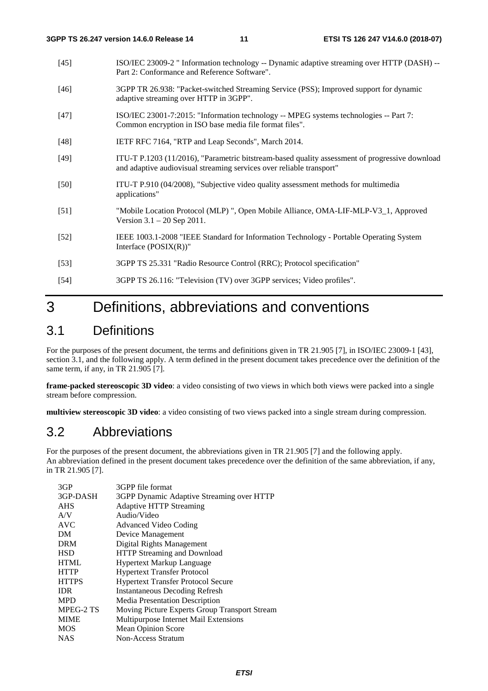- [45] ISO/IEC 23009-2 " Information technology -- Dynamic adaptive streaming over HTTP (DASH) -- Part 2: Conformance and Reference Software".
- [46] 3GPP TR 26.938: "Packet-switched Streaming Service (PSS); Improved support for dynamic adaptive streaming over HTTP in 3GPP".
- [47] ISO/IEC 23001-7:2015: "Information technology -- MPEG systems technologies -- Part 7: Common encryption in ISO base media file format files".
- [48] IETF RFC 7164, "RTP and Leap Seconds", March 2014.
- [49] ITU-T P.1203 (11/2016), "Parametric bitstream-based quality assessment of progressive download and adaptive audiovisual streaming services over reliable transport"
- [50] ITU-T P.910 (04/2008), "Subjective video quality assessment methods for multimedia applications"
- [51] "Mobile Location Protocol (MLP) ", Open Mobile Alliance, OMA-LIF-MLP-V3\_1, Approved Version 3.1 – 20 Sep 2011.
- [52] IEEE 1003.1-2008 "IEEE Standard for Information Technology Portable Operating System Interface (POSIX(R))"
- [53] 3GPP TS 25.331 "Radio Resource Control (RRC); Protocol specification"
- [54] 3GPP TS 26.116: "Television (TV) over 3GPP services; Video profiles".

## 3 Definitions, abbreviations and conventions

### 3.1 Definitions

For the purposes of the present document, the terms and definitions given in TR 21.905 [7], in ISO/IEC 23009-1 [43], section 3.1, and the following apply. A term defined in the present document takes precedence over the definition of the same term, if any, in TR 21.905 [7].

**frame-packed stereoscopic 3D video**: a video consisting of two views in which both views were packed into a single stream before compression.

**multiview stereoscopic 3D video**: a video consisting of two views packed into a single stream during compression.

### 3.2 Abbreviations

For the purposes of the present document, the abbreviations given in TR 21.905 [7] and the following apply. An abbreviation defined in the present document takes precedence over the definition of the same abbreviation, if any, in TR 21.905 [7].

| 3GP          | 3GPP file format                              |
|--------------|-----------------------------------------------|
| 3GP-DASH     | 3GPP Dynamic Adaptive Streaming over HTTP     |
| <b>AHS</b>   | <b>Adaptive HTTP Streaming</b>                |
| A/V          | Audio/Video                                   |
| <b>AVC</b>   | Advanced Video Coding                         |
| DМ           | Device Management                             |
| DRM          | Digital Rights Management                     |
| HSD          | HTTP Streaming and Download                   |
| HTML         | <b>Hypertext Markup Language</b>              |
| HTTP         | <b>Hypertext Transfer Protocol</b>            |
| <b>HTTPS</b> | <b>Hypertext Transfer Protocol Secure</b>     |
| IDR          | <b>Instantaneous Decoding Refresh</b>         |
| MPD          | Media Presentation Description                |
| MPEG-2 TS    | Moving Picture Experts Group Transport Stream |
| MIME         | Multipurpose Internet Mail Extensions         |
| MOS          | <b>Mean Opinion Score</b>                     |
| NAS          | Non-Access Stratum                            |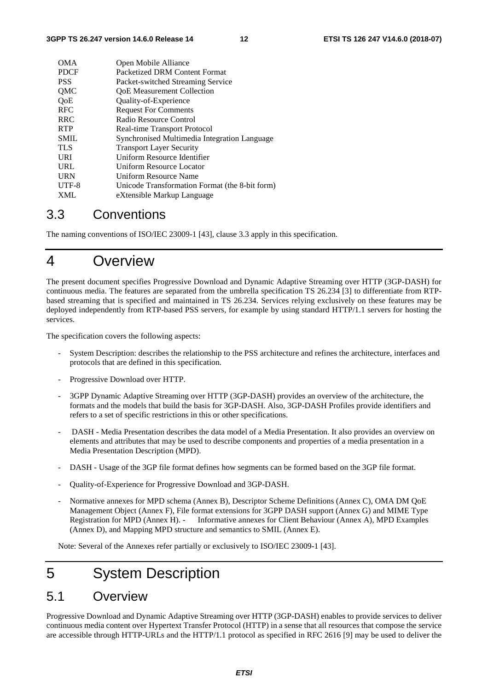| <b>OMA</b>  | Open Mobile Alliance                           |
|-------------|------------------------------------------------|
| <b>PDCF</b> | Packetized DRM Content Format                  |
| <b>PSS</b>  | Packet-switched Streaming Service              |
| <b>OMC</b>  | <b>QoE</b> Measurement Collection              |
| OoE         | Quality-of-Experience                          |
| <b>RFC</b>  | <b>Request For Comments</b>                    |
| <b>RRC</b>  | Radio Resource Control                         |
| <b>RTP</b>  | Real-time Transport Protocol                   |
| <b>SMIL</b> | Synchronised Multimedia Integration Language   |
| <b>TLS</b>  | <b>Transport Layer Security</b>                |
| URI         | Uniform Resource Identifier                    |
| <b>URL</b>  | Uniform Resource Locator                       |
| <b>URN</b>  | Uniform Resource Name                          |
| UTF-8       | Unicode Transformation Format (the 8-bit form) |
| <b>XML</b>  | eXtensible Markup Language                     |
|             |                                                |

## 3.3 Conventions

The naming conventions of ISO/IEC 23009-1 [43], clause 3.3 apply in this specification.

## 4 Overview

The present document specifies Progressive Download and Dynamic Adaptive Streaming over HTTP (3GP-DASH) for continuous media. The features are separated from the umbrella specification TS 26.234 [3] to differentiate from RTPbased streaming that is specified and maintained in TS 26.234. Services relying exclusively on these features may be deployed independently from RTP-based PSS servers, for example by using standard HTTP/1.1 servers for hosting the services.

The specification covers the following aspects:

- System Description: describes the relationship to the PSS architecture and refines the architecture, interfaces and protocols that are defined in this specification.
- Progressive Download over HTTP.
- 3GPP Dynamic Adaptive Streaming over HTTP (3GP-DASH) provides an overview of the architecture, the formats and the models that build the basis for 3GP-DASH. Also, 3GP-DASH Profiles provide identifiers and refers to a set of specific restrictions in this or other specifications.
- DASH Media Presentation describes the data model of a Media Presentation. It also provides an overview on elements and attributes that may be used to describe components and properties of a media presentation in a Media Presentation Description (MPD).
- DASH Usage of the 3GP file format defines how segments can be formed based on the 3GP file format.
- Quality-of-Experience for Progressive Download and 3GP-DASH.
- Normative annexes for MPD schema (Annex B), Descriptor Scheme Definitions (Annex C), OMA DM QoE Management Object (Annex F), File format extensions for 3GPP DASH support (Annex G) and MIME Type Registration for MPD (Annex H). - Informative annexes for Client Behaviour (Annex A), MPD Examples (Annex D), and Mapping MPD structure and semantics to SMIL (Annex E).

Note: Several of the Annexes refer partially or exclusively to ISO/IEC 23009-1 [43].

## 5 System Description

## 5.1 Overview

Progressive Download and Dynamic Adaptive Streaming over HTTP (3GP-DASH) enables to provide services to deliver continuous media content over Hypertext Transfer Protocol (HTTP) in a sense that all resources that compose the service are accessible through HTTP-URLs and the HTTP/1.1 protocol as specified in RFC 2616 [9] may be used to deliver the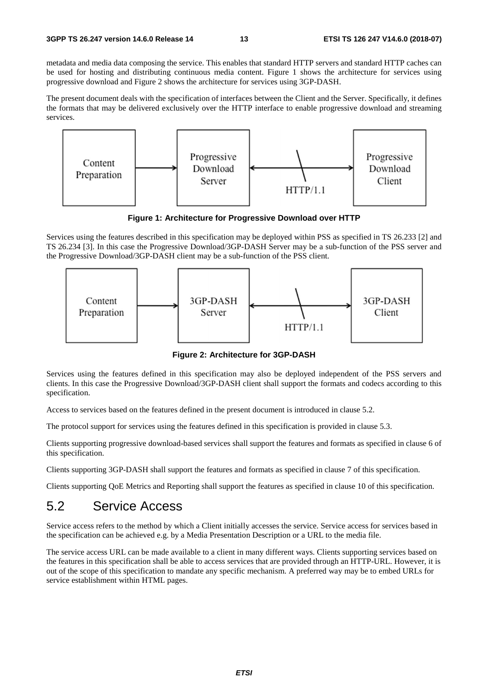metadata and media data composing the service. This enables that standard HTTP servers and standard HTTP caches can be used for hosting and distributing continuous media content. Figure 1 shows the architecture for services using progressive download and Figure 2 shows the architecture for services using 3GP-DASH.

The present document deals with the specification of interfaces between the Client and the Server. Specifically, it defines the formats that may be delivered exclusively over the HTTP interface to enable progressive download and streaming services.



**Figure 1: Architecture for Progressive Download over HTTP** 

Services using the features described in this specification may be deployed within PSS as specified in TS 26.233 [2] and TS 26.234 [3]. In this case the Progressive Download/3GP-DASH Server may be a sub-function of the PSS server and the Progressive Download/3GP-DASH client may be a sub-function of the PSS client.



**Figure 2: Architecture for 3GP-DASH** 

Services using the features defined in this specification may also be deployed independent of the PSS servers and clients. In this case the Progressive Download/3GP-DASH client shall support the formats and codecs according to this specification.

Access to services based on the features defined in the present document is introduced in clause 5.2.

The protocol support for services using the features defined in this specification is provided in clause 5.3.

Clients supporting progressive download-based services shall support the features and formats as specified in clause 6 of this specification.

Clients supporting 3GP-DASH shall support the features and formats as specified in clause 7 of this specification.

Clients supporting QoE Metrics and Reporting shall support the features as specified in clause 10 of this specification.

## 5.2 Service Access

Service access refers to the method by which a Client initially accesses the service. Service access for services based in the specification can be achieved e.g. by a Media Presentation Description or a URL to the media file.

The service access URL can be made available to a client in many different ways. Clients supporting services based on the features in this specification shall be able to access services that are provided through an HTTP-URL. However, it is out of the scope of this specification to mandate any specific mechanism. A preferred way may be to embed URLs for service establishment within HTML pages.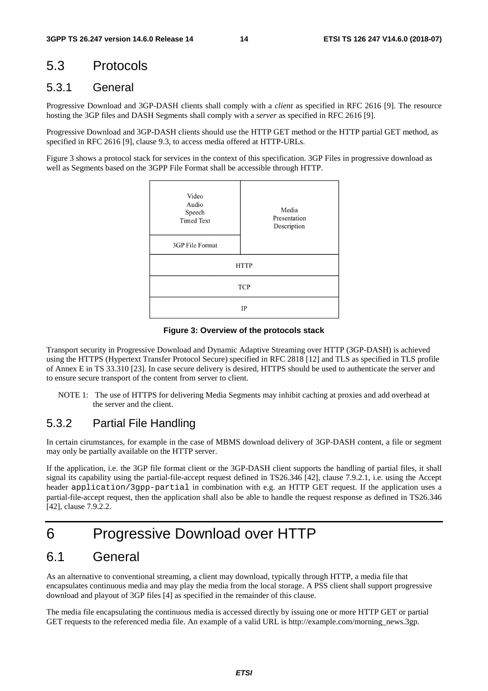## 5.3 Protocols

### 5.3.1 General

Progressive Download and 3GP-DASH clients shall comply with a *client* as specified in RFC 2616 [9]. The resource hosting the 3GP files and DASH Segments shall comply with a *server* as specified in RFC 2616 [9].

Progressive Download and 3GP-DASH clients should use the HTTP GET method or the HTTP partial GET method, as specified in RFC 2616 [9], clause 9.3, to access media offered at HTTP-URLs.

Figure 3 shows a protocol stack for services in the context of this specification. 3GP Files in progressive download as well as Segments based on the 3GPP File Format shall be accessible through HTTP.



**Figure 3: Overview of the protocols stack** 

Transport security in Progressive Download and Dynamic Adaptive Streaming over HTTP (3GP-DASH) is achieved using the HTTPS (Hypertext Transfer Protocol Secure) specified in RFC 2818 [12] and TLS as specified in TLS profile of Annex E in TS 33.310 [23]. In case secure delivery is desired, HTTPS should be used to authenticate the server and to ensure secure transport of the content from server to client.

NOTE 1: The use of HTTPS for delivering Media Segments may inhibit caching at proxies and add overhead at the server and the client.

### 5.3.2 Partial File Handling

In certain cirumstances, for example in the case of MBMS download delivery of 3GP-DASH content, a file or segment may only be partially available on the HTTP server.

If the application, i.e. the 3GP file format client or the 3GP-DASH client supports the handling of partial files, it shall signal its capability using the partial-file-accept request defined in TS26.346 [42], clause 7.9.2.1, i.e. using the Accept header application/3gpp-partial in combination with e.g. an HTTP GET request. If the application uses a partial-file-accept request, then the application shall also be able to handle the request response as defined in TS26.346 [42], clause 7.9.2.2.

## 6 Progressive Download over HTTP

### 6.1 General

As an alternative to conventional streaming, a client may download, typically through HTTP, a media file that encapsulates continuous media and may play the media from the local storage. A PSS client shall support progressive download and playout of 3GP files [4] as specified in the remainder of this clause.

The media file encapsulating the continuous media is accessed directly by issuing one or more HTTP GET or partial GET requests to the referenced media file. An example of a valid URL is http://example.com/morning\_news.3gp.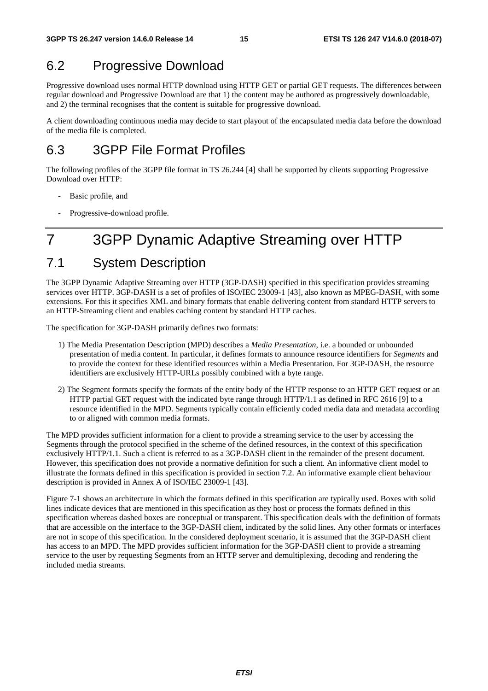## 6.2 Progressive Download

Progressive download uses normal HTTP download using HTTP GET or partial GET requests. The differences between regular download and Progressive Download are that 1) the content may be authored as progressively downloadable, and 2) the terminal recognises that the content is suitable for progressive download.

A client downloading continuous media may decide to start playout of the encapsulated media data before the download of the media file is completed.

## 6.3 3GPP File Format Profiles

The following profiles of the 3GPP file format in TS 26.244 [4] shall be supported by clients supporting Progressive Download over HTTP:

- Basic profile, and
- Progressive-download profile.

## 7 3GPP Dynamic Adaptive Streaming over HTTP

## 7.1 System Description

The 3GPP Dynamic Adaptive Streaming over HTTP (3GP-DASH) specified in this specification provides streaming services over HTTP. 3GP-DASH is a set of profiles of ISO/IEC 23009-1 [43], also known as MPEG-DASH, with some extensions. For this it specifies XML and binary formats that enable delivering content from standard HTTP servers to an HTTP-Streaming client and enables caching content by standard HTTP caches.

The specification for 3GP-DASH primarily defines two formats:

- 1) The Media Presentation Description (MPD) describes a *Media Presentation*, i.e. a bounded or unbounded presentation of media content. In particular, it defines formats to announce resource identifiers for *Segments* and to provide the context for these identified resources within a Media Presentation. For 3GP-DASH, the resource identifiers are exclusively HTTP-URLs possibly combined with a byte range.
- 2) The Segment formats specify the formats of the entity body of the HTTP response to an HTTP GET request or an HTTP partial GET request with the indicated byte range through HTTP/1.1 as defined in RFC 2616 [9] to a resource identified in the MPD. Segments typically contain efficiently coded media data and metadata according to or aligned with common media formats.

The MPD provides sufficient information for a client to provide a streaming service to the user by accessing the Segments through the protocol specified in the scheme of the defined resources, in the context of this specification exclusively HTTP/1.1. Such a client is referred to as a 3GP-DASH client in the remainder of the present document. However, this specification does not provide a normative definition for such a client. An informative client model to illustrate the formats defined in this specification is provided in section 7.2. An informative example client behaviour description is provided in Annex A of ISO/IEC 23009-1 [43].

Figure 7-1 shows an architecture in which the formats defined in this specification are typically used. Boxes with solid lines indicate devices that are mentioned in this specification as they host or process the formats defined in this specification whereas dashed boxes are conceptual or transparent. This specification deals with the definition of formats that are accessible on the interface to the 3GP-DASH client, indicated by the solid lines. Any other formats or interfaces are not in scope of this specification. In the considered deployment scenario, it is assumed that the 3GP-DASH client has access to an MPD. The MPD provides sufficient information for the 3GP-DASH client to provide a streaming service to the user by requesting Segments from an HTTP server and demultiplexing, decoding and rendering the included media streams.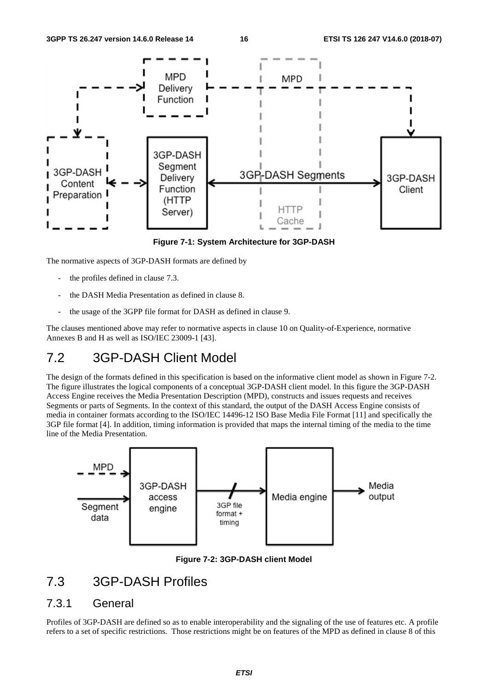

**Figure 7-1: System Architecture for 3GP-DASH** 

The normative aspects of 3GP-DASH formats are defined by

- the profiles defined in clause 7.3.
- the DASH Media Presentation as defined in clause 8.
- the usage of the 3GPP file format for DASH as defined in clause 9.

The clauses mentioned above may refer to normative aspects in clause 10 on Quality-of-Experience, normative Annexes B and H as well as ISO/IEC 23009-1 [43].

## 7.2 3GP-DASH Client Model

The design of the formats defined in this specification is based on the informative client model as shown in Figure 7-2. The figure illustrates the logical components of a conceptual 3GP-DASH client model. In this figure the 3GP-DASH Access Engine receives the Media Presentation Description (MPD), constructs and issues requests and receives Segments or parts of Segments. In the context of this standard, the output of the DASH Access Engine consists of media in container formats according to the ISO/IEC 14496-12 ISO Base Media File Format [11] and specifically the 3GP file format [4]. In addition, timing information is provided that maps the internal timing of the media to the time line of the Media Presentation.



**Figure 7-2: 3GP-DASH client Model** 

## 7.3 3GP-DASH Profiles

#### 7.3.1 General

Profiles of 3GP-DASH are defined so as to enable interoperability and the signaling of the use of features etc. A profile refers to a set of specific restrictions. Those restrictions might be on features of the MPD as defined in clause 8 of this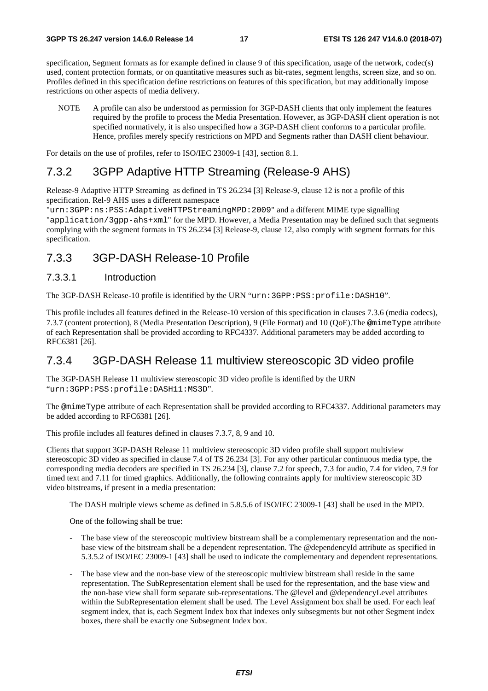specification, Segment formats as for example defined in clause 9 of this specification, usage of the network, codec(s) used, content protection formats, or on quantitative measures such as bit-rates, segment lengths, screen size, and so on. Profiles defined in this specification define restrictions on features of this specification, but may additionally impose restrictions on other aspects of media delivery.

NOTE A profile can also be understood as permission for 3GP-DASH clients that only implement the features required by the profile to process the Media Presentation. However, as 3GP-DASH client operation is not specified normatively, it is also unspecified how a 3GP-DASH client conforms to a particular profile. Hence, profiles merely specify restrictions on MPD and Segments rather than DASH client behaviour.

For details on the use of profiles, refer to ISO/IEC 23009-1 [43], section 8.1.

### 7.3.2 3GPP Adaptive HTTP Streaming (Release-9 AHS)

Release-9 Adaptive HTTP Streaming as defined in TS 26.234 [3] Release-9, clause 12 is not a profile of this specification. Rel-9 AHS uses a different namespace

"urn:3GPP:ns:PSS:AdaptiveHTTPStreamingMPD:2009" and a different MIME type signalling "application/3gpp-ahs+xml" for the MPD. However, a Media Presentation may be defined such that segments complying with the segment formats in TS 26.234 [3] Release-9, clause 12, also comply with segment formats for this specification.

### 7.3.3 3GP-DASH Release-10 Profile

#### 7.3.3.1 Introduction

The 3GP-DASH Release-10 profile is identified by the URN "urn:3GPP:PSS:profile:DASH10".

This profile includes all features defined in the Release-10 version of this specification in clauses 7.3.6 (media codecs), 7.3.7 (content protection), 8 (Media Presentation Description), 9 (File Format) and 10 (QoE).The @mimeType attribute of each Representation shall be provided according to RFC4337. Additional parameters may be added according to RFC6381 [26].

#### 7.3.4 3GP-DASH Release 11 multiview stereoscopic 3D video profile

The 3GP-DASH Release 11 multiview stereoscopic 3D video profile is identified by the URN "urn:3GPP:PSS:profile:DASH11:MS3D".

The @mimeType attribute of each Representation shall be provided according to RFC4337. Additional parameters may be added according to RFC6381 [26].

This profile includes all features defined in clauses 7.3.7, 8, 9 and 10.

Clients that support 3GP-DASH Release 11 multiview stereoscopic 3D video profile shall support multiview stereoscopic 3D video as specified in clause 7.4 of TS 26.234 [3]. For any other particular continuous media type, the corresponding media decoders are specified in TS 26.234 [3], clause 7.2 for speech, 7.3 for audio, 7.4 for video, 7.9 for timed text and 7.11 for timed graphics. Additionally, the following contraints apply for multiview stereoscopic 3D video bitstreams, if present in a media presentation:

The DASH multiple views scheme as defined in 5.8.5.6 of ISO/IEC 23009-1 [43] shall be used in the MPD.

One of the following shall be true:

- The base view of the stereoscopic multiview bitstream shall be a complementary representation and the nonbase view of the bitstream shall be a dependent representation. The @dependencyId attribute as specified in 5.3.5.2 of ISO/IEC 23009-1 [43] shall be used to indicate the complementary and dependent representations.
- The base view and the non-base view of the stereoscopic multiview bitstream shall reside in the same representation. The SubRepresentation element shall be used for the representation, and the base view and the non-base view shall form separate sub-representations. The @level and @dependencyLevel attributes within the SubRepresentation element shall be used. The Level Assignment box shall be used. For each leaf segment index, that is, each Segment Index box that indexes only subsegments but not other Segment index boxes, there shall be exactly one Subsegment Index box.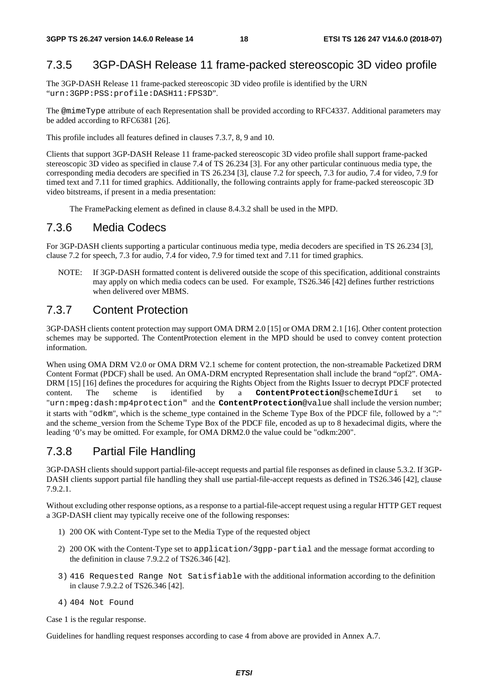### 7.3.5 3GP-DASH Release 11 frame-packed stereoscopic 3D video profile

The 3GP-DASH Release 11 frame-packed stereoscopic 3D video profile is identified by the URN "urn:3GPP:PSS:profile:DASH11:FPS3D".

The @mimeType attribute of each Representation shall be provided according to RFC4337. Additional parameters may be added according to RFC6381 [26].

This profile includes all features defined in clauses 7.3.7, 8, 9 and 10.

Clients that support 3GP-DASH Release 11 frame-packed stereoscopic 3D video profile shall support frame-packed stereoscopic 3D video as specified in clause 7.4 of TS 26.234 [3]. For any other particular continuous media type, the corresponding media decoders are specified in TS 26.234 [3], clause 7.2 for speech, 7.3 for audio, 7.4 for video, 7.9 for timed text and 7.11 for timed graphics. Additionally, the following contraints apply for frame-packed stereoscopic 3D video bitstreams, if present in a media presentation:

The FramePacking element as defined in clause 8.4.3.2 shall be used in the MPD.

#### 7.3.6 Media Codecs

For 3GP-DASH clients supporting a particular continuous media type, media decoders are specified in TS 26.234 [3], clause 7.2 for speech, 7.3 for audio, 7.4 for video, 7.9 for timed text and 7.11 for timed graphics.

NOTE: If 3GP-DASH formatted content is delivered outside the scope of this specification, additional constraints may apply on which media codecs can be used. For example, TS26.346 [42] defines further restrictions when delivered over MBMS.

### 7.3.7 Content Protection

3GP-DASH clients content protection may support OMA DRM 2.0 [15] or OMA DRM 2.1 [16]. Other content protection schemes may be supported. The ContentProtection element in the MPD should be used to convey content protection information.

When using OMA DRM V2.0 or OMA DRM V2.1 scheme for content protection, the non-streamable Packetized DRM Content Format (PDCF) shall be used. An OMA-DRM encrypted Representation shall include the brand "opf2". OMA-DRM [15] [16] defines the procedures for acquiring the Rights Object from the Rights Issuer to decrypt PDCF protected content. The scheme is identified by a **ContentProtection**@schemeIdUri set to "urn:mpeg:dash:mp4protection" and the **ContentProtection**@value shall include the version number; it starts with "odkm", which is the scheme\_type contained in the Scheme Type Box of the PDCF file, followed by a ":" and the scheme version from the Scheme Type Box of the PDCF file, encoded as up to 8 hexadecimal digits, where the leading '0's may be omitted. For example, for OMA DRM2.0 the value could be "odkm:200".

### 7.3.8 Partial File Handling

3GP-DASH clients should support partial-file-accept requests and partial file responses as defined in clause 5.3.2. If 3GP-DASH clients support partial file handling they shall use partial-file-accept requests as defined in TS26.346 [42], clause 7.9.2.1.

Without excluding other response options, as a response to a partial-file-accept request using a regular HTTP GET request a 3GP-DASH client may typically receive one of the following responses:

- 1) 200 OK with Content-Type set to the Media Type of the requested object
- 2) 200 OK with the Content-Type set to application/3gpp-partial and the message format according to the definition in clause 7.9.2.2 of TS26.346 [42].
- 3) 416 Requested Range Not Satisfiable with the additional information according to the definition in clause 7.9.2.2 of TS26.346 [42].
- 4) 404 Not Found

Case 1 is the regular response.

Guidelines for handling request responses according to case 4 from above are provided in Annex A.7.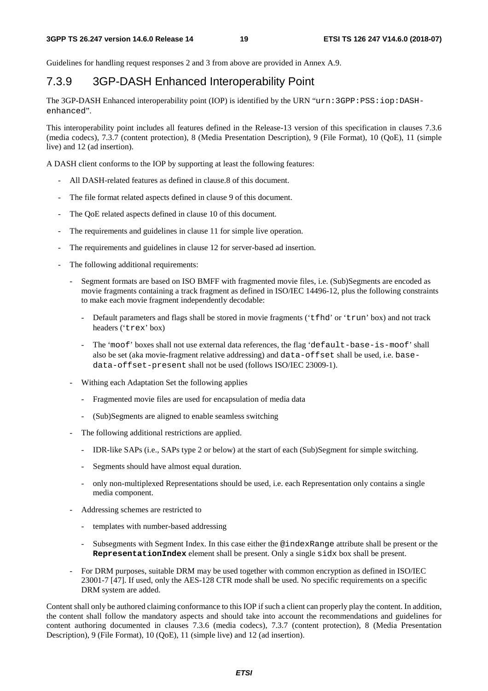Guidelines for handling request responses 2 and 3 from above are provided in Annex A.9.

## 7.3.9 3GP-DASH Enhanced Interoperability Point

The 3GP-DASH Enhanced interoperability point (IOP) is identified by the URN "urn:3GPP:PSS:iop:DASHenhanced".

This interoperability point includes all features defined in the Release-13 version of this specification in clauses 7.3.6 (media codecs), 7.3.7 (content protection), 8 (Media Presentation Description), 9 (File Format), 10 (QoE), 11 (simple live) and 12 (ad insertion).

A DASH client conforms to the IOP by supporting at least the following features:

- All DASH-related features as defined in clause.8 of this document.
- The file format related aspects defined in clause 9 of this document.
- The QoE related aspects defined in clause 10 of this document.
- The requirements and guidelines in clause 11 for simple live operation.
- The requirements and guidelines in clause 12 for server-based ad insertion.
- The following additional requirements:
	- Segment formats are based on ISO BMFF with fragmented movie files, i.e. (Sub)Segments are encoded as movie fragments containing a track fragment as defined in ISO/IEC 14496-12, plus the following constraints to make each movie fragment independently decodable:
		- Default parameters and flags shall be stored in movie fragments ('t fhd' or 'trun' box) and not track headers ('trex' box)
		- The 'moof' boxes shall not use external data references, the flag 'default-base-is-moof' shall also be set (aka movie-fragment relative addressing) and data-offset shall be used, i.e. basedata-offset-present shall not be used (follows ISO/IEC 23009-1).
	- Withing each Adaptation Set the following applies
		- Fragmented movie files are used for encapsulation of media data
		- (Sub)Segments are aligned to enable seamless switching
	- The following additional restrictions are applied.
		- IDR-like SAPs (i.e., SAPs type 2 or below) at the start of each (Sub)Segment for simple switching.
		- Segments should have almost equal duration.
		- only non-multiplexed Representations should be used, i.e. each Representation only contains a single media component.
	- Addressing schemes are restricted to
		- templates with number-based addressing
		- Subsegments with Segment Index. In this case either the @indexRange attribute shall be present or the **RepresentationIndex** element shall be present. Only a single sidx box shall be present.
	- For DRM purposes, suitable DRM may be used together with common encryption as defined in ISO/IEC 23001-7 [47]. If used, only the AES-128 CTR mode shall be used. No specific requirements on a specific DRM system are added.

Content shall only be authored claiming conformance to this IOP if such a client can properly play the content. In addition, the content shall follow the mandatory aspects and should take into account the recommendations and guidelines for content authoring documented in clauses 7.3.6 (media codecs), 7.3.7 (content protection), 8 (Media Presentation Description), 9 (File Format), 10 (QoE), 11 (simple live) and 12 (ad insertion).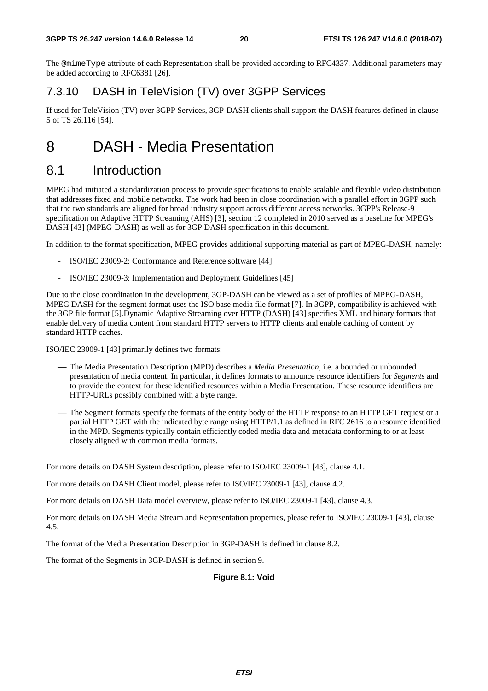The @mimeType attribute of each Representation shall be provided according to RFC4337. Additional parameters may be added according to RFC6381 [26].

### 7.3.10 DASH in TeleVision (TV) over 3GPP Services

If used for TeleVision (TV) over 3GPP Services, 3GP-DASH clients shall support the DASH features defined in clause 5 of TS 26.116 [54].

## 8 DASH - Media Presentation

## 8.1 Introduction

MPEG had initiated a standardization process to provide specifications to enable scalable and flexible video distribution that addresses fixed and mobile networks. The work had been in close coordination with a parallel effort in 3GPP such that the two standards are aligned for broad industry support across different access networks. 3GPP's Release-9 specification on Adaptive HTTP Streaming (AHS) [3], section 12 completed in 2010 served as a baseline for MPEG's DASH [43] (MPEG-DASH) as well as for 3GP DASH specification in this document.

In addition to the format specification, MPEG provides additional supporting material as part of MPEG-DASH, namely:

- ISO/IEC 23009-2: Conformance and Reference software [44]
- ISO/IEC 23009-3: Implementation and Deployment Guidelines [45]

Due to the close coordination in the development, 3GP-DASH can be viewed as a set of profiles of MPEG-DASH, MPEG DASH for the segment format uses the ISO base media file format [7]. In 3GPP, compatibility is achieved with the 3GP file format [5].Dynamic Adaptive Streaming over HTTP (DASH) [43] specifies XML and binary formats that enable delivery of media content from standard HTTP servers to HTTP clients and enable caching of content by standard HTTP caches.

ISO/IEC 23009-1 [43] primarily defines two formats:

- ⎯ The Media Presentation Description (MPD) describes a *Media Presentation*, i.e. a bounded or unbounded presentation of media content. In particular, it defines formats to announce resource identifiers for *Segments* and to provide the context for these identified resources within a Media Presentation. These resource identifiers are HTTP-URLs possibly combined with a byte range.
- The Segment formats specify the formats of the entity body of the HTTP response to an HTTP GET request or a partial HTTP GET with the indicated byte range using HTTP/1.1 as defined in RFC 2616 to a resource identified in the MPD. Segments typically contain efficiently coded media data and metadata conforming to or at least closely aligned with common media formats.

For more details on DASH System description, please refer to ISO/IEC 23009-1 [43], clause 4.1.

For more details on DASH Client model, please refer to ISO/IEC 23009-1 [43], clause 4.2.

For more details on DASH Data model overview, please refer to ISO/IEC 23009-1 [43], clause 4.3.

For more details on DASH Media Stream and Representation properties, please refer to ISO/IEC 23009-1 [43], clause 4.5.

The format of the Media Presentation Description in 3GP-DASH is defined in clause 8.2.

The format of the Segments in 3GP-DASH is defined in section 9.

#### **Figure 8.1: Void**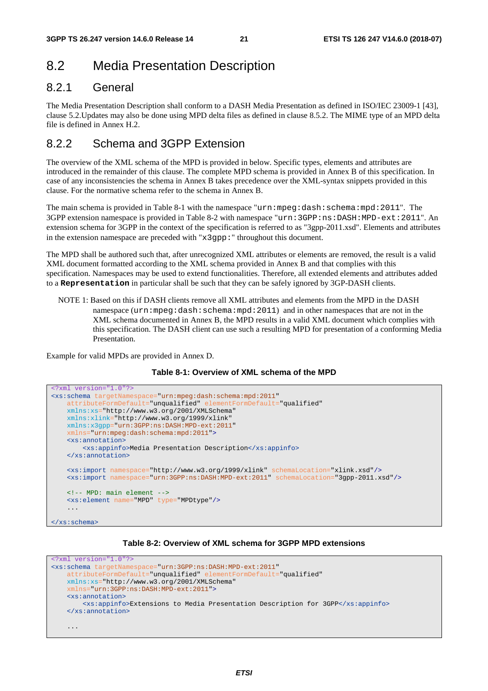## 8.2 Media Presentation Description

### 8.2.1 General

The Media Presentation Description shall conform to a DASH Media Presentation as defined in ISO/IEC 23009-1 [43], clause 5.2.Updates may also be done using MPD delta files as defined in clause 8.5.2. The MIME type of an MPD delta file is defined in Annex H.2.

### 8.2.2 Schema and 3GPP Extension

The overview of the XML schema of the MPD is provided in below. Specific types, elements and attributes are introduced in the remainder of this clause. The complete MPD schema is provided in Annex B of this specification. In case of any inconsistencies the schema in Annex B takes precedence over the XML-syntax snippets provided in this clause. For the normative schema refer to the schema in Annex B.

The main schema is provided in Table 8-1 with the namespace "urn:mpeg:dash:schema:mpd:2011". The 3GPP extension namespace is provided in Table 8-2 with namespace "urn:3GPP:ns:DASH:MPD-ext:2011". An extension schema for 3GPP in the context of the specification is referred to as "3gpp-2011.xsd". Elements and attributes in the extension namespace are preceded with "x3gpp:" throughout this document.

The MPD shall be authored such that, after unrecognized XML attributes or elements are removed, the result is a valid XML document formatted according to the XML schema provided in Annex B and that complies with this specification. Namespaces may be used to extend functionalities. Therefore, all extended elements and attributes added to a **Representation** in particular shall be such that they can be safely ignored by 3GP-DASH clients.

NOTE 1: Based on this if DASH clients remove all XML attributes and elements from the MPD in the DASH namespace (urn:mpeg:dash:schema:mpd:2011) and in other namespaces that are not in the XML schema documented in Annex B, the MPD results in a valid XML document which complies with this specification. The DASH client can use such a resulting MPD for presentation of a conforming Media Presentation.

Example for valid MPDs are provided in Annex D.



```
<?xml version="1.0"?>
<xs:schema targetNamespace="urn:mpeg:dash:schema:mpd:2011" 
    attributeFormDefault="unqualified" elementFormDefault="qualified" 
    xmlns:xs="http://www.w3.org/2001/XMLSchema" 
    xmlns:xlink="http://www.w3.org/1999/xlink" 
    xmlns:x3gpp="urn:3GPP:ns:DASH:MPD-ext:2011" 
     xmlns="urn:mpeg:dash:schema:mpd:2011">
    <xs:annotation>
         <xs:appinfo>Media Presentation Description</xs:appinfo>
    </xs:annotation>
    <xs:import namespace="http://www.w3.org/1999/xlink" schemaLocation="xlink.xsd"/> 
    <xs:import namespace="urn:3GPP:ns:DASH:MPD-ext:2011" schemaLocation="3gpp-2011.xsd"/>
    <!-- MPD: main element -->
    <xs:element name="MPD" type="MPDtype"/> 
     ... 
</xs:schema>
```
#### **Table 8-2: Overview of XML schema for 3GPP MPD extensions**

```
<?xml version="1.0"?>
<xs:schema targetNamespace="urn:3GPP:ns:DASH:MPD-ext:2011" 
    attributeFormDefault="unqualified" elementFormDefault="qualified" 
    xmlns:xs="http://www.w3.org/2001/XMLSchema" 
     xmlns="urn:3GPP:ns:DASH:MPD-ext:2011"> 
    <xs:annotation>
         <xs:appinfo>Extensions to Media Presentation Description for 3GPP</xs:appinfo>
    </xs:annotation>
     ...
```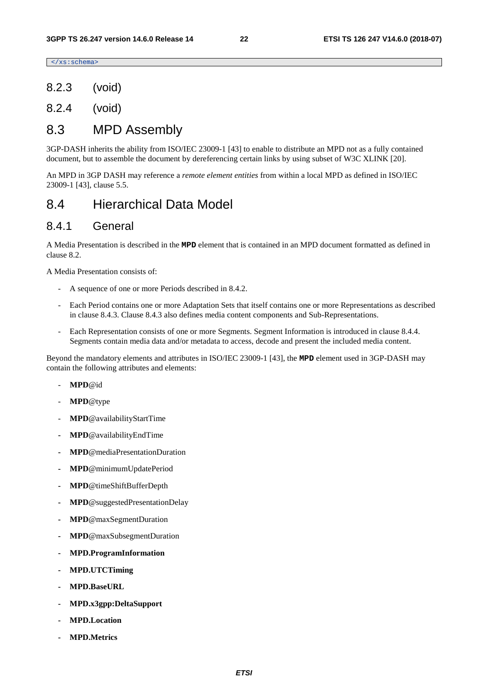</xs:schema>

- 8.2.3 (void)
- 8.2.4 (void)

### 8.3 MPD Assembly

3GP-DASH inherits the ability from ISO/IEC 23009-1 [43] to enable to distribute an MPD not as a fully contained document, but to assemble the document by dereferencing certain links by using subset of W3C XLINK [20].

An MPD in 3GP DASH may reference a *remote element entities* from within a local MPD as defined in ISO/IEC 23009-1 [43], clause 5.5.

## 8.4 Hierarchical Data Model

#### 8.4.1 General

A Media Presentation is described in the **MPD** element that is contained in an MPD document formatted as defined in clause 8.2.

A Media Presentation consists of:

- A sequence of one or more Periods described in 8.4.2.
- Each Period contains one or more Adaptation Sets that itself contains one or more Representations as described in clause 8.4.3. Clause 8.4.3 also defines media content components and Sub-Representations.
- Each Representation consists of one or more Segments. Segment Information is introduced in clause 8.4.4. Segments contain media data and/or metadata to access, decode and present the included media content.

Beyond the mandatory elements and attributes in ISO/IEC 23009-1 [43], the **MPD** element used in 3GP-DASH may contain the following attributes and elements:

- **MPD**@id
- **MPD**@type
- **MPD**@availabilityStartTime
- **MPD**@availabilityEndTime
- **MPD**@mediaPresentationDuration
- **MPD**@minimumUpdatePeriod
- **MPD**@timeShiftBufferDepth
- **MPD**@suggestedPresentationDelay
- **MPD**@maxSegmentDuration
- **MPD**@maxSubsegmentDuration
- **MPD.ProgramInformation**
- **MPD.UTCTiming**
- **MPD.BaseURL**
- **MPD.x3gpp:DeltaSupport**
- **MPD.Location**
- **MPD.Metrics**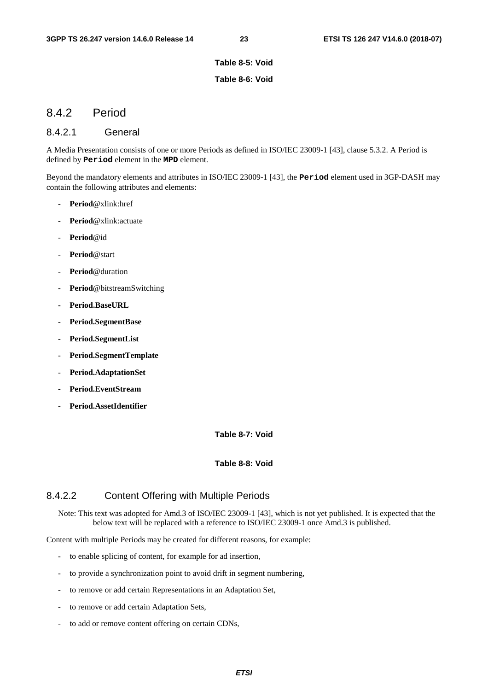#### **Table 8-5: Void**

#### **Table 8-6: Void**

#### 8.4.2 Period

#### 8.4.2.1 General

A Media Presentation consists of one or more Periods as defined in ISO/IEC 23009-1 [43], clause 5.3.2. A Period is defined by **Period** element in the **MPD** element.

Beyond the mandatory elements and attributes in ISO/IEC 23009-1 [43], the **Period** element used in 3GP-DASH may contain the following attributes and elements:

- **Period**@xlink:href
- **Period**@xlink:actuate
- **Period**@id
- **Period**@start
- **Period**@duration
- **Period**@bitstreamSwitching
- **Period.BaseURL**
- **Period.SegmentBase**
- **Period.SegmentList**
- **Period.SegmentTemplate**
- **Period.AdaptationSet**
- **Period.EventStream**
- **Period.AssetIdentifier**

#### **Table 8-7: Void**

#### **Table 8-8: Void**

#### 8.4.2.2 Content Offering with Multiple Periods

Note: This text was adopted for Amd.3 of ISO/IEC 23009-1 [43], which is not yet published. It is expected that the below text will be replaced with a reference to ISO/IEC 23009-1 once Amd.3 is published.

Content with multiple Periods may be created for different reasons, for example:

- to enable splicing of content, for example for ad insertion,
- to provide a synchronization point to avoid drift in segment numbering,
- to remove or add certain Representations in an Adaptation Set,
- to remove or add certain Adaptation Sets,
- to add or remove content offering on certain CDNs,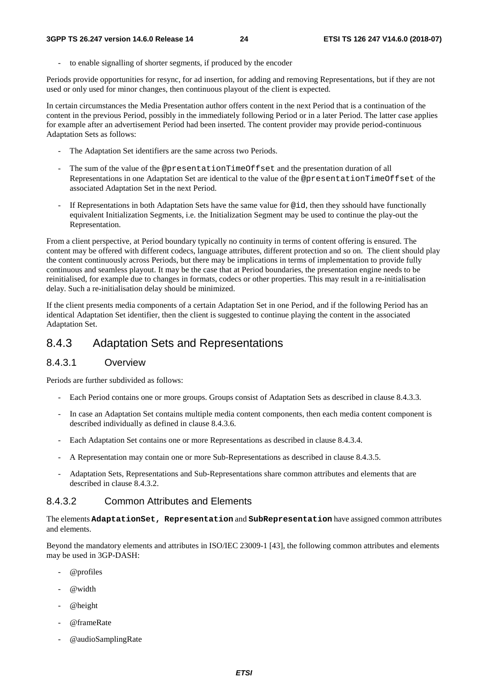to enable signalling of shorter segments, if produced by the encoder

Periods provide opportunities for resync, for ad insertion, for adding and removing Representations, but if they are not used or only used for minor changes, then continuous playout of the client is expected.

In certain circumstances the Media Presentation author offers content in the next Period that is a continuation of the content in the previous Period, possibly in the immediately following Period or in a later Period. The latter case applies for example after an advertisement Period had been inserted. The content provider may provide period-continuous Adaptation Sets as follows:

- The Adaptation Set identifiers are the same across two Periods.
- The sum of the value of the @presentationTimeOffset and the presentation duration of all Representations in one Adaptation Set are identical to the value of the @presentationTimeOffset of the associated Adaptation Set in the next Period.
- If Representations in both Adaptation Sets have the same value for  $\ddot{\varphi}$  id, then they sshould have functionally equivalent Initialization Segments, i.e. the Initialization Segment may be used to continue the play-out the Representation.

From a client perspective, at Period boundary typically no continuity in terms of content offering is ensured. The content may be offered with different codecs, language attributes, different protection and so on. The client should play the content continuously across Periods, but there may be implications in terms of implementation to provide fully continuous and seamless playout. It may be the case that at Period boundaries, the presentation engine needs to be reinitialised, for example due to changes in formats, codecs or other properties. This may result in a re-initialisation delay. Such a re-initialisation delay should be minimized.

If the client presents media components of a certain Adaptation Set in one Period, and if the following Period has an identical Adaptation Set identifier, then the client is suggested to continue playing the content in the associated Adaptation Set.

## 8.4.3 Adaptation Sets and Representations

### 8.4.3.1 Overview

Periods are further subdivided as follows:

- Each Period contains one or more groups. Groups consist of Adaptation Sets as described in clause 8.4.3.3.
- In case an Adaptation Set contains multiple media content components, then each media content component is described individually as defined in clause 8.4.3.6.
- Each Adaptation Set contains one or more Representations as described in clause 8.4.3.4.
- A Representation may contain one or more Sub-Representations as described in clause 8.4.3.5.
- Adaptation Sets, Representations and Sub-Representations share common attributes and elements that are described in clause 8.4.3.2.

### 8.4.3.2 Common Attributes and Elements

The elements **AdaptationSet, Representation** and **SubRepresentation** have assigned common attributes and elements.

Beyond the mandatory elements and attributes in ISO/IEC 23009-1 [43], the following common attributes and elements may be used in 3GP-DASH:

- @profiles
- $@$ width
- @height
- @frameRate
- @audioSamplingRate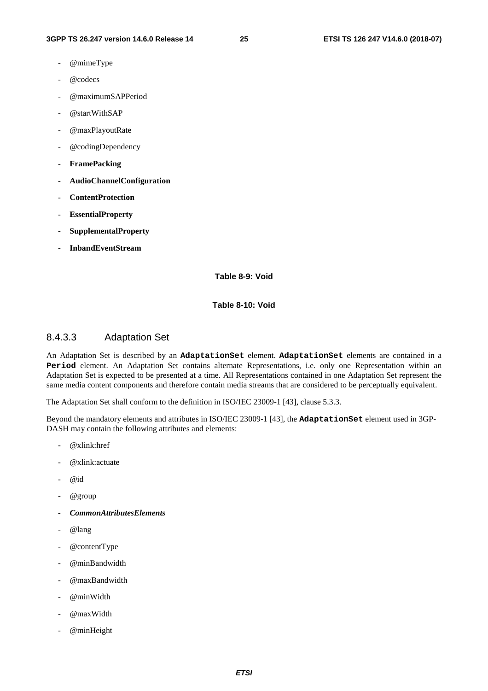- @mimeType
- @codecs
- @maximumSAPPeriod
- @startWithSAP
- @maxPlayoutRate
- @codingDependency
- **FramePacking**
- **AudioChannelConfiguration**
- **ContentProtection**
- **EssentialProperty**
- **SupplementalProperty**
- **InbandEventStream**

**Table 8-9: Void** 

**Table 8-10: Void** 

#### 8.4.3.3 Adaptation Set

An Adaptation Set is described by an **AdaptationSet** element. **AdaptationSet** elements are contained in a **Period** element. An Adaptation Set contains alternate Representations, i.e. only one Representation within an Adaptation Set is expected to be presented at a time. All Representations contained in one Adaptation Set represent the same media content components and therefore contain media streams that are considered to be perceptually equivalent.

The Adaptation Set shall conform to the definition in ISO/IEC 23009-1 [43], clause 5.3.3.

Beyond the mandatory elements and attributes in ISO/IEC 23009-1 [43], the **AdaptationSet** element used in 3GP-DASH may contain the following attributes and elements:

- $@x$ link:href
- @xlink:actuate
- $@id$
- @group
- *CommonAttributesElements*
- @lang
- @contentType
- @minBandwidth
- @maxBandwidth
- @minWidth
- @maxWidth
- @minHeight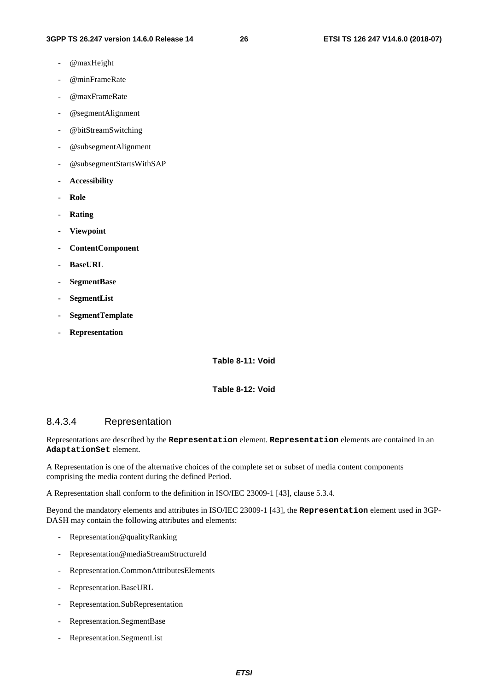- @maxHeight
- @minFrameRate
- @maxFrameRate
- @segmentAlignment
- @bitStreamSwitching
- @subsegmentAlignment
- @subsegmentStartsWithSAP
- **Accessibility**
- **Role**
- **Rating**
- **Viewpoint**
- **ContentComponent**
- **BaseURL**
- **SegmentBase**
- **SegmentList**
- **SegmentTemplate**
- **Representation**

**Table 8-11: Void** 

**Table 8-12: Void** 

#### 8.4.3.4 Representation

Representations are described by the **Representation** element. **Representation** elements are contained in an **AdaptationSet** element.

A Representation is one of the alternative choices of the complete set or subset of media content components comprising the media content during the defined Period.

A Representation shall conform to the definition in ISO/IEC 23009-1 [43], clause 5.3.4.

Beyond the mandatory elements and attributes in ISO/IEC 23009-1 [43], the **Representation** element used in 3GP-DASH may contain the following attributes and elements:

- Representation@qualityRanking
- Representation@mediaStreamStructureId
- Representation.CommonAttributesElements
- Representation.BaseURL
- Representation.SubRepresentation
- Representation.SegmentBase
- Representation.SegmentList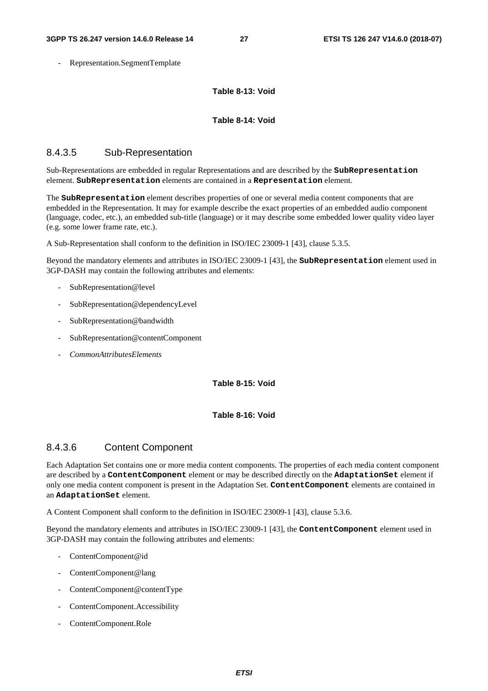- Representation.SegmentTemplate

**Table 8-13: Void** 

#### **Table 8-14: Void**

#### 8.4.3.5 Sub-Representation

Sub-Representations are embedded in regular Representations and are described by the **SubRepresentation** element. **SubRepresentation** elements are contained in a **Representation** element.

The **SubRepresentation** element describes properties of one or several media content components that are embedded in the Representation. It may for example describe the exact properties of an embedded audio component (language, codec, etc.), an embedded sub-title (language) or it may describe some embedded lower quality video layer (e.g. some lower frame rate, etc.).

A Sub-Representation shall conform to the definition in ISO/IEC 23009-1 [43], clause 5.3.5.

Beyond the mandatory elements and attributes in ISO/IEC 23009-1 [43], the **SubRepresentation** element used in 3GP-DASH may contain the following attributes and elements:

- SubRepresentation@level
- SubRepresentation@dependencyLevel
- SubRepresentation@bandwidth
- SubRepresentation@contentComponent
- *CommonAttributesElements*

**Table 8-15: Void** 

#### **Table 8-16: Void**

#### 8.4.3.6 Content Component

Each Adaptation Set contains one or more media content components. The properties of each media content component are described by a **ContentComponent** element or may be described directly on the **AdaptationSet** element if only one media content component is present in the Adaptation Set. **ContentComponent** elements are contained in an **AdaptationSet** element.

A Content Component shall conform to the definition in ISO/IEC 23009-1 [43], clause 5.3.6.

Beyond the mandatory elements and attributes in ISO/IEC 23009-1 [43], the **ContentComponent** element used in 3GP-DASH may contain the following attributes and elements:

- ContentComponent@id
- ContentComponent@lang
- ContentComponent@contentType
- ContentComponent.Accessibility
- ContentComponent.Role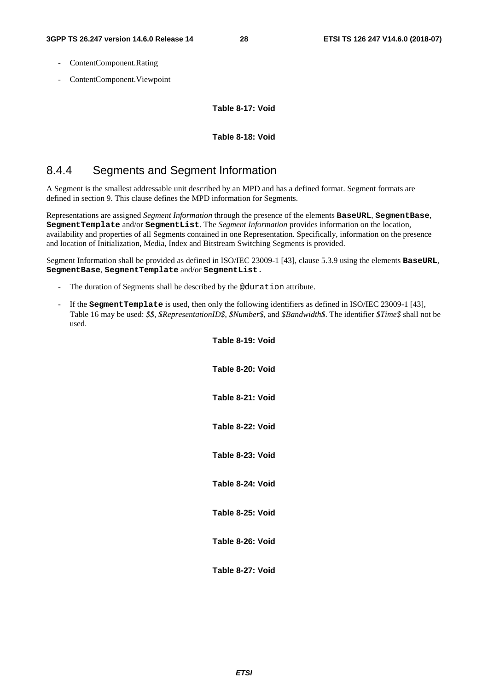- ContentComponent.Rating
- ContentComponent.Viewpoint

**Table 8-17: Void** 

#### **Table 8-18: Void**

### 8.4.4 Segments and Segment Information

A Segment is the smallest addressable unit described by an MPD and has a defined format. Segment formats are defined in section 9. This clause defines the MPD information for Segments.

Representations are assigned *Segment Information* through the presence of the elements **BaseURL**, **SegmentBase**, **SegmentTemplate** and/or **SegmentList**. The *Segment Information* provides information on the location, availability and properties of all Segments contained in one Representation. Specifically, information on the presence and location of Initialization, Media, Index and Bitstream Switching Segments is provided.

Segment Information shall be provided as defined in ISO/IEC 23009-1 [43], clause 5.3.9 using the elements **BaseURL**, **SegmentBase**, **SegmentTemplate** and/or **SegmentList.** 

- The duration of Segments shall be described by the @duration attribute.
- If the **SegmentTemplate** is used, then only the following identifiers as defined in ISO/IEC 23009-1 [43], Table 16 may be used: *\$\$*, *\$RepresentationID\$*, *\$Number\$*, and *\$Bandwidth\$*. The identifier *\$Time\$* shall not be used.

| Table 8-19: Void |
|------------------|
| Table 8-20: Void |
| Table 8-21: Void |
| Table 8-22: Void |
| Table 8-23: Void |
| Table 8-24: Void |
| Table 8-25: Void |
| Table 8-26: Void |
| Table 8-27: Void |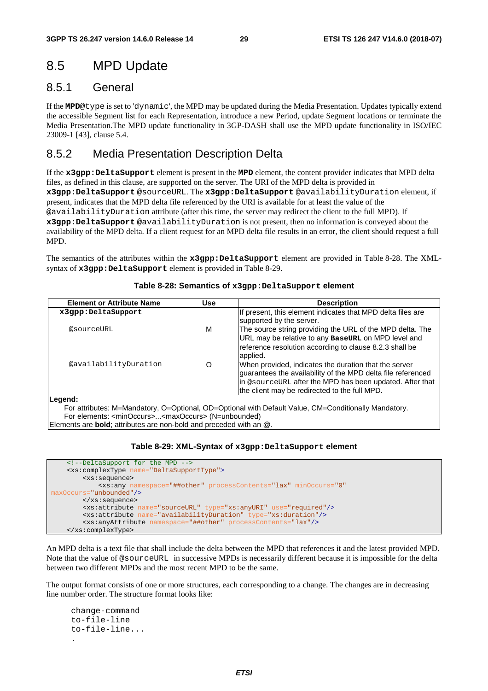## 8.5 MPD Update

### 8.5.1 General

If the **MPD**@type is set to 'dynamic', the MPD may be updated during the Media Presentation. Updates typically extend the accessible Segment list for each Representation, introduce a new Period, update Segment locations or terminate the Media Presentation.The MPD update functionality in 3GP-DASH shall use the MPD update functionality in ISO/IEC 23009-1 [43], clause 5.4.

### 8.5.2 Media Presentation Description Delta

If the **x3gpp:DeltaSupport** element is present in the **MPD** element, the content provider indicates that MPD delta files, as defined in this clause, are supported on the server. The URI of the MPD delta is provided in **x3gpp:DeltaSupport** @sourceURL. The **x3gpp:DeltaSupport** @availabilityDuration element, if present, indicates that the MPD delta file referenced by the URI is available for at least the value of the @availabilityDuration attribute (after this time, the server may redirect the client to the full MPD). If **x3gpp:DeltaSupport** @availabilityDuration is not present, then no information is conveyed about the availability of the MPD delta. If a client request for an MPD delta file results in an error, the client should request a full MPD.

The semantics of the attributes within the **x3gpp:DeltaSupport** element are provided in Table 8-28. The XMLsyntax of **x3gpp:DeltaSupport** element is provided in Table 8-29.

| <b>Element or Attribute Name</b> | <b>Use</b> | <b>Description</b>                                                                                                                                                                                                                 |
|----------------------------------|------------|------------------------------------------------------------------------------------------------------------------------------------------------------------------------------------------------------------------------------------|
| x3qpp:DeltaSupport               |            | If present, this element indicates that MPD delta files are<br>supported by the server.                                                                                                                                            |
| @sourceURL                       | М          | The source string providing the URL of the MPD delta. The<br>URL may be relative to any BaseURL on MPD level and<br>reference resolution according to clause 8.2.3 shall be<br>applied.                                            |
| @availabilityDuration            | O          | When provided, indicates the duration that the server<br>guarantees the availability of the MPD delta file referenced<br>In @sourceURL after the MPD has been updated. After that<br>the client may be redirected to the full MPD. |
| lLeaend:                         |            |                                                                                                                                                                                                                                    |

#### **Table 8-28: Semantics of x3gpp:DeltaSupport element**

**Legend:** 

For attributes: M=Mandatory, O=Optional, OD=Optional with Default Value, CM=Conditionally Mandatory. For elements: <minOccurs>...<maxOccurs> (N=unbounded)

Elements are **bold**; attributes are non-bold and preceded with an @.

#### **Table 8-29: XML-Syntax of x3gpp:DeltaSupport element**

```
 <!--DeltaSupport for the MPD -->
     <xs:complexType name="DeltaSupportType">
         <xs:sequence> 
             <xs:any namespace="##other" processContents="lax" minOccurs="0"
maxOccurs="unbounded"/>
         </xs:sequence> 
         <xs:attribute name="sourceURL" type="xs:anyURI" use="required"/>
         <xs:attribute name="availabilityDuration" type="xs:duration"/>
         <xs:anyAttribute namespace="##other" processContents="lax"/>
     </xs:complexType>
```
An MPD delta is a text file that shall include the delta between the MPD that references it and the latest provided MPD. Note that the value of @sourceURL in successive MPDs is necessarily different because it is impossible for the delta between two different MPDs and the most recent MPD to be the same.

The output format consists of one or more structures, each corresponding to a change. The changes are in decreasing line number order. The structure format looks like:

```
 change-command 
      to-file-line 
      to-file-line... 
 .
```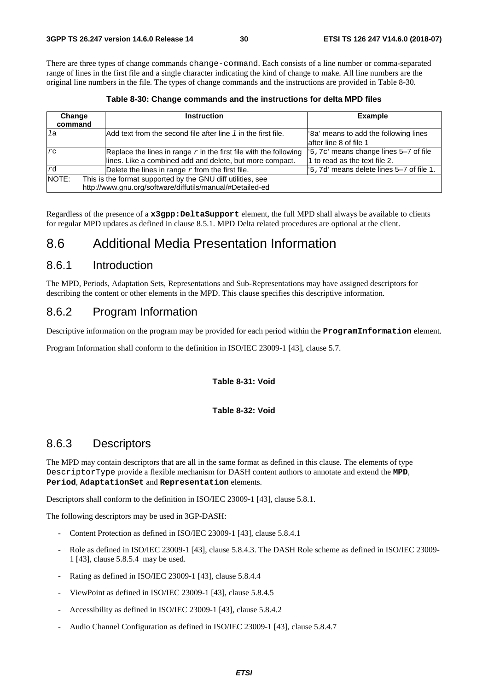There are three types of change commands change-command. Each consists of a line number or comma-separated range of lines in the first file and a single character indicating the kind of change to make. All line numbers are the original line numbers in the file. The types of change commands and the instructions are provided in Table 8-30.

**Table 8-30: Change commands and the instructions for delta MPD files** 

| Change<br>command                                                                                                                 | <b>Instruction</b>                                                                                                              | <b>Example</b>                                                                      |
|-----------------------------------------------------------------------------------------------------------------------------------|---------------------------------------------------------------------------------------------------------------------------------|-------------------------------------------------------------------------------------|
| la                                                                                                                                | Add text from the second file after line $I$ in the first file.                                                                 | '8a' means to add the following lines<br>lafter line 8 of file 1                    |
| rc                                                                                                                                | Replace the lines in range $r$ in the first file with the following<br>lines. Like a combined add and delete, but more compact. | $\frac{1}{2}$ , 7c' means change lines 5-7 of file<br>1 to read as the text file 2. |
| rd                                                                                                                                | Delete the lines in range $r$ from the first file.                                                                              | '5,7d' means delete lines 5-7 of file 1.                                            |
| NOTE:<br>This is the format supported by the GNU diff utilities, see<br>http://www.gnu.org/software/diffutils/manual/#Detailed-ed |                                                                                                                                 |                                                                                     |

Regardless of the presence of a **x3gpp:DeltaSupport** element, the full MPD shall always be available to clients for regular MPD updates as defined in clause 8.5.1. MPD Delta related procedures are optional at the client.

## 8.6 Additional Media Presentation Information

### 8.6.1 Introduction

The MPD, Periods, Adaptation Sets, Representations and Sub-Representations may have assigned descriptors for describing the content or other elements in the MPD. This clause specifies this descriptive information.

### 8.6.2 Program Information

Descriptive information on the program may be provided for each period within the **ProgramInformation** element.

Program Information shall conform to the definition in ISO/IEC 23009-1 [43], clause 5.7.

**Table 8-31: Void** 

#### **Table 8-32: Void**

### 8.6.3 Descriptors

The MPD may contain descriptors that are all in the same format as defined in this clause. The elements of type DescriptorType provide a flexible mechanism for DASH content authors to annotate and extend the **MPD**, **Period**, **AdaptationSet** and **Representation** elements.

Descriptors shall conform to the definition in ISO/IEC 23009-1 [43], clause 5.8.1.

The following descriptors may be used in 3GP-DASH:

- Content Protection as defined in ISO/IEC 23009-1 [43], clause 5.8.4.1
- Role as defined in ISO/IEC 23009-1 [43], clause 5.8.4.3. The DASH Role scheme as defined in ISO/IEC 23009-1 [43], clause 5.8.5.4 may be used.
- Rating as defined in ISO/IEC 23009-1 [43], clause 5.8.4.4
- ViewPoint as defined in ISO/IEC 23009-1 [43], clause 5.8.4.5
- Accessibility as defined in ISO/IEC 23009-1 [43], clause 5.8.4.2
- Audio Channel Configuration as defined in ISO/IEC 23009-1 [43], clause 5.8.4.7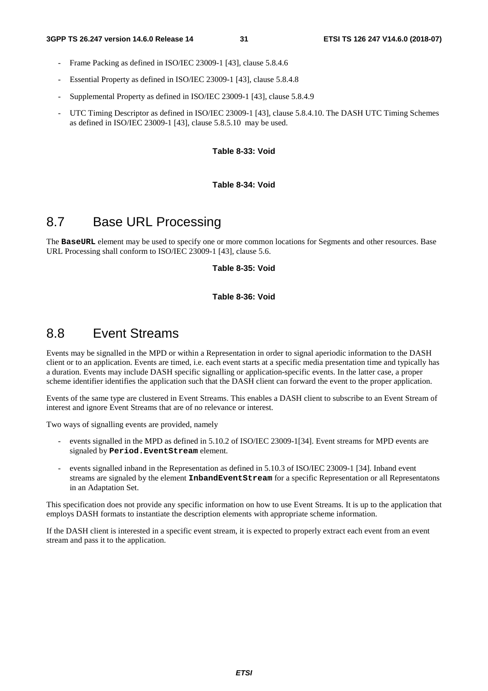- Frame Packing as defined in ISO/IEC 23009-1 [43], clause 5.8.4.6
- Essential Property as defined in ISO/IEC 23009-1 [43], clause 5.8.4.8
- Supplemental Property as defined in ISO/IEC 23009-1 [43], clause 5.8.4.9
- UTC Timing Descriptor as defined in ISO/IEC 23009-1 [43], clause 5.8.4.10. The DASH UTC Timing Schemes as defined in ISO/IEC 23009-1 [43], clause 5.8.5.10 may be used.

**Table 8-33: Void** 

**Table 8-34: Void** 

## 8.7 Base URL Processing

The **BaseURL** element may be used to specify one or more common locations for Segments and other resources. Base URL Processing shall conform to ISO/IEC 23009-1 [43], clause 5.6.

**Table 8-35: Void** 

**Table 8-36: Void** 

## 8.8 Event Streams

Events may be signalled in the MPD or within a Representation in order to signal aperiodic information to the DASH client or to an application. Events are timed, i.e. each event starts at a specific media presentation time and typically has a duration. Events may include DASH specific signalling or application-specific events. In the latter case, a proper scheme identifier identifies the application such that the DASH client can forward the event to the proper application.

Events of the same type are clustered in Event Streams. This enables a DASH client to subscribe to an Event Stream of interest and ignore Event Streams that are of no relevance or interest.

Two ways of signalling events are provided, namely

- events signalled in the MPD as defined in 5.10.2 of ISO/IEC 23009-1[34]. Event streams for MPD events are signaled by **Period.EventStream** element.
- events signalled inband in the Representation as defined in 5.10.3 of ISO/IEC 23009-1 [34]. Inband event streams are signaled by the element **InbandEventStream** for a specific Representation or all Representatons in an Adaptation Set.

This specification does not provide any specific information on how to use Event Streams. It is up to the application that employs DASH formats to instantiate the description elements with appropriate scheme information.

If the DASH client is interested in a specific event stream, it is expected to properly extract each event from an event stream and pass it to the application.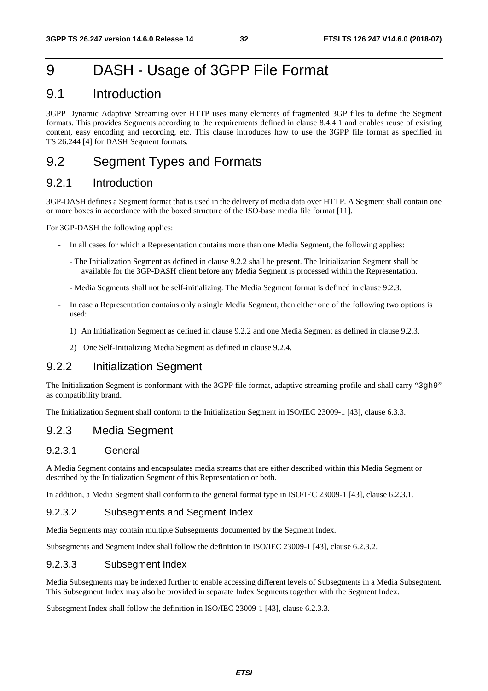## 9 DASH - Usage of 3GPP File Format

## 9.1 Introduction

3GPP Dynamic Adaptive Streaming over HTTP uses many elements of fragmented 3GP files to define the Segment formats. This provides Segments according to the requirements defined in clause 8.4.4.1 and enables reuse of existing content, easy encoding and recording, etc. This clause introduces how to use the 3GPP file format as specified in TS 26.244 [4] for DASH Segment formats.

## 9.2 Segment Types and Formats

#### 9.2.1 Introduction

3GP-DASH defines a Segment format that is used in the delivery of media data over HTTP. A Segment shall contain one or more boxes in accordance with the boxed structure of the ISO-base media file format [11].

For 3GP-DASH the following applies:

- In all cases for which a Representation contains more than one Media Segment, the following applies:
	- The Initialization Segment as defined in clause 9.2.2 shall be present. The Initialization Segment shall be available for the 3GP-DASH client before any Media Segment is processed within the Representation.
	- Media Segments shall not be self-initializing. The Media Segment format is defined in clause 9.2.3.
- In case a Representation contains only a single Media Segment, then either one of the following two options is used:
	- 1) An Initialization Segment as defined in clause 9.2.2 and one Media Segment as defined in clause 9.2.3.
	- 2) One Self-Initializing Media Segment as defined in clause 9.2.4.

### 9.2.2 Initialization Segment

The Initialization Segment is conformant with the 3GPP file format, adaptive streaming profile and shall carry "3gh9" as compatibility brand.

The Initialization Segment shall conform to the Initialization Segment in ISO/IEC 23009-1 [43], clause 6.3.3.

#### 9.2.3 Media Segment

#### 9.2.3.1 General

A Media Segment contains and encapsulates media streams that are either described within this Media Segment or described by the Initialization Segment of this Representation or both.

In addition, a Media Segment shall conform to the general format type in ISO/IEC 23009-1 [43], clause 6.2.3.1.

#### 9.2.3.2 Subsegments and Segment Index

Media Segments may contain multiple Subsegments documented by the Segment Index.

Subsegments and Segment Index shall follow the definition in ISO/IEC 23009-1 [43], clause 6.2.3.2.

#### 9.2.3.3 Subsegment Index

Media Subsegments may be indexed further to enable accessing different levels of Subsegments in a Media Subsegment. This Subsegment Index may also be provided in separate Index Segments together with the Segment Index.

Subsegment Index shall follow the definition in ISO/IEC 23009-1 [43], clause 6.2.3.3.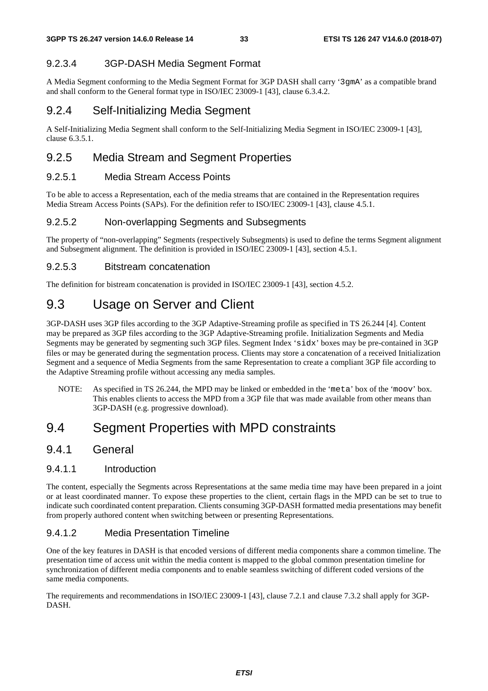#### 9.2.3.4 3GP-DASH Media Segment Format

A Media Segment conforming to the Media Segment Format for 3GP DASH shall carry '3gmA' as a compatible brand and shall conform to the General format type in ISO/IEC 23009-1 [43], clause 6.3.4.2.

### 9.2.4 Self-Initializing Media Segment

A Self-Initializing Media Segment shall conform to the Self-Initializing Media Segment in ISO/IEC 23009-1 [43], clause 6.3.5.1.

### 9.2.5 Media Stream and Segment Properties

#### 9.2.5.1 Media Stream Access Points

To be able to access a Representation, each of the media streams that are contained in the Representation requires Media Stream Access Points (SAPs). For the definition refer to ISO/IEC 23009-1 [43], clause 4.5.1.

#### 9.2.5.2 Non-overlapping Segments and Subsegments

The property of "non-overlapping" Segments (respectively Subsegments) is used to define the terms Segment alignment and Subsegment alignment. The definition is provided in ISO/IEC 23009-1 [43], section 4.5.1.

#### 9.2.5.3 Bitstream concatenation

The definition for bistream concatenation is provided in ISO/IEC 23009-1 [43], section 4.5.2.

## 9.3 Usage on Server and Client

3GP-DASH uses 3GP files according to the 3GP Adaptive-Streaming profile as specified in TS 26.244 [4]. Content may be prepared as 3GP files according to the 3GP Adaptive-Streaming profile. Initialization Segments and Media Segments may be generated by segmenting such 3GP files. Segment Index 'sidx' boxes may be pre-contained in 3GP files or may be generated during the segmentation process. Clients may store a concatenation of a received Initialization Segment and a sequence of Media Segments from the same Representation to create a compliant 3GP file according to the Adaptive Streaming profile without accessing any media samples.

NOTE: As specified in TS 26.244, the MPD may be linked or embedded in the 'meta' box of the 'moov' box. This enables clients to access the MPD from a 3GP file that was made available from other means than 3GP-DASH (e.g. progressive download).

## 9.4 Segment Properties with MPD constraints

#### 9.4.1 General

#### 9.4.1.1 Introduction

The content, especially the Segments across Representations at the same media time may have been prepared in a joint or at least coordinated manner. To expose these properties to the client, certain flags in the MPD can be set to true to indicate such coordinated content preparation. Clients consuming 3GP-DASH formatted media presentations may benefit from properly authored content when switching between or presenting Representations.

#### 9.4.1.2 Media Presentation Timeline

One of the key features in DASH is that encoded versions of different media components share a common timeline. The presentation time of access unit within the media content is mapped to the global common presentation timeline for synchronization of different media components and to enable seamless switching of different coded versions of the same media components.

The requirements and recommendations in ISO/IEC 23009-1 [43], clause 7.2.1 and clause 7.3.2 shall apply for 3GP-DASH.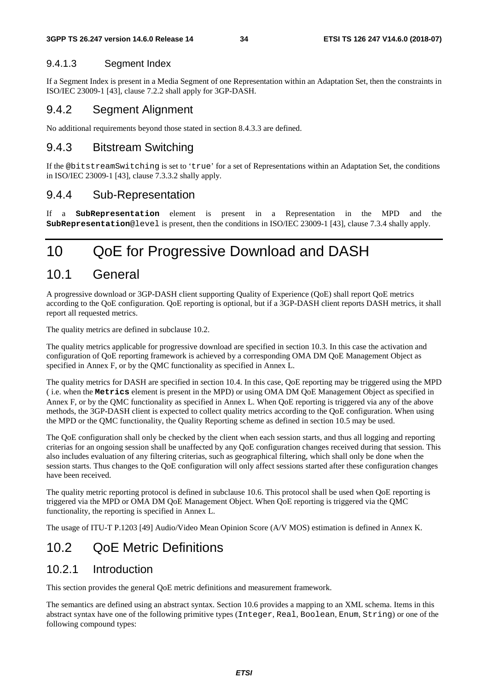#### 9.4.1.3 Segment Index

If a Segment Index is present in a Media Segment of one Representation within an Adaptation Set, then the constraints in ISO/IEC 23009-1 [43], clause 7.2.2 shall apply for 3GP-DASH.

#### 9.4.2 Segment Alignment

No additional requirements beyond those stated in section 8.4.3.3 are defined.

#### 9.4.3 Bitstream Switching

If the @bitstreamSwitching is set to 'true' for a set of Representations within an Adaptation Set, the conditions in ISO/IEC 23009-1 [43], clause 7.3.3.2 shally apply.

### 9.4.4 Sub-Representation

If a **SubRepresentation** element is present in a Representation in the MPD and the **SubRepresentation**@level is present, then the conditions in ISO/IEC 23009-1 [43], clause 7.3.4 shally apply.

## 10 QoE for Progressive Download and DASH

### 10.1 General

A progressive download or 3GP-DASH client supporting Quality of Experience (QoE) shall report QoE metrics according to the QoE configuration. QoE reporting is optional, but if a 3GP-DASH client reports DASH metrics, it shall report all requested metrics.

The quality metrics are defined in subclause 10.2.

The quality metrics applicable for progressive download are specified in section 10.3. In this case the activation and configuration of QoE reporting framework is achieved by a corresponding OMA DM QoE Management Object as specified in Annex F, or by the QMC functionality as specified in Annex L.

The quality metrics for DASH are specified in section 10.4. In this case, QoE reporting may be triggered using the MPD ( i.e. when the **Metrics** element is present in the MPD) or using OMA DM QoE Management Object as specified in Annex F, or by the QMC functionality as specified in Annex L. When QoE reporting is triggered via any of the above methods, the 3GP-DASH client is expected to collect quality metrics according to the QoE configuration. When using the MPD or the QMC functionality, the Quality Reporting scheme as defined in section 10.5 may be used.

The QoE configuration shall only be checked by the client when each session starts, and thus all logging and reporting criterias for an ongoing session shall be unaffected by any QoE configuration changes received during that session. This also includes evaluation of any filtering criterias, such as geographical filtering, which shall only be done when the session starts. Thus changes to the QoE configuration will only affect sessions started after these configuration changes have been received.

The quality metric reporting protocol is defined in subclause 10.6. This protocol shall be used when QoE reporting is triggered via the MPD or OMA DM QoE Management Object. When QoE reporting is triggered via the QMC functionality, the reporting is specified in Annex L.

The usage of ITU-T P.1203 [49] Audio/Video Mean Opinion Score (A/V MOS) estimation is defined in Annex K.

## 10.2 QoE Metric Definitions

### 10.2.1 Introduction

This section provides the general QoE metric definitions and measurement framework.

The semantics are defined using an abstract syntax. Section 10.6 provides a mapping to an XML schema. Items in this abstract syntax have one of the following primitive types (Integer, Real, Boolean, Enum, String) or one of the following compound types: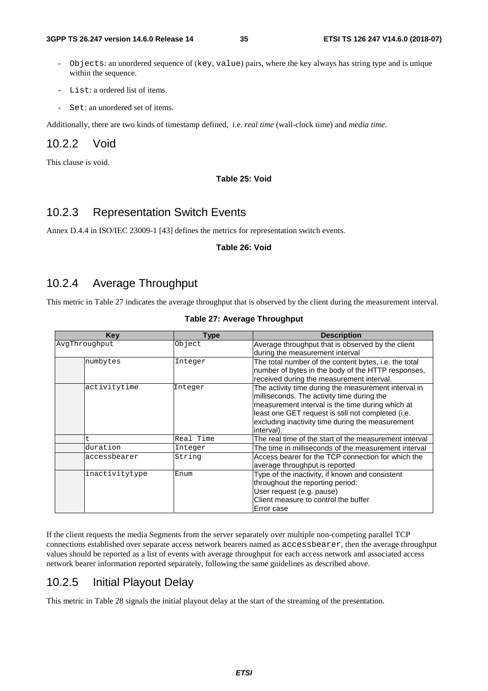- Objects: an unordered sequence of (key, value) pairs, where the key always has string type and is unique within the sequence.
- List: a ordered list of items.
- Set: an unordered set of items.

Additionally, there are two kinds of timestamp defined, i.e. *real time* (wall-clock time) and *media time*.

#### 10.2.2 Void

This clause is void.

#### **Table 25: Void**

#### 10.2.3 Representation Switch Events

Annex D.4.4 in ISO/IEC 23009-1 [43] defines the metrics for representation switch events.

#### **Table 26: Void**

### 10.2.4 Average Throughput

This metric in Table 27 indicates the average throughput that is observed by the client during the measurement interval.

| <b>Table 27: Average Throughput</b> |           |                                                                                                                                                                                                                                                                                |  |
|-------------------------------------|-----------|--------------------------------------------------------------------------------------------------------------------------------------------------------------------------------------------------------------------------------------------------------------------------------|--|
| Key<br><b>Type</b>                  |           | <b>Description</b>                                                                                                                                                                                                                                                             |  |
| AvqThrouqhput                       | Object    | Average throughput that is observed by the client<br>during the measurement interval                                                                                                                                                                                           |  |
| numbytes                            | Integer   | The total number of the content bytes, i.e. the total<br>number of bytes in the body of the HTTP responses,<br>received during the measurement interval.                                                                                                                       |  |
| activitytime                        | Integer   | The activity time during the measurement interval in<br>milliseconds. The activity time during the<br>measurement interval is the time during which at<br>least one GET request is still not completed (i.e.<br>excluding inactivity time during the measurement<br>interval). |  |
| t.                                  | Real Time | The real time of the start of the measurement interval                                                                                                                                                                                                                         |  |
| duration                            | Integer   | The time in milliseconds of the measurement interval                                                                                                                                                                                                                           |  |
| accessbearer                        | String    | Access bearer for the TCP connection for which the<br>average throughput is reported                                                                                                                                                                                           |  |

If the client requests the media Segments from the server separately over multiple non-competing parallel TCP connections established over separate access network bearers named as accessbearer, then the average throughput values should be reported as a list of events with average throughput for each access network and associated access network bearer information reported separately, following the same guidelines as described above.

inactivitytype Enum Type of the inactivity, if known and consistent

Error case

throughout the reporting period: User request (e.g. pause)

Client measure to control the buffer

### 10.2.5 Initial Playout Delay

This metric in Table 28 signals the initial playout delay at the start of the streaming of the presentation.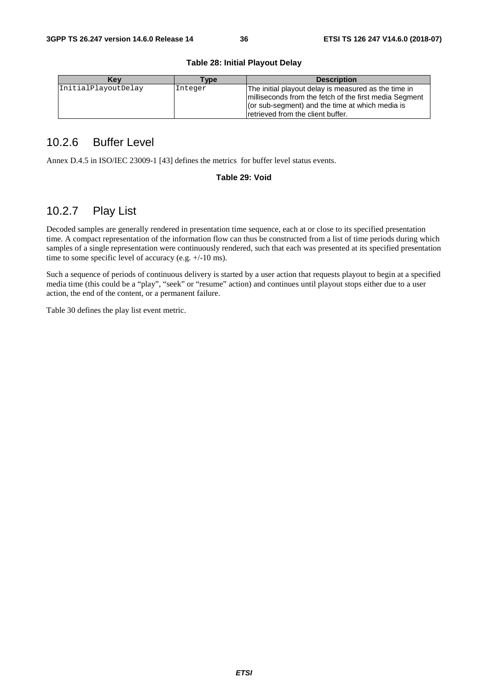#### **Table 28: Initial Playout Delay**

| Kev                 | <b>Type</b> | <b>Description</b>                                                                                                                                                                                       |
|---------------------|-------------|----------------------------------------------------------------------------------------------------------------------------------------------------------------------------------------------------------|
| InitialPlayoutDelay | Integer     | The initial playout delay is measured as the time in<br>Imilliseconds from the fetch of the first media Segment<br>(or sub-segment) and the time at which media is<br>Iretrieved from the client buffer. |

### 10.2.6 Buffer Level

Annex D.4.5 in ISO/IEC 23009-1 [43] defines the metrics for buffer level status events.

#### **Table 29: Void**

### 10.2.7 Play List

Decoded samples are generally rendered in presentation time sequence, each at or close to its specified presentation time. A compact representation of the information flow can thus be constructed from a list of time periods during which samples of a single representation were continuously rendered, such that each was presented at its specified presentation time to some specific level of accuracy (e.g. +/-10 ms).

Such a sequence of periods of continuous delivery is started by a user action that requests playout to begin at a specified media time (this could be a "play", "seek" or "resume" action) and continues until playout stops either due to a user action, the end of the content, or a permanent failure.

Table 30 defines the play list event metric.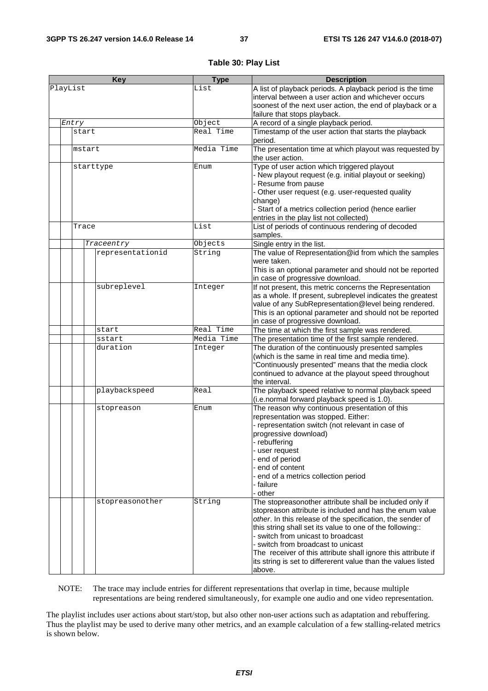#### **Table 30: Play List**

| <b>Key</b> |  | <b>Type</b> | <b>Description</b>                                        |            |                                                                                                                    |
|------------|--|-------------|-----------------------------------------------------------|------------|--------------------------------------------------------------------------------------------------------------------|
| PlayList   |  | List        | A list of playback periods. A playback period is the time |            |                                                                                                                    |
|            |  |             |                                                           |            | interval between a user action and whichever occurs                                                                |
|            |  |             |                                                           |            | soonest of the next user action, the end of playback or a                                                          |
|            |  |             |                                                           |            | failure that stops playback.                                                                                       |
|            |  | Entry       |                                                           | Object     | A record of a single playback period.                                                                              |
|            |  | start       |                                                           | Real Time  | Timestamp of the user action that starts the playback                                                              |
|            |  |             |                                                           |            | period.                                                                                                            |
|            |  |             | mstart                                                    | Media Time | The presentation time at which playout was requested by                                                            |
|            |  |             |                                                           |            | the user action.                                                                                                   |
|            |  |             | starttype                                                 | Enum       | Type of user action which triggered playout                                                                        |
|            |  |             |                                                           |            | - New playout request (e.g. initial playout or seeking)                                                            |
|            |  |             |                                                           |            | - Resume from pause                                                                                                |
|            |  |             |                                                           |            | - Other user request (e.g. user-requested quality                                                                  |
|            |  |             |                                                           |            | change)                                                                                                            |
|            |  |             |                                                           |            | - Start of a metrics collection period (hence earlier                                                              |
|            |  |             |                                                           |            | entries in the play list not collected)                                                                            |
|            |  | Trace       |                                                           | List       | List of periods of continuous rendering of decoded                                                                 |
|            |  |             |                                                           |            | samples.                                                                                                           |
|            |  |             | Traceentry                                                | Objects    | Single entry in the list.                                                                                          |
|            |  |             | representationid                                          | String     | The value of Representation@id from which the samples                                                              |
|            |  |             |                                                           |            | were taken.                                                                                                        |
|            |  |             |                                                           |            | This is an optional parameter and should not be reported                                                           |
|            |  |             | subreplevel                                               |            | in case of progressive download.<br>If not present, this metric concerns the Representation                        |
|            |  |             |                                                           | Integer    |                                                                                                                    |
|            |  |             |                                                           |            | as a whole. If present, subreplevel indicates the greatest<br>value of any SubRepresentation@level being rendered. |
|            |  |             |                                                           |            | This is an optional parameter and should not be reported                                                           |
|            |  |             |                                                           |            | in case of progressive download.                                                                                   |
|            |  |             | start                                                     | Real Time  | The time at which the first sample was rendered.                                                                   |
|            |  |             | sstart                                                    | Media Time | The presentation time of the first sample rendered.                                                                |
|            |  |             | duration                                                  | Integer    | The duration of the continuously presented samples                                                                 |
|            |  |             |                                                           |            | (which is the same in real time and media time).                                                                   |
|            |  |             |                                                           |            | 'Continuously presented" means that the media clock                                                                |
|            |  |             |                                                           |            | continued to advance at the playout speed throughout                                                               |
|            |  |             |                                                           |            | the interval.                                                                                                      |
|            |  |             | playbackspeed                                             | Real       | The playback speed relative to normal playback speed                                                               |
|            |  |             |                                                           |            | (i.e.normal forward playback speed is 1.0).                                                                        |
|            |  |             | stopreason                                                | Enum       | The reason why continuous presentation of this                                                                     |
|            |  |             |                                                           |            | representation was stopped. Either:                                                                                |
|            |  |             |                                                           |            | - representation switch (not relevant in case of                                                                   |
|            |  |             |                                                           |            | progressive download)                                                                                              |
|            |  |             |                                                           |            | rebuffering                                                                                                        |
|            |  |             |                                                           |            | - user request                                                                                                     |
|            |  |             |                                                           |            | end of period                                                                                                      |
|            |  |             |                                                           |            | end of content                                                                                                     |
|            |  |             |                                                           |            | end of a metrics collection period                                                                                 |
|            |  |             |                                                           |            | · failure                                                                                                          |
|            |  |             |                                                           |            | other -                                                                                                            |
|            |  |             | stopreasonother                                           | String     | The stopreasonother attribute shall be included only if<br>stopreason attribute is included and has the enum value |
|            |  |             |                                                           |            | other. In this release of the specification, the sender of                                                         |
|            |  |             |                                                           |            | this string shall set its value to one of the following::                                                          |
|            |  |             |                                                           |            | - switch from unicast to broadcast                                                                                 |
|            |  |             |                                                           |            | - switch from broadcast to unicast                                                                                 |
|            |  |             |                                                           |            | The receiver of this attribute shall ignore this attribute if                                                      |
|            |  |             |                                                           |            | its string is set to differerent value than the values listed                                                      |
|            |  |             |                                                           |            | above.                                                                                                             |

NOTE: The trace may include entries for different representations that overlap in time, because multiple representations are being rendered simultaneously, for example one audio and one video representation.

The playlist includes user actions about start/stop, but also other non-user actions such as adaptation and rebuffering. Thus the playlist may be used to derive many other metrics, and an example calculation of a few stalling-related metrics is shown below.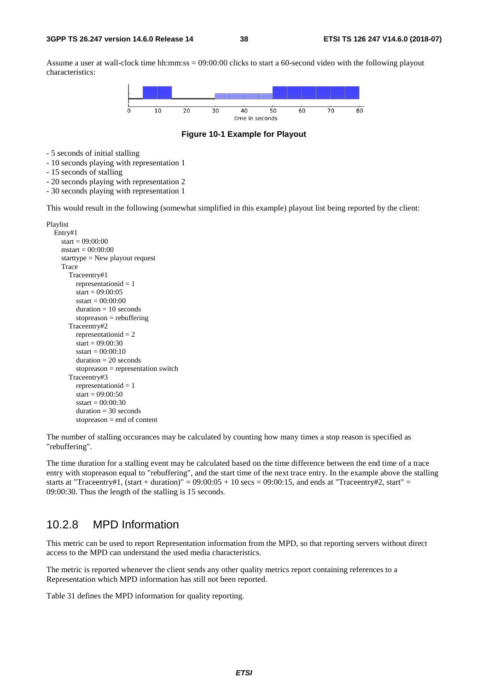Assume a user at wall-clock time hh:mm:ss = 09:00:00 clicks to start a 60-second video with the following playout characteristics:



**Figure 10-1 Example for Playout** 

- 5 seconds of initial stalling
- 10 seconds playing with representation 1
- 15 seconds of stalling
- 20 seconds playing with representation 2
- 30 seconds playing with representation 1

This would result in the following (somewhat simplified in this example) playout list being reported by the client:

```
Playlist 
   Entry#1 
     start = 09:00:00mstart = 00:00:00 starttype = New playout request 
      Trace 
        Traceentry#1 
          representationid = 1start = 09:00:05 sstart = 00:00:00 
           duration = 10 seconds 
          stopreason = rebuffering Traceentry#2 
           representationid = 2 
          start = 09:00:30sstart = 00:00:10 duration = 20 seconds 
          stopreason = representation switch Traceentry#3 
           representationid = 1 
          start = 09:00:50sstart = 00:00:30duration = 30 seconds
          stopreason = end of content
```
The number of stalling occurances may be calculated by counting how many times a stop reason is specified as "rebuffering".

The time duration for a stalling event may be calculated based on the time difference between the end time of a trace entry with stopreason equal to "rebuffering", and the start time of the next trace entry. In the example above the stalling starts at "Traceentry#1, (start + duration)" =  $09:00:05 + 10$  secs = 09:00:15, and ends at "Traceentry#2, start" = 09:00:30. Thus the length of the stalling is 15 seconds.

### 10.2.8 MPD Information

This metric can be used to report Representation information from the MPD, so that reporting servers without direct access to the MPD can understand the used media characteristics.

The metric is reported whenever the client sends any other quality metrics report containing references to a Representation which MPD information has still not been reported.

Table 31 defines the MPD information for quality reporting.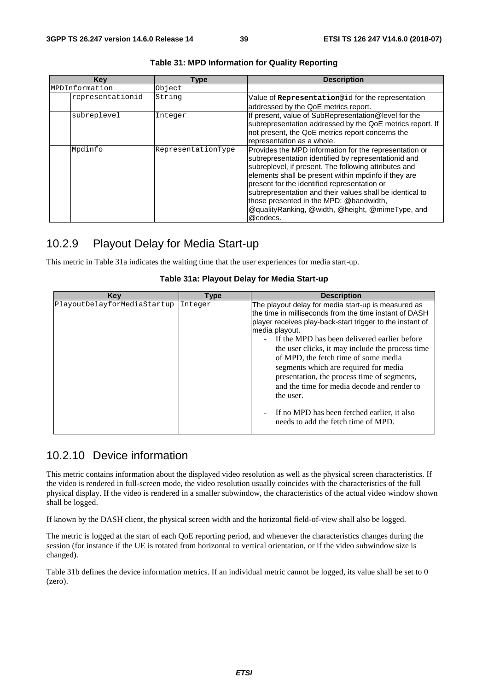| Key              | <b>Type</b>        | <b>Description</b>                                        |
|------------------|--------------------|-----------------------------------------------------------|
| MPDInformation   | Object             |                                                           |
| representationid | String             | Value of Representation@id for the representation         |
|                  |                    | addressed by the QoE metrics report.                      |
| subreplevel      | Integer            | If present, value of SubRepresentation@level for the      |
|                  |                    | subrepresentation addressed by the QoE metrics report. If |
|                  |                    | not present, the QoE metrics report concerns the          |
|                  |                    | representation as a whole.                                |
| Mpdinfo          | RepresentationType | Provides the MPD information for the representation or    |
|                  |                    | subrepresentation identified by representationid and      |
|                  |                    | subreplevel, if present. The following attributes and     |
|                  |                    | elements shall be present within mpdinfo if they are      |
|                  |                    | present for the identified representation or              |
|                  |                    | subrepresentation and their values shall be identical to  |
|                  |                    | those presented in the MPD: @bandwidth,                   |
|                  |                    | @qualityRanking, @width, @height, @mimeType, and          |
|                  |                    | @codecs.                                                  |

#### **Table 31: MPD Information for Quality Reporting**

### 10.2.9 Playout Delay for Media Start-up

This metric in Table 31a indicates the waiting time that the user experiences for media start-up.

| Table 31a: Playout Delay for Media Start-up |
|---------------------------------------------|
|---------------------------------------------|

| Kev                         | <b>Type</b> | <b>Description</b>                                                                                                                                                                                                                                                                                                                                                                                                                                                                                                                                                                               |
|-----------------------------|-------------|--------------------------------------------------------------------------------------------------------------------------------------------------------------------------------------------------------------------------------------------------------------------------------------------------------------------------------------------------------------------------------------------------------------------------------------------------------------------------------------------------------------------------------------------------------------------------------------------------|
| PlayoutDelayforMediaStartup | Integer     | The playout delay for media start-up is measured as<br>the time in milliseconds from the time instant of DASH<br>player receives play-back-start trigger to the instant of<br>media playout.<br>If the MPD has been delivered earlier before<br>$\sim 100$<br>the user clicks, it may include the process time<br>of MPD, the fetch time of some media<br>segments which are required for media<br>presentation, the process time of segments,<br>and the time for media decode and render to<br>the user.<br>If no MPD has been fetched earlier, it also<br>needs to add the fetch time of MPD. |

### 10.2.10 Device information

This metric contains information about the displayed video resolution as well as the physical screen characteristics. If the video is rendered in full-screen mode, the video resolution usually coincides with the characteristics of the full physical display. If the video is rendered in a smaller subwindow, the characteristics of the actual video window shown shall be logged.

If known by the DASH client, the physical screen width and the horizontal field-of-view shall also be logged.

The metric is logged at the start of each QoE reporting period, and whenever the characteristics changes during the session (for instance if the UE is rotated from horizontal to vertical orientation, or if the video subwindow size is changed).

Table 31b defines the device information metrics. If an individual metric cannot be logged, its value shall be set to 0 (zero).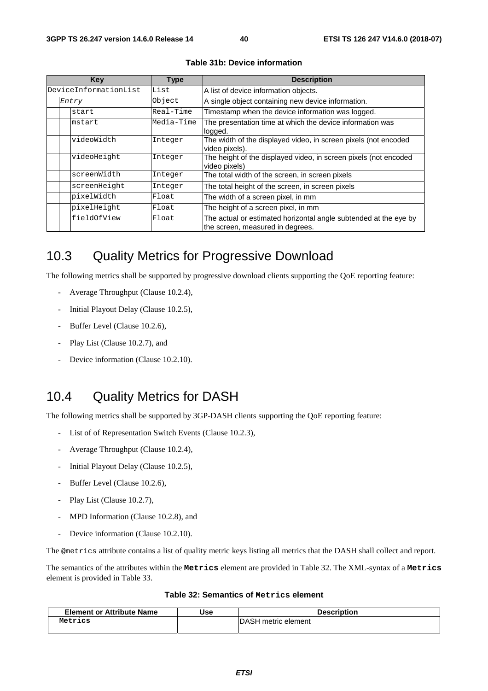| Key                   | <b>Type</b> | <b>Description</b>                                                                                   |
|-----------------------|-------------|------------------------------------------------------------------------------------------------------|
| DeviceInformationList | List        | A list of device information objects.                                                                |
| Entry                 | Object      | A single object containing new device information.                                                   |
| start                 | Real-Time   | Timestamp when the device information was logged.                                                    |
| mstart                | Media-Time  | The presentation time at which the device information was<br>logged.                                 |
| videoWidth            | Integer     | The width of the displayed video, in screen pixels (not encoded<br>video pixels).                    |
| videoHeight           | Integer     | The height of the displayed video, in screen pixels (not encoded<br>video pixels)                    |
| screenWidth           | Integer     | The total width of the screen, in screen pixels                                                      |
| screenHeight          | Integer     | The total height of the screen, in screen pixels                                                     |
| pixelWidth            | Float       | The width of a screen pixel, in mm                                                                   |
| pixelHeight           | Float       | The height of a screen pixel, in mm                                                                  |
| fieldOfView           | Float       | The actual or estimated horizontal angle subtended at the eye by<br>the screen, measured in degrees. |

**Table 31b: Device information** 

## 10.3 Quality Metrics for Progressive Download

The following metrics shall be supported by progressive download clients supporting the QoE reporting feature:

- Average Throughput (Clause 10.2.4),
- Initial Playout Delay (Clause 10.2.5),
- Buffer Level (Clause 10.2.6),
- Play List (Clause 10.2.7), and
- Device information (Clause 10.2.10).

### 10.4 Quality Metrics for DASH

The following metrics shall be supported by 3GP-DASH clients supporting the QoE reporting feature:

- List of of Representation Switch Events (Clause 10.2.3),
- Average Throughput (Clause 10.2.4),
- Initial Playout Delay (Clause 10.2.5),
- Buffer Level (Clause 10.2.6),
- Play List (Clause 10.2.7),
- MPD Information (Clause 10.2.8), and
- Device information (Clause 10.2.10).

The @metrics attribute contains a list of quality metric keys listing all metrics that the DASH shall collect and report.

The semantics of the attributes within the **Metrics** element are provided in Table 32. The XML-syntax of a **Metrics** element is provided in Table 33.

#### **Table 32: Semantics of Metrics element**

| <b>Element or Attribute Name</b> | Use | <b>Description</b>          |
|----------------------------------|-----|-----------------------------|
| Metrics                          |     | <b>IDASH</b> metric element |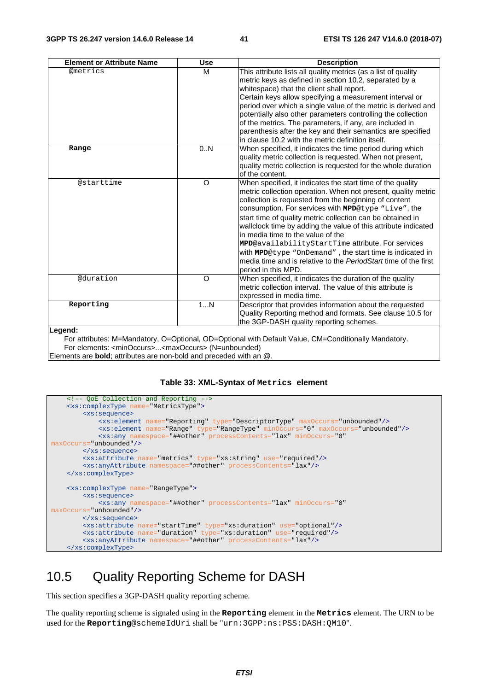| <b>Element or Attribute Name</b>                                                      | <b>Use</b> | <b>Description</b>                                                                                                                                                                                                                                                                                                                                                                                                                                                                                                                                                                                                          |
|---------------------------------------------------------------------------------------|------------|-----------------------------------------------------------------------------------------------------------------------------------------------------------------------------------------------------------------------------------------------------------------------------------------------------------------------------------------------------------------------------------------------------------------------------------------------------------------------------------------------------------------------------------------------------------------------------------------------------------------------------|
| <b>@metrics</b>                                                                       | м          | This attribute lists all quality metrics (as a list of quality<br>metric keys as defined in section 10.2, separated by a<br>whitespace) that the client shall report.<br>Certain keys allow specifying a measurement interval or                                                                                                                                                                                                                                                                                                                                                                                            |
|                                                                                       |            | period over which a single value of the metric is derived and<br>potentially also other parameters controlling the collection<br>of the metrics. The parameters, if any, are included in                                                                                                                                                                                                                                                                                                                                                                                                                                    |
|                                                                                       |            | parenthesis after the key and their semantics are specified<br>in clause 10.2 with the metric definition itself.                                                                                                                                                                                                                                                                                                                                                                                                                                                                                                            |
| Range                                                                                 | 0.N        | When specified, it indicates the time period during which<br>quality metric collection is requested. When not present,<br>quality metric collection is requested for the whole duration<br>of the content.                                                                                                                                                                                                                                                                                                                                                                                                                  |
| @starttime                                                                            | $\Omega$   | When specified, it indicates the start time of the quality<br>metric collection operation. When not present, quality metric<br>collection is requested from the beginning of content<br>consumption. For services with MPD@type "Live", the<br>start time of quality metric collection can be obtained in<br>wallclock time by adding the value of this attribute indicated<br>in media time to the value of the<br>MPD@availabilityStartTime attribute. For services<br>with MPD@type "OnDemand", the start time is indicated in<br>media time and is relative to the PeriodStart time of the first<br>period in this MPD. |
| @duration                                                                             | $\circ$    | When specified, it indicates the duration of the quality<br>metric collection interval. The value of this attribute is<br>expressed in media time.                                                                                                                                                                                                                                                                                                                                                                                                                                                                          |
| Reporting                                                                             | 1N         | Descriptor that provides information about the requested<br>Quality Reporting method and formats. See clause 10.5 for<br>the 3GP-DASH quality reporting schemes.                                                                                                                                                                                                                                                                                                                                                                                                                                                            |
| Legend:<br>For elements: <minoccurs><maxoccurs> (N=unbounded)</maxoccurs></minoccurs> |            | For attributes: M=Mandatory, O=Optional, OD=Optional with Default Value, CM=Conditionally Mandatory.                                                                                                                                                                                                                                                                                                                                                                                                                                                                                                                        |

Elements are **bold**; attributes are non-bold and preceded with an @.

#### **Table 33: XML-Syntax of Metrics element**



## 10.5 Quality Reporting Scheme for DASH

This section specifies a 3GP-DASH quality reporting scheme.

The quality reporting scheme is signaled using in the **Reporting** element in the **Metrics** element. The URN to be used for the **Reporting**@schemeIdUri shall be "urn:3GPP:ns:PSS:DASH:QM10".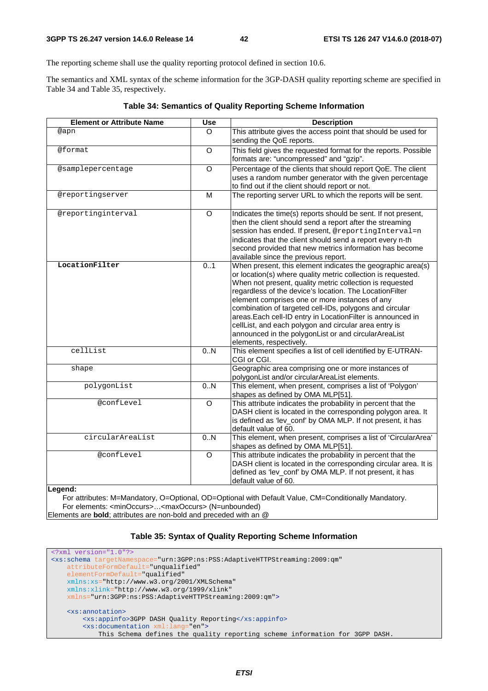The reporting scheme shall use the quality reporting protocol defined in section 10.6.

The semantics and XML syntax of the scheme information for the 3GP-DASH quality reporting scheme are specified in Table 34 and Table 35, respectively.

| <b>Element or Attribute Name</b> | <b>Use</b>     | <b>Description</b>                                                                                                                                                               |
|----------------------------------|----------------|----------------------------------------------------------------------------------------------------------------------------------------------------------------------------------|
| @apn                             | $\Omega$       | This attribute gives the access point that should be used for                                                                                                                    |
|                                  |                | sending the QoE reports.                                                                                                                                                         |
| @format                          | $\circ$        | This field gives the requested format for the reports. Possible                                                                                                                  |
|                                  |                | formats are: "uncompressed" and "gzip".                                                                                                                                          |
| @samplepercentage                | $\overline{O}$ | Percentage of the clients that should report QoE. The client                                                                                                                     |
|                                  |                | uses a random number generator with the given percentage                                                                                                                         |
|                                  |                | to find out if the client should report or not.                                                                                                                                  |
| @reportingserver                 | M              | The reporting server URL to which the reports will be sent.                                                                                                                      |
| @reportinginterval               | $\circ$        | Indicates the time(s) reports should be sent. If not present,<br>then the client should send a report after the streaming<br>session has ended. If present, @reportingInterval=n |
|                                  |                | indicates that the client should send a report every n-th                                                                                                                        |
|                                  |                | second provided that new metrics information has become                                                                                                                          |
|                                  |                | available since the previous report.                                                                                                                                             |
| LocationFilter                   | 0.1            | When present, this element indicates the geographic area(s)<br>or location(s) where quality metric collection is requested.                                                      |
|                                  |                | When not present, quality metric collection is requested                                                                                                                         |
|                                  |                | regardless of the device's location. The LocationFilter                                                                                                                          |
|                                  |                | element comprises one or more instances of any                                                                                                                                   |
|                                  |                | combination of targeted cell-IDs, polygons and circular<br>areas. Each cell-ID entry in Location Filter is announced in                                                          |
|                                  |                | cellList, and each polygon and circular area entry is                                                                                                                            |
|                                  |                | announced in the polygonList or and circularAreaList                                                                                                                             |
|                                  |                | elements, respectively.                                                                                                                                                          |
| cellList                         | 0.N            | This element specifies a list of cell identified by E-UTRAN-                                                                                                                     |
|                                  |                | CGI or CGI.                                                                                                                                                                      |
| shape                            |                | Geographic area comprising one or more instances of                                                                                                                              |
|                                  |                | polygonList and/or circularAreaList elements.                                                                                                                                    |
| polygonList                      | 0N             | This element, when present, comprises a list of 'Polygon'                                                                                                                        |
|                                  |                | shapes as defined by OMA MLP[51].                                                                                                                                                |
| @confLevel                       | $\circ$        | This attribute indicates the probability in percent that the                                                                                                                     |
|                                  |                | DASH client is located in the corresponding polygon area. It                                                                                                                     |
|                                  |                | is defined as 'lev_conf' by OMA MLP. If not present, it has<br>default value of 60.                                                                                              |
| circularAreaList                 | 0.N            | This element, when present, comprises a list of 'CircularArea'                                                                                                                   |
|                                  |                | shapes as defined by OMA MLP[51].                                                                                                                                                |
| @confLevel                       | $\overline{O}$ | This attribute indicates the probability in percent that the                                                                                                                     |
|                                  |                | DASH client is located in the corresponding circular area. It is                                                                                                                 |
|                                  |                | defined as 'lev_conf' by OMA MLP. If not present, it has                                                                                                                         |
|                                  |                | default value of 60.                                                                                                                                                             |
| ll egend:                        |                |                                                                                                                                                                                  |

#### **Table 34: Semantics of Quality Reporting Scheme Information**

**Legend:**

For attributes: M=Mandatory, O=Optional, OD=Optional with Default Value, CM=Conditionally Mandatory. For elements: <minOccurs>…<maxOccurs> (N=unbounded) Elements are **bold**; attributes are non-bold and preceded with an @

#### **Table 35: Syntax of Quality Reporting Scheme Information**

```
<?xml version="1.0"?>
<xs:schema targetNamespace="urn:3GPP:ns:PSS:AdaptiveHTTPStreaming:2009:qm"
    attributeFormDefault="unqualified"
   elementFormDefault="qualified"
    xmlns:xs="http://www.w3.org/2001/XMLSchema" 
    xmlns:xlink="http://www.w3.org/1999/xlink" 
     xmlns="urn:3GPP:ns:PSS:AdaptiveHTTPStreaming:2009:qm">
     <xs:annotation>
        <xs:appinfo>3GPP DASH Quality Reporting</xs:appinfo>
         <xs:documentation xml:lang="en">
            This Schema defines the quality reporting scheme information for 3GPP DASH.
```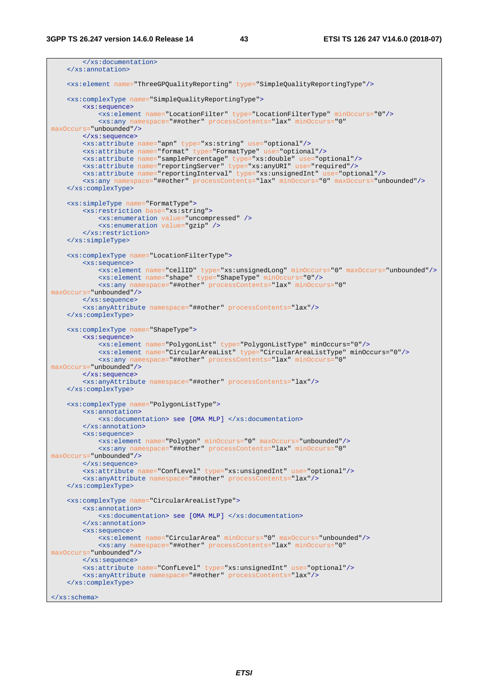```
 </xs:documentation>
     </xs:annotation> 
     <xs:element name="ThreeGPQualityReporting" type="SimpleQualityReportingType"/>
     <xs:complexType name="SimpleQualityReportingType"> 
         <xs:sequence>
             <xs:element name="LocationFilter" type="LocationFilterType" minOccurs="0"/> 
             <xs:any namespace="##other" processContents="lax" minOccurs="0"
maxOccurs="unbounded"/> 
         </xs:sequence>
 <xs:attribute name="apn" type="xs:string" use="optional"/>
 <xs:attribute name="format" type="FormatType" use="optional"/>
         <xs:attribute name="samplePercentage" type="xs:double" use="optional"/>
 <xs:attribute name="reportingServer" type="xs:anyURI" use="required"/>
 <xs:attribute name="reportingInterval" type="xs:unsignedInt" use="optional"/> 
         <xs:any namespace="##other" processContents="lax" minOccurs="0" maxOccurs="unbounded"/>
     </xs:complexType>
 <xs:simpleType name="FormatType"> 
 <xs:restriction base="xs:string">
             <xs:enumeration value="uncompressed" />
             <xs:enumeration value="gzip" />
         </xs:restriction>
     </xs:simpleType> 
     <xs:complexType name="LocationFilterType">
        <xs:sequence>
             <xs:element name="cellID" type="xs:unsignedLong" minOccurs="0" maxOccurs="unbounded"/> 
             <xs:element name="shape" type="ShapeType" minOccurs="0"/> 
             <xs:any namespace="##other" processContents="lax" minOccurs="0"
maxOccurs="unbounded"/>
         </xs:sequence> 
         <xs:anyAttribute namespace="##other" processContents="lax"/> 
     </xs:complexType> 
     <xs:complexType name="ShapeType"> 
        <xs:sequence>
             <xs:element name="PolygonList" type="PolygonListType" minOccurs="0"/> 
             <xs:element name="CircularAreaList" type="CircularAreaListType" minOccurs="0"/> 
            <xs:any namespace="##other" processContents="lax" minOccurs=
maxOccurs="unbounded"/>
         </xs:sequence> 
         <xs:anyAttribute namespace="##other" processContents="lax"/> 
     </xs:complexType> 
     <xs:complexType name="PolygonListType">
        <xs:annotation> 
             <xs:documentation> see [OMA MLP] </xs:documentation> 
         </xs:annotation> 
         <xs:sequence> 
             <xs:element name="Polygon" minOccurs="0" maxOccurs="unbounded"/> 
             <xs:any namespace="##other" processContents="lax" minOccurs="0"
maxOccurs="unbounded"/> 
         </xs:sequence>
         <xs:attribute name="ConfLevel" type="xs:unsignedInt" use="optional"/> 
         <xs:anyAttribute namespace="##other" processContents="lax"/> 
     </xs:complexType> 
     <xs:complexType name="CircularAreaListType">
         <xs:annotation> 
             <xs:documentation> see [OMA MLP] </xs:documentation> 
         </xs:annotation> 
         <xs:sequence> 
             <xs:element name="CircularArea" minOccurs="0" maxOccurs="unbounded"/> 
             <xs:any namespace="##other" processContents="lax" minOccurs="0"
maxOccurs="unbounded"/> 
         </xs:sequence>
         <xs:attribute name="ConfLevel" type="xs:unsignedInt" use="optional"/> 
         <xs:anyAttribute namespace="##other" processContents="lax"/> 
     </xs:complexType> 
</xs:schema>
```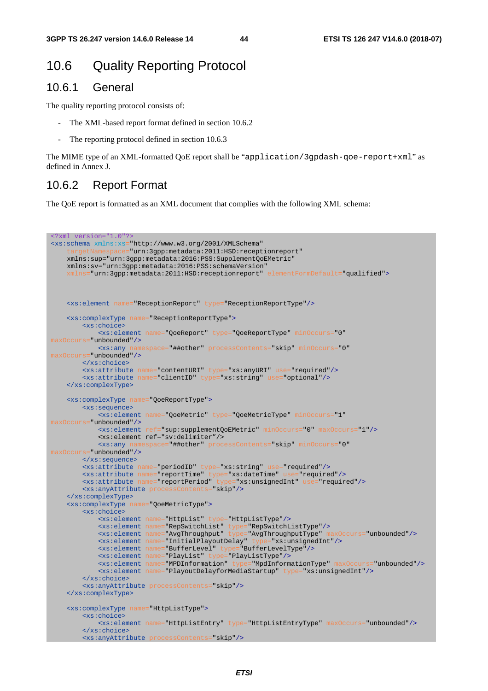### 10.6 Quality Reporting Protocol

### 10.6.1 General

The quality reporting protocol consists of:

- The XML-based report format defined in section 10.6.2
- The reporting protocol defined in section 10.6.3

The MIME type of an XML-formatted QoE report shall be "application/3gpdash-qoe-report+xml" as defined in Annex J.

#### 10.6.2 Report Format

The QoE report is formatted as an XML document that complies with the following XML schema:

```
<?xml version="1.0"?>
<xs:schema xmlns:xs="http://www.w3.org/2001/XMLSchema" 
                   ="urn:3gpp:metadata:2011:HSD:receptionreport"
   xmlns:sup="urn:3gpp:metadata:2016:PSS:SupplementQoEMetric" 
   xmlns:sv="urn:3gpp:metadata:2016:PSS:schemaVersion" 
     nlns="urn:3gpp:metadata:2011:HSD:receptionreport" elementFormDefault="gualified">
    <xs:element name="ReceptionReport" type="ReceptionReportType"/>
    <xs:complexType name="ReceptionReportType">
        <xs:choice>
            <xs:element name="QoeReport" type="QoeReportType" minOccurs="0"
 maxOccurs="unbounded"/>
            <xs:any namespace="##other" processContents="skip" minOccurs="0"
maxOccurs="unbounded"/>
        </xs:choice>
        <xs:attribute name="contentURI" type="xs:anyURI" use="required"/>
        <xs:attribute name="clientID" type="xs:string" use="optional"/>
    </xs:complexType>
    <xs:complexType name="QoeReportType">
       <xs:sequence>
            <xs:element name="QoeMetric" type="QoeMetricType" minOccurs="1"
maxOccurs="unbounded"/> 
            <xs:element ref="sup:supplementQoEMetric" minOccurs="0" maxOccurs="1"/> 
            <xs:element ref="sv:delimiter"/> 
 <xs:any namespace="##other" processContents="skip" minOccurs="0"
maxOccurs="unbounded"/>
        </xs:sequence>
 <xs:attribute name="periodID" type="xs:string" use="required"/>
 <xs:attribute name="reportTime" type="xs:dateTime" use="required"/>
 <xs:attribute name="reportPeriod" type="xs:unsignedInt" use="required"/>
        <xs:anyAttribute processContents="skip"/>
    </xs:complexType>
    <xs:complexType name="QoeMetricType">
        <xs:choice>
            <xs:element name="HttpList" type="HttpListType"/>
 <xs:element name="RepSwitchList" type="RepSwitchListType"/>
 <xs:element name="AvgThroughput" type="AvgThroughputType" maxOccurs="unbounded"/>
            <xs:element name="InitialPlayoutDelay" type="xs:unsignedInt"/>
 <xs:element name="BufferLevel" type="BufferLevelType"/>
 <xs:element name="PlayList" type="PlayListType"/>
            <xs:element name="MPDInformation" type="MpdInformationType" maxOccurs="unbounded"/>
            <xs:element name="PlayoutDelayforMediaStartup" type="xs:unsignedInt"/>
        </xs:choice>
        <xs:anyAttribute processContents="skip"/>
    </xs:complexType>
    <xs:complexType name="HttpListType">
        <xs:choice>
            <xs:element name="HttpListEntry" type="HttpListEntryType" maxOccurs="unbounded"/>
        </xs:choice>
        <xs:anyAttribute processContents="skip"/>
```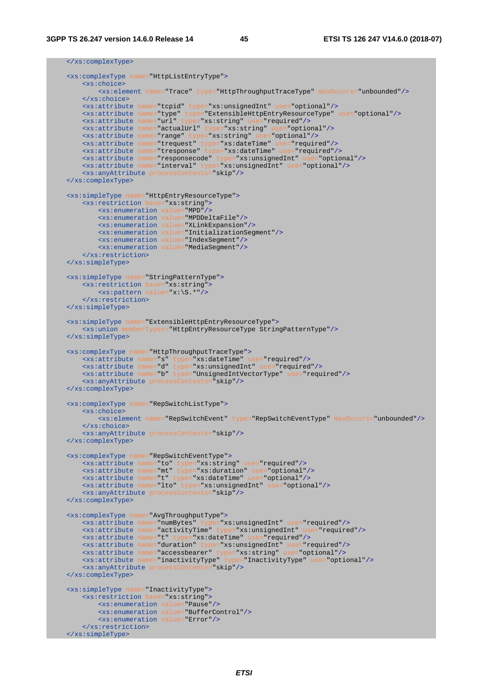</xs:complexType>

```
 <xs:complexType name="HttpListEntryType">
       <xs:choice>
           <xs:element name="Trace" type="HttpThroughputTraceType" maxOccurs="unbounded"/>
        </xs:choice>
        <xs:attribute name="tcpid" type="xs:unsignedInt" use="optional"/>
 <xs:attribute name="type" type="ExtensibleHttpEntryResourceType" use="optional"/>
 <xs:attribute name="url" type="xs:string" use="required"/>
        <xs:attribute name="actualUrl" type="xs:string" use="optional"/>
 <xs:attribute name="range" type="xs:string" use="optional"/>
 <xs:attribute name="trequest" type="xs:dateTime" use="required"/>
 <xs:attribute name="tresponse" type="xs:dateTime" use="required"/>
 <xs:attribute name="responsecode" type="xs:unsignedInt" use="optional"/>
 <xs:attribute name="interval" type="xs:unsignedInt" use="optional"/>
 <xs:anyAttribute processContents="skip"/>
    </xs:complexType>
    <xs:simpleType name="HttpEntryResourceType">
 <xs:restriction base="xs:string">
 <xs:enumeration value="MPD"/>
 <xs:enumeration value="MPDDeltaFile"/>
            <xs:enumeration value="XLinkExpansion"/>
           <xs:enumeration value="InitializationSegment"/>
 <xs:enumeration value="IndexSegment"/>
 <xs:enumeration value="MediaSegment"/>
        </xs:restriction>
    </xs:simpleType>
 <xs:simpleType name="StringPatternType">
 <xs:restriction base="xs:string">
           <xs:pattern value="x:\S.*"/>
        </xs:restriction>
    </xs:simpleType>
    <xs:simpleType name="ExtensibleHttpEntryResourceType">
       <xs:union memberTypes="HttpEntryResourceType StringPatternType"/>
    </xs:simpleType>
    <xs:complexType name="HttpThroughputTraceType">
 <xs:attribute name="s" type="xs:dateTime" use="required"/>
 <xs:attribute name="d" type="xs:unsignedInt" use="required"/>
 <xs:attribute name="b" type="UnsignedIntVectorType" use="required"/>
        <xs:anyAttribute processContents="skip"/>
    </xs:complexType>
    <xs:complexType name="RepSwitchListType">
       <xs:choice>
            <xs:element name="RepSwitchEvent" type="RepSwitchEventType" maxOccurs="unbounded"/>
        </xs:choice>
        <xs:anyAttribute processContents="skip"/>
    </xs:complexType>
    <xs:complexType name="RepSwitchEventType">
 <xs:attribute name="to" type="xs:string" use="required"/>
 <xs:attribute name="mt" type="xs:duration" use="optional"/>
 <xs:attribute name="t" type="xs:dateTime" use="optional"/>
        <xs:attribute name="lto" type="xs:unsignedInt" use="optional"/>
        <xs:anyAttribute processContents="skip"/>
    </xs:complexType>
    <xs:complexType name="AvgThroughputType">
 <xs:attribute name="numBytes" type="xs:unsignedInt" use="required"/>
 <xs:attribute name="activityTime" type="xs:unsignedInt" use="required"/>
 <xs:attribute name="t" type="xs:dateTime" use="required"/>
 <xs:attribute name="duration" type="xs:unsignedInt" use="required"/>
 <xs:attribute name="accessbearer" type="xs:string" use="optional"/>
 <xs:attribute name="inactivityType" type="InactivityType" use="optional"/>
        <xs:anyAttribute processContents="skip"/>
    </xs:complexType>
    <xs:simpleType name="InactivityType">
        <xs:restriction base="xs:string">
 <xs:enumeration value="Pause"/>
 <xs:enumeration value="BufferControl"/>
           <xs:enumeration value="Error"/>
        </xs:restriction>
    </xs:simpleType>
```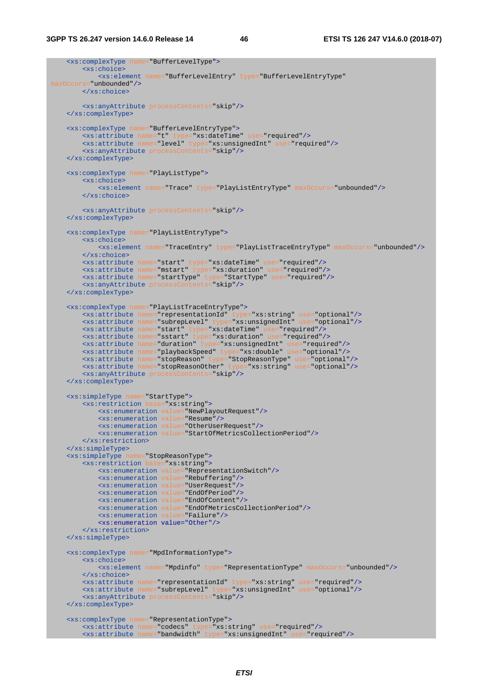```
 <xs:complexType name="BufferLevelType">
       <xs:choice>
           <xs:element name="BufferLevelEntry" type="BufferLevelEntryType"
maxOccurs="unbounded"/>
        </xs:choice>
       <xs:anyAttribute processContents="skip"/>
    </xs:complexType>
    <xs:complexType name="BufferLevelEntryType">
 <xs:attribute name="t" type="xs:dateTime" use="required"/>
 <xs:attribute name="level" type="xs:unsignedInt" use="required"/>
 <xs:anyAttribute processContents="skip"/>
    </xs:complexType>
    <xs:complexType name="PlayListType">
       <xs:choice>
          <xs:element name="Trace" type="PlayListEntryType" maxOccurs="unbounded"/>
        </xs:choice>
        <xs:anyAttribute processContents="skip"/>
    </xs:complexType>
    <xs:complexType name="PlayListEntryType">
       <xs:choice>
           <xs:element name="TraceEntry" type="PlayListTraceEntryType" maxOccurs="unbounded"/>
        </xs:choice>
 <xs:attribute name="start" type="xs:dateTime" use="required"/>
 <xs:attribute name="mstart" type="xs:duration" use="required"/>
 <xs:attribute name="startType" type="StartType" use="required"/>
 <xs:anyAttribute processContents="skip"/>
    </xs:complexType>
 <xs:complexType name="PlayListTraceEntryType">
 <xs:attribute name="representationId" type="xs:string" use="optional"/>
 <xs:attribute name="subrepLevel" type="xs:unsignedInt" use="optional"/>
 <xs:attribute name="start" type="xs:dateTime" use="required"/>
 <xs:attribute name="sstart" type="xs:duration" use="required"/>
 <xs:attribute name="duration" type="xs:unsignedInt" use="required"/>
 <xs:attribute name="playbackSpeed" type="xs:double" use="optional"/>
 <xs:attribute name="stopReason" type="StopReasonType" use="optional"/> 
 <xs:attribute name="stopReasonOther" type="xs:string" use="optional"/>
        <xs:anyAttribute processContents="skip"/>
    </xs:complexType>
 <xs:simpleType name="StartType">
 <xs:restriction base="xs:string">
 <xs:enumeration value="NewPlayoutRequest"/>
 <xs:enumeration value="Resume"/>
           <xs:enumeration value="OtherUserRequest"/>
           <xs:enumeration value="StartOfMetricsCollectionPeriod"/>
        </xs:restriction>
    </xs:simpleType>
    <xs:simpleType name="StopReasonType">
        <xs:restriction base="xs:string">
 <xs:enumeration value="RepresentationSwitch"/>
 <xs:enumeration value="Rebuffering"/>
           <xs:enumeration value="UserRequest"/>
 <xs:enumeration value="EndOfPeriod"/>
 <xs:enumeration value="EndOfContent"/>
 <xs:enumeration value="EndOfMetricsCollectionPeriod"/>
 <xs:enumeration value="Failure"/> 
           <xs:enumeration value="Other"/>
        </xs:restriction>
    </xs:simpleType>
    <xs:complexType name="MpdInformationType">
       <xs:choice>
           <xs:element name="Mpdinfo" type="RepresentationType" maxOccurs="unbounded"/>
        </xs:choice>
        <xs:attribute name="representationId" type="xs:string" use="required"/>
        <xs:attribute name="subrepLevel" type="xs:unsignedInt" use="optional"/>
        <xs:anyAttribute processContents="skip"/>
    </xs:complexType>
    <xs:complexType name="RepresentationType">
       <xs:attribute name="codecs" type="xs:string" use="required"/>
        <xs:attribute name="bandwidth" type="xs:unsignedInt" use="required"/>
```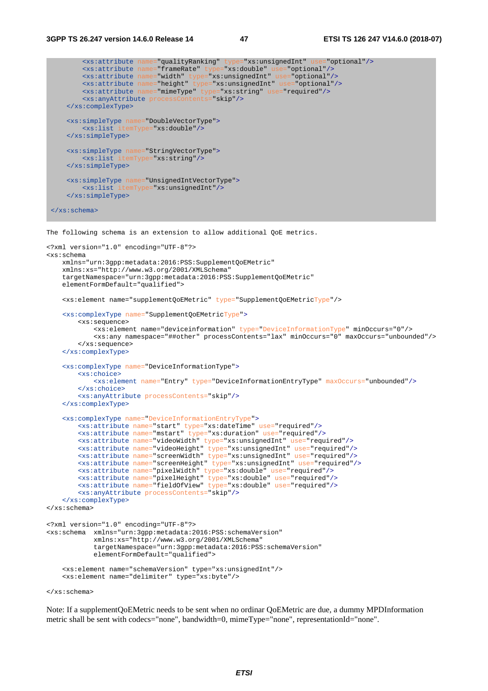```
 <xs:attribute name="qualityRanking" type="xs:unsignedInt" use="optional"/>
 <xs:attribute name="frameRate" type="xs:double" use="optional"/>
 <xs:attribute name="width" type="xs:unsignedInt" use="optional"/>
 <xs:attribute name="height" type="xs:unsignedInt" use="optional"/>
 <xs:attribute name="mimeType" type="xs:string" use="required"/>
 <xs:anyAttribute processContents="skip"/>
    </xs:complexType>
 <xs:simpleType name="DoubleVectorType">
 <xs:list itemType="xs:double"/>
    </xs:simpleType>
    <xs:simpleType name="StringVectorType">
        <xs:list itemType="xs:string"/>
    </xs:simpleType> 
    <xs:simpleType name="UnsignedIntVectorType">
        <xs:list itemType="xs:unsignedInt"/>
    </xs:simpleType>
</xs:schema>
```
The following schema is an extension to allow additional QoE metrics.

```
<?xml version="1.0" encoding="UTF-8"?> 
<xs:schema 
    xmlns="urn:3gpp:metadata:2016:PSS:SupplementQoEMetric" 
    xmlns:xs="http://www.w3.org/2001/XMLSchema" 
     targetNamespace="urn:3gpp:metadata:2016:PSS:SupplementQoEMetric" 
     elementFormDefault="qualified"> 
     <xs:element name="supplementQoEMetric" type="SupplementQoEMetricType"/> 
    <xs:complexType name="SupplementQoEMetricType"> 
         <xs:sequence> 
             <xs:element name="deviceinformation" type="DeviceInformationType" minOccurs="0"/> 
             <xs:any namespace="##other" processContents="lax" minOccurs="0" maxOccurs="unbounded"/> 
         </xs:sequence> 
     </xs:complexType>
     <xs:complexType name="DeviceInformationType">
        <xs:choice>
             <xs:element name="Entry" type="DeviceInformationEntryType" maxOccurs="unbounded"/>
         </xs:choice>
         <xs:anyAttribute processContents="skip"/>
     </xs:complexType> 
     <xs:complexType name="DeviceInformationEntryType"> 
         <xs:attribute name="start" type="xs:dateTime" use="required"/>
         <xs:attribute name="mstart" type="xs:duration" use="required"/>
         <xs:attribute name="videoWidth" type="xs:unsignedInt" use="required"/>
         <xs:attribute name="videoHeight" type="xs:unsignedInt" use="required"/>
         <xs:attribute name="screenWidth" type="xs:unsignedInt" use="required"/>
         <xs:attribute name="screenHeight" type="xs:unsignedInt" use="required"/> 
         <xs:attribute name="pixelWidth" type="xs:double" use="required"/>
         <xs:attribute name="pixelHeight" type="xs:double" use="required"/> 
         <xs:attribute name="fieldOfView" type="xs:double" use="required"/>
         <xs:anyAttribute processContents="skip"/> 
     </xs:complexType>
</xs:schema> 
<?xml version="1.0" encoding="UTF-8"?> 
<xs:schema xmlns="urn:3gpp:metadata:2016:PSS:schemaVersion" 
             xmlns:xs="http://www.w3.org/2001/XMLSchema" 
             targetNamespace="urn:3gpp:metadata:2016:PSS:schemaVersion" 
             elementFormDefault="qualified"> 
     <xs:element name="schemaVersion" type="xs:unsignedInt"/> 
     <xs:element name="delimiter" type="xs:byte"/>
```
</xs:schema>

Note: If a supplementQoEMetric needs to be sent when no ordinar QoEMetric are due, a dummy MPDInformation metric shall be sent with codecs="none", bandwidth=0, mimeType="none", representationId="none".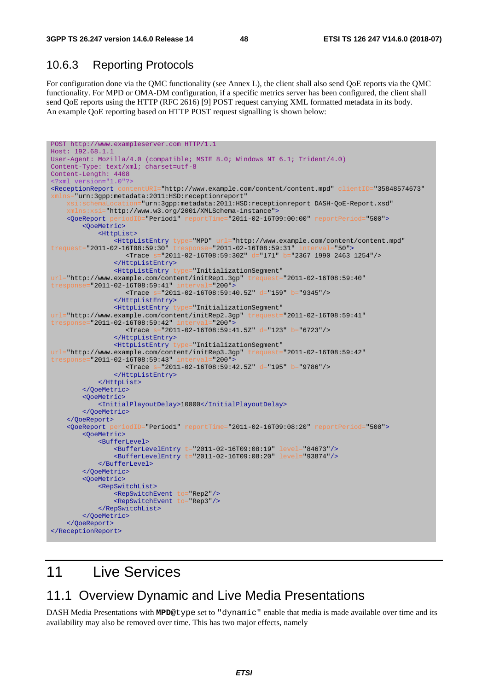### 10.6.3 Reporting Protocols

For configuration done via the QMC functionality (see Annex L), the client shall also send QoE reports via the QMC functionality. For MPD or OMA-DM configuration, if a specific metrics server has been configured, the client shall send QoE reports using the HTTP (RFC 2616) [9] POST request carrying XML formatted metadata in its body. An example QoE reporting based on HTTP POST request signalling is shown below:

```
POST http://www.exampleserver.com HTTP/1.1 
Host: 192.68.1.1 
User-Agent: Mozilla/4.0 (compatible; MSIE 8.0; Windows NT 6.1; Trident/4.0) 
Content-Type: text/xml; charset=utf-8 
Content-Length: 4408 
<?xml version="1.0"?>
<ReceptionReport contentURI="http://www.example.com/content/content.mpd" clientID="35848574673"
xmlns="urn:3gpp:metadata:2011:HSD:receptionreport" 
    xsi:schemaLocation="urn:3gpp:metadata:2011:HSD:receptionreport DASH-QoE-Report.xsd" 
        s:xsi="http://www.w3.org/2001/XMLSchema-instance">
     <QoeReport periodID="Period1" reportTime="2011-02-16T09:00:00" reportPeriod="500">
        <QoeMetric>
             <HttpList>
 <HttpListEntry type="MPD" url="http://www.example.com/content/content.mpd"
trequest="2011-02-16T08:59:30" tresponse="2011-02-16T08:59:31" interval="50"> 
                    <Trace s="2011-02-16T08:59:30Z" d="171" b="2367 1990 2463 1254"/> 
                 </HttpListEntry> 
                 <HttpListEntry type="InitializationSegment"
url="http://www.example.com/content/initRep1.3gp" tr
tresponse="2011-02-16T08:59:41" interval="200"> 
                    <Trace s="2011-02-16T08:59:40.5Z" d="159" b="9345"/> 
                 </HttpListEntry> 
                <HttpListEntry type="InitializationSegment"
url="http://www.example.com/content/initRep2.3gp" trequest="2011-02-16T08:59:41"<br>tresponse="2011-02-16T08:59:42" interval="200">
tresponse="2011-02-16T08:59:42" interv
                    <Trace s="2011-02-16T08:59:41.5Z" d="123" b="6723"/> 
                 </HttpListEntry> 
                 <HttpListEntry type="InitializationSegment"
url="http://www.example.com/content/initRep3.3gp" trequest="2011-02-16T08:59:42" tresponse="2011-02-16T08:59:42"tresponse="2011-02-16T08:59:43" interva
                    <Trace s="2011-02-16T08:59:42.5Z" d="195" b="9786"/> 
                 </HttpListEntry> 
             </HttpList>
         </QoeMetric>
        <QoeMetric>
             <InitialPlayoutDelay>10000</InitialPlayoutDelay> 
        </QoeMetric>
     </QoeReport>
     <QoeReport periodID="Period1" reportTime="2011-02-16T09:08:20" reportPeriod="500">
         <QoeMetric>
             <BufferLevel>
                 <BufferLevelEntry t="2011-02-16T09:08:19" level="84673"/>
                 <BufferLevelEntry t="2011-02-16T09:08:20" level="93874"/>
             </BufferLevel> 
         </QoeMetric>
         <QoeMetric>
            <RepSwitchList> 
 <RepSwitchEvent to="Rep2"/> 
 <RepSwitchEvent to="Rep3"/> 
             </RepSwitchList>
         </QoeMetric>
    </QoeReport>
</ReceptionReport>
```
## 11 Live Services

### 11.1 Overview Dynamic and Live Media Presentations

DASH Media Presentations with **MPD**@type set to "dynamic" enable that media is made available over time and its availability may also be removed over time. This has two major effects, namely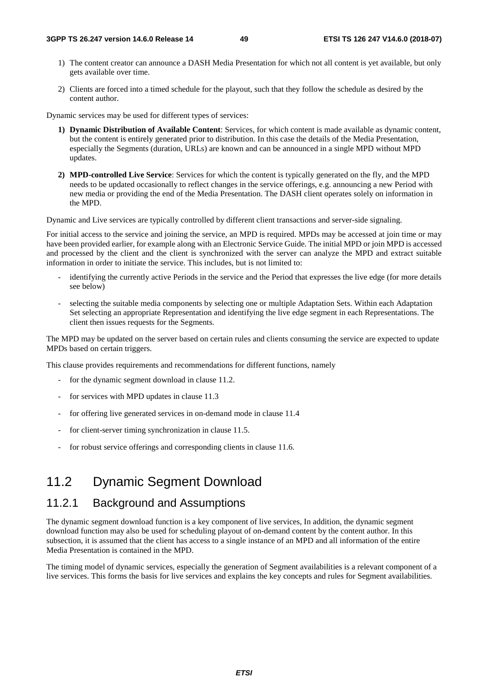- 1) The content creator can announce a DASH Media Presentation for which not all content is yet available, but only gets available over time.
- 2) Clients are forced into a timed schedule for the playout, such that they follow the schedule as desired by the content author.

Dynamic services may be used for different types of services:

- **1) Dynamic Distribution of Available Content**: Services, for which content is made available as dynamic content, but the content is entirely generated prior to distribution. In this case the details of the Media Presentation, especially the Segments (duration, URLs) are known and can be announced in a single MPD without MPD updates.
- **2) MPD-controlled Live Service**: Services for which the content is typically generated on the fly, and the MPD needs to be updated occasionally to reflect changes in the service offerings, e.g. announcing a new Period with new media or providing the end of the Media Presentation. The DASH client operates solely on information in the MPD.

Dynamic and Live services are typically controlled by different client transactions and server-side signaling.

For initial access to the service and joining the service, an MPD is required. MPDs may be accessed at join time or may have been provided earlier, for example along with an Electronic Service Guide. The initial MPD or join MPD is accessed and processed by the client and the client is synchronized with the server can analyze the MPD and extract suitable information in order to initiate the service. This includes, but is not limited to:

- identifying the currently active Periods in the service and the Period that expresses the live edge (for more details see below)
- selecting the suitable media components by selecting one or multiple Adaptation Sets. Within each Adaptation Set selecting an appropriate Representation and identifying the live edge segment in each Representations. The client then issues requests for the Segments.

The MPD may be updated on the server based on certain rules and clients consuming the service are expected to update MPDs based on certain triggers.

This clause provides requirements and recommendations for different functions, namely

- for the dynamic segment download in clause 11.2.
- for services with MPD updates in clause 11.3
- for offering live generated services in on-demand mode in clause 11.4
- for client-server timing synchronization in clause 11.5.
- for robust service offerings and corresponding clients in clause 11.6.

### 11.2 Dynamic Segment Download

### 11.2.1 Background and Assumptions

The dynamic segment download function is a key component of live services, In addition, the dynamic segment download function may also be used for scheduling playout of on-demand content by the content author. In this subsection, it is assumed that the client has access to a single instance of an MPD and all information of the entire Media Presentation is contained in the MPD.

The timing model of dynamic services, especially the generation of Segment availabilities is a relevant component of a live services. This forms the basis for live services and explains the key concepts and rules for Segment availabilities.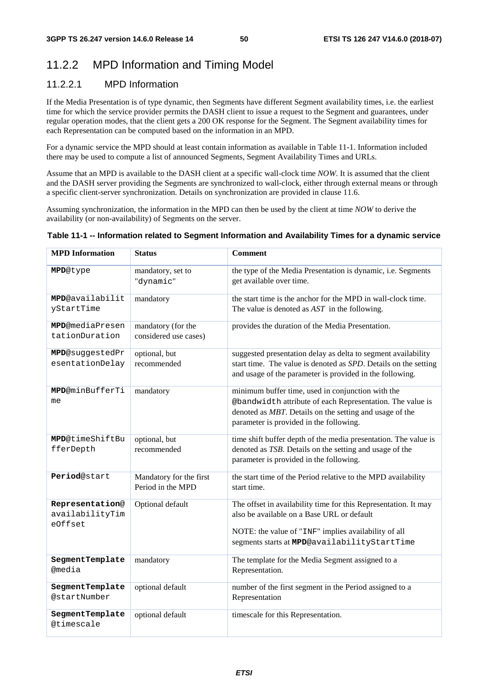## 11.2.2 MPD Information and Timing Model

### 11.2.2.1 MPD Information

If the Media Presentation is of type dynamic, then Segments have different Segment availability times, i.e. the earliest time for which the service provider permits the DASH client to issue a request to the Segment and guarantees, under regular operation modes, that the client gets a 200 OK response for the Segment. The Segment availability times for each Representation can be computed based on the information in an MPD.

For a dynamic service the MPD should at least contain information as available in Table 11-1. Information included there may be used to compute a list of announced Segments, Segment Availability Times and URLs.

Assume that an MPD is available to the DASH client at a specific wall-clock time *NOW*. It is assumed that the client and the DASH server providing the Segments are synchronized to wall-clock, either through external means or through a specific client-server synchronization. Details on synchronization are provided in clause 11.6.

Assuming synchronization, the information in the MPD can then be used by the client at time *NOW* to derive the availability (or non-availability) of Segments on the server.

# **Table 11-1 -- Information related to Segment Information and Availability Times for a dynamic service**

| <b>MPD</b> Information                        | <b>Status</b>                                | <b>Comment</b>                                                                                                                                                                                                        |
|-----------------------------------------------|----------------------------------------------|-----------------------------------------------------------------------------------------------------------------------------------------------------------------------------------------------------------------------|
| MPD@type                                      | mandatory, set to<br>"dynamic"               | the type of the Media Presentation is dynamic, i.e. Segments<br>get available over time.                                                                                                                              |
| MPD@availabilit<br>yStartTime                 | mandatory                                    | the start time is the anchor for the MPD in wall-clock time.<br>The value is denoted as $AST$ in the following.                                                                                                       |
| <b>MPD</b> @mediaPresen<br>tationDuration     | mandatory (for the<br>considered use cases)  | provides the duration of the Media Presentation.                                                                                                                                                                      |
| MPD@suggestedPr<br>esentationDelay            | optional, but<br>recommended                 | suggested presentation delay as delta to segment availability<br>start time. The value is denoted as SPD. Details on the setting<br>and usage of the parameter is provided in the following.                          |
| <b>MPD@minBufferTi</b><br>me                  | mandatory                                    | minimum buffer time, used in conjunction with the<br>@bandwidth attribute of each Representation. The value is<br>denoted as MBT. Details on the setting and usage of the<br>parameter is provided in the following.  |
| <b>MPD</b> @timeShiftBu<br>fferDepth          | optional, but<br>recommended                 | time shift buffer depth of the media presentation. The value is<br>denoted as TSB. Details on the setting and usage of the<br>parameter is provided in the following.                                                 |
| Period@start                                  | Mandatory for the first<br>Period in the MPD | the start time of the Period relative to the MPD availability<br>start time.                                                                                                                                          |
| Representation@<br>availabilityTim<br>eOffset | Optional default                             | The offset in availability time for this Representation. It may<br>also be available on a Base URL or default<br>NOTE: the value of "INF" implies availability of all<br>segments starts at MPD@availabilityStartTime |
| SegmentTemplate<br><b>@media</b>              | mandatory                                    | The template for the Media Segment assigned to a<br>Representation.                                                                                                                                                   |
| SegmentTemplate<br>@startNumber               | optional default                             | number of the first segment in the Period assigned to a<br>Representation                                                                                                                                             |
| SegmentTemplate<br>@timescale                 | optional default                             | timescale for this Representation.                                                                                                                                                                                    |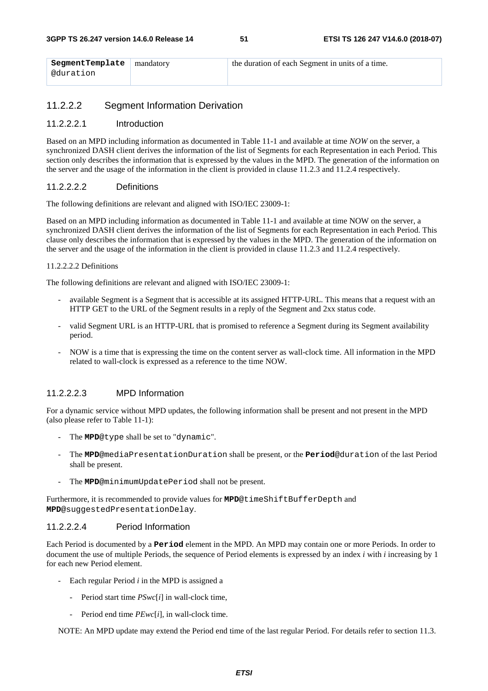| SegmentTemplate   mandatory | the duration of each Segment in units of a time. |
|-----------------------------|--------------------------------------------------|
| @duration                   |                                                  |

#### 11.2.2.2 Segment Information Derivation

#### 11.2.2.2.1 Introduction

Based on an MPD including information as documented in Table 11-1 and available at time *NOW* on the server, a synchronized DASH client derives the information of the list of Segments for each Representation in each Period. This section only describes the information that is expressed by the values in the MPD. The generation of the information on the server and the usage of the information in the client is provided in clause 11.2.3 and 11.2.4 respectively.

#### 11.2.2.2.2 Definitions

The following definitions are relevant and aligned with ISO/IEC 23009-1:

Based on an MPD including information as documented in Table 11-1 and available at time NOW on the server, a synchronized DASH client derives the information of the list of Segments for each Representation in each Period. This clause only describes the information that is expressed by the values in the MPD. The generation of the information on the server and the usage of the information in the client is provided in clause 11.2.3 and 11.2.4 respectively.

#### 11.2.2.2.2 Definitions

The following definitions are relevant and aligned with ISO/IEC 23009-1:

- available Segment is a Segment that is accessible at its assigned HTTP-URL. This means that a request with an HTTP GET to the URL of the Segment results in a reply of the Segment and 2xx status code.
- valid Segment URL is an HTTP-URL that is promised to reference a Segment during its Segment availability period.
- NOW is a time that is expressing the time on the content server as wall-clock time. All information in the MPD related to wall-clock is expressed as a reference to the time NOW.

#### 11.2.2.2.3 MPD Information

For a dynamic service without MPD updates, the following information shall be present and not present in the MPD (also please refer to Table 11-1):

- The **MPD**@type shall be set to "dynamic".
- The **MPD**@mediaPresentationDuration shall be present, or the **Period**@duration of the last Period shall be present.
- The **MPD**@minimumUpdatePeriod shall not be present.

Furthermore, it is recommended to provide values for **MPD**@timeShiftBufferDepth and **MPD**@suggestedPresentationDelay.

#### 11.2.2.2.4 Period Information

Each Period is documented by a **Period** element in the MPD. An MPD may contain one or more Periods. In order to document the use of multiple Periods, the sequence of Period elements is expressed by an index *i* with *i* increasing by 1 for each new Period element.

- Each regular Period *i* in the MPD is assigned a
	- Period start time *PSwc*[*i*] in wall-clock time,
	- Period end time *PEwc*[*i*], in wall-clock time.

NOTE: An MPD update may extend the Period end time of the last regular Period. For details refer to section 11.3.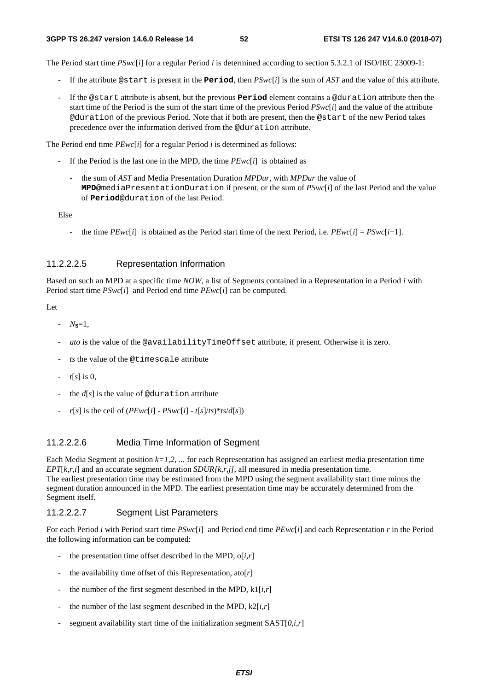The Period start time *PSwc*[*i*] for a regular Period *i* is determined according to section 5.3.2.1 of ISO/IEC 23009-1:

- If the attribute  $\circ$  start is present in the **Period**, then  $PSwc[i]$  is the sum of AST and the value of this attribute.
- If the @start attribute is absent, but the previous **Period** element contains a @duration attribute then the start time of the Period is the sum of the start time of the previous Period *PSwc*[*i*] and the value of the attribute @duration of the previous Period. Note that if both are present, then the @start of the new Period takes precedence over the information derived from the @duration attribute.

The Period end time *PEwc*[*i*] for a regular Period *i* is determined as follows:

- If the Period is the last one in the MPD, the time *PEwc*[*i*] is obtained as
	- the sum of *AST* and Media Presentation Duration *MPDur*, with *MPDur* the value of **MPD**@mediaPresentationDuration if present, or the sum of *PSwc*[*i*] of the last Period and the value of **Period**@duration of the last Period.

Else

- the time  $PEwc[i]$  is obtained as the Period start time of the next Period, i.e.  $PEwc[i] = PSwc[i+1]$ .

#### 11.2.2.2.5 Representation Information

Based on such an MPD at a specific time *NOW*, a list of Segments contained in a Representation in a Period *i* with Period start time *PSwc*[*i*] and Period end time *PEwc*[*i*] can be computed.

Let

- $N_{\rm s} = 1$ ,
- *ato* is the value of the @availabilityTimeOffset attribute, if present. Otherwise it is zero.
- *ts* the value of the @timescale attribute
- $t[s]$  is 0,
- the  $d[s]$  is the value of @duration attribute
- $r[s]$  is the ceil of (*PEwc*[*i*] *PSwc*[*i*]  $t[s]/ts$ <sup>\*</sup> $ts/d[s]$ )

#### 11.2.2.2.6 Media Time Information of Segment

Each Media Segment at position  $k=1,2, \ldots$  for each Representation has assigned an earliest media presentation time *EPT*[*k,r,i*] and an accurate segment duration *SDUR[k,r,j]*, all measured in media presentation time. The earliest presentation time may be estimated from the MPD using the segment availability start time minus the segment duration announced in the MPD. The earliest presentation time may be accurately determined from the Segment itself.

#### 11.2.2.2.7 Segment List Parameters

For each Period *i* with Period start time *PSwc*[*i*] and Period end time *PEwc*[*i*] and each Representation *r* in the Period the following information can be computed:

- the presentation time offset described in the MPD,  $o[i,r]$
- the availability time offset of this Representation,  $\text{ato}[r]$
- the number of the first segment described in the MPD,  $k1[i,r]$
- the number of the last segment described in the MPD,  $k2[i,r]$
- segment availability start time of the initialization segment  $SAST[0,i,r]$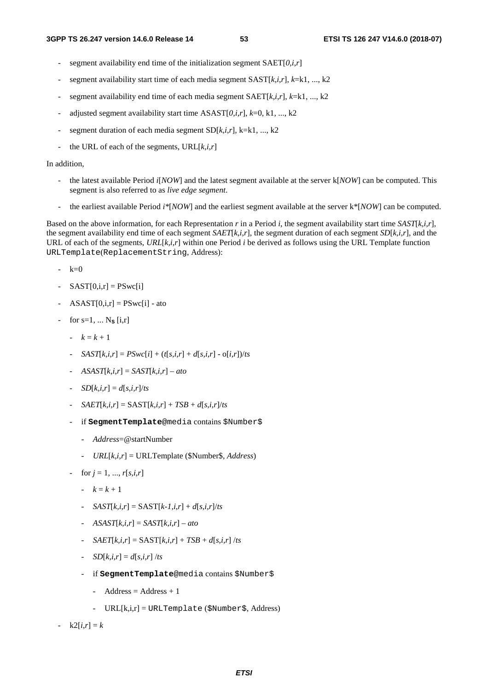- segment availability end time of the initialization segment SAET[*0,i,r*]
- segment availability start time of each media segment SAST[ $k$ ,*i*,*r*],  $k$ =k1, ..., k2
- segment availability end time of each media segment  $SAET[k,i,r], k=k1, ..., k2$
- adjusted segment availability start time ASAST[*0,i*,*r*], *k*=0, k1, ..., k2
- segment duration of each media segment SD[ $k$ ,*i*,*r*], k=k1, ..., k2
- the URL of each of the segments,  $URL[k,i,r]$

#### In addition,

- the latest available Period *i*[*NOW*] and the latest segment available at the server k[*NOW*] can be computed. This segment is also referred to as *live edge segment*.
- the earliest available Period *i\**[*NOW*] and the earliest segment available at the server k\*[*NOW*] can be computed.

Based on the above information, for each Representation *r* in a Period *i*, the segment availability start time *SAST*[*k,i*,*r*], the segment availability end time of each segment *SAET*[*k,i*,*r*], the segment duration of each segment *SD*[*k,i*,*r*], and the URL of each of the segments, *URL*[*k,i*,*r*] within one Period *i* be derived as follows using the URL Template function URLTemplate(ReplacementString, Address):

- $-k=0$
- $SAST[0,i,r] = PSwc[i]$
- $ASAST[0,i,r] = PSwc[i] ato$
- for  $s=1, ..., N_s$  [i,r]
	- $k = k + 1$
	- *SAST*[ $k$ ,*i*,*r*] =  $PSwc[i] + (t[s, i, r] + d[s, i, r] o[i, r])/ts$
	- *ASAST*[*k,i*,*r*] = *SAST*[*k,i*,*r*] *ato*
	- *-*  $SD[k, i, r] = d[s, i, r]/ts$
	- $SAET[k,i,r] = SAST[k,i,r] + TSB + d[s,i,r]/ts$
	- if **SegmentTemplate**@media contains \$Number\$
		- *Address*=@startNumber
		- *URL*[*k,i*,*r*] = URLTemplate (\$Number\$, *Address*)
	- $for j = 1, ..., r[s, i, r]$ 
		- $k = k + 1$
		- $SAST[k,i,r] = SAST[k-1,i,r] + d[s,i,r]/ts$
		- *ASAST*[*k,i*,*r*] = *SAST*[*k,i*,*r*] *ato*
		- $SAET[k,i,r] = SAST[k,i,r] + TSB + d[s,i,r]$  /*ts*
		- *SD* $[k, i, r] = d[s, i, r]$  /*ts*
		- if **SegmentTemplate**@media contains \$Number\$
			- Address  $=$  Address  $+1$
			- URL[k,i,r] = URLTemplate (\$Number\$, Address)

 $k2[i,r] = k$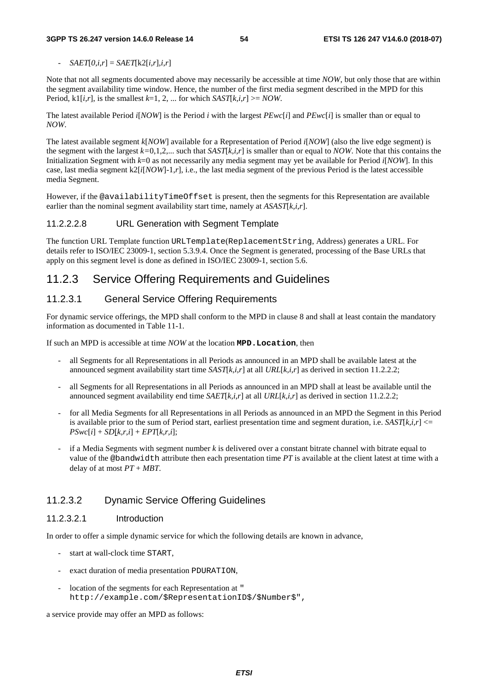$SAET[0,i,r] = SAET[k2[i,r],i,r]$ 

Note that not all segments documented above may necessarily be accessible at time *NOW*, but only those that are within the segment availability time window. Hence, the number of the first media segment described in the MPD for this Period,  $k1[i,r]$ , is the smallest  $k=1, 2, ...$  for which  $SAST[k,i,r] \geq NOW$ .

The latest available Period *i*[*NOW*] is the Period *i* with the largest *PEwc*[*i*] and *PEwc*[*i*] is smaller than or equal to *NOW*.

The latest available segment *k*[*NOW*] available for a Representation of Period *i*[*NOW*] (also the live edge segment) is the segment with the largest *k=*0,1,2,... such that *SAST*[*k,i*,*r*] is smaller than or equal to *NOW*. Note that this contains the Initialization Segment with *k*=0 as not necessarily any media segment may yet be available for Period *i*[*NOW*]. In this case, last media segment  $k2[i[NOW]-1,r]$ , i.e., the last media segment of the previous Period is the latest accessible media Segment.

However, if the @availabilityTimeOffset is present, then the segments for this Representation are available earlier than the nominal segment availability start time, namely at *ASAST*[*k,i*,*r*].

#### 11.2.2.2.8 URL Generation with Segment Template

The function URL Template function URLTemplate(ReplacementString, Address) generates a URL. For details refer to ISO/IEC 23009-1, section 5.3.9.4. Once the Segment is generated, processing of the Base URLs that apply on this segment level is done as defined in ISO/IEC 23009-1, section 5.6.

### 11.2.3 Service Offering Requirements and Guidelines

#### 11.2.3.1 General Service Offering Requirements

For dynamic service offerings, the MPD shall conform to the MPD in clause 8 and shall at least contain the mandatory information as documented in Table 11-1.

If such an MPD is accessible at time *NOW* at the location **MPD.Location**, then

- all Segments for all Representations in all Periods as announced in an MPD shall be available latest at the announced segment availability start time *SAST*[*k,i*,*r*] at all *URL*[*k,i*,*r*] as derived in section 11.2.2.2;
- all Segments for all Representations in all Periods as announced in an MPD shall at least be available until the announced segment availability end time *SAET*[*k,i*,*r*] at all *URL*[*k,i*,*r*] as derived in section 11.2.2.2;
- for all Media Segments for all Representations in all Periods as announced in an MPD the Segment in this Period is available prior to the sum of Period start, earliest presentation time and segment duration, i.e.  $SAST[k,i,r] \leq$  $PSwc[i] + SD[k,r,i] + EPT[k,r,i];$
- if a Media Segments with segment number *k* is delivered over a constant bitrate channel with bitrate equal to value of the @bandwidth attribute then each presentation time *PT* is available at the client latest at time with a delay of at most *PT* + *MBT*.

#### 11.2.3.2 Dynamic Service Offering Guidelines

#### 11.2.3.2.1 Introduction

In order to offer a simple dynamic service for which the following details are known in advance,

- start at wall-clock time START,
- exact duration of media presentation PDURATION,
- location of the segments for each Representation at " http://example.com/\$RepresentationID\$/\$Number\$",

a service provide may offer an MPD as follows: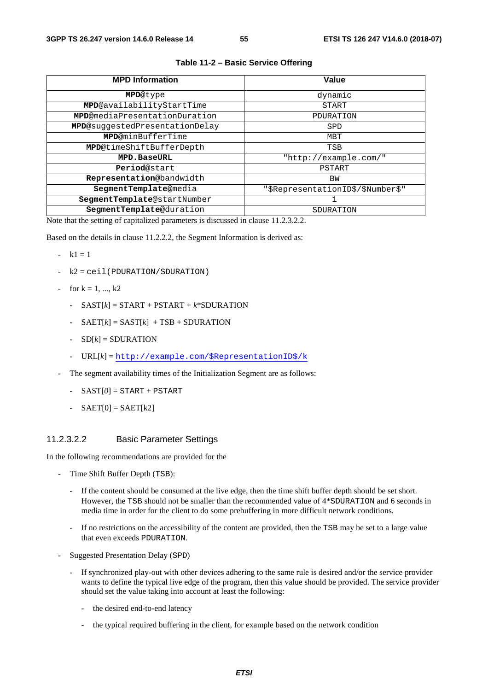| <b>MPD Information</b>                | Value                             |
|---------------------------------------|-----------------------------------|
| <b>MPD</b> @type                      | dynamic                           |
| MPD@availabilityStartTime             | <b>START</b>                      |
| <b>MPD@mediaPresentationDuration</b>  | PDURATION                         |
| <b>MPD@suggestedPresentationDelay</b> | SPD                               |
| <b>MPD</b> @minBufferTime             | MBT                               |
| MPD@timeShiftBufferDepth              | TSB                               |
| <b>MPD.BaseURL</b>                    | "http://example.com/"             |
| Period@start                          | PSTART                            |
| Representation@bandwidth              | BW                                |
| SegmentTemplate@media                 | "\$RepresentationID\$/\$Number\$" |
| SegmentTemplate@startNumber           |                                   |
| SegmentTemplate@duration              | SDURATION                         |

#### **Table 11-2 – Basic Service Offering**

Note that the setting of capitalized parameters is discussed in clause 11.2.3.2.2.

Based on the details in clause 11.2.2.2, the Segment Information is derived as:

- $k1 = 1$
- $k2 =$  ceil(PDURATION/SDURATION)
- for  $k = 1, ..., k2$ 
	- $-SAST[k] = START + PSTART + k*SDURATION$
	- $SAET[k] = SAST[k] + TSB + SDURATION$
	- $-D[k]$  = SDURATION
	- URL[*k*] = [http://example.com/\\$RepresentationID\\$/k](http://example.com/$RepresentationID$/k)
- The segment availability times of the Initialization Segment are as follows:
	- $-SAST[0] = START + PSTART$
	- $-SAET[0] = SAET[k2]$

#### 11.2.3.2.2 Basic Parameter Settings

In the following recommendations are provided for the

- Time Shift Buffer Depth (TSB):
	- If the content should be consumed at the live edge, then the time shift buffer depth should be set short. However, the TSB should not be smaller than the recommended value of 4\*SDURATION and 6 seconds in media time in order for the client to do some prebuffering in more difficult network conditions.
	- If no restrictions on the accessibility of the content are provided, then the TSB may be set to a large value that even exceeds PDURATION.
- Suggested Presentation Delay (SPD)
	- If synchronized play-out with other devices adhering to the same rule is desired and/or the service provider wants to define the typical live edge of the program, then this value should be provided. The service provider should set the value taking into account at least the following:
		- the desired end-to-end latency
		- the typical required buffering in the client, for example based on the network condition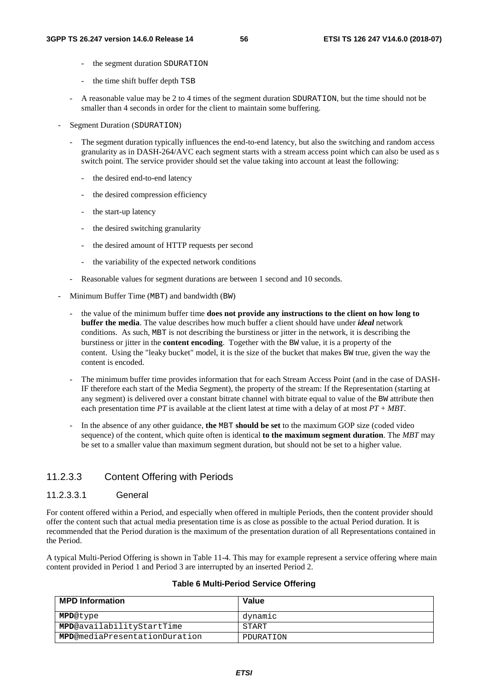- the segment duration SDURATION
- the time shift buffer depth TSB
- A reasonable value may be 2 to 4 times of the segment duration SDURATION, but the time should not be smaller than 4 seconds in order for the client to maintain some buffering.
- Segment Duration (SDURATION)
	- The segment duration typically influences the end-to-end latency, but also the switching and random access granularity as in DASH-264/AVC each segment starts with a stream access point which can also be used as s switch point. The service provider should set the value taking into account at least the following:
		- the desired end-to-end latency
		- the desired compression efficiency
		- the start-up latency
		- the desired switching granularity
		- the desired amount of HTTP requests per second
		- the variability of the expected network conditions
	- Reasonable values for segment durations are between 1 second and 10 seconds.
- Minimum Buffer Time (MBT) and bandwidth (BW)
	- the value of the minimum buffer time **does not provide any instructions to the client on how long to buffer the media**. The value describes how much buffer a client should have under *ideal* network conditions. As such, MBT is not describing the burstiness or jitter in the network, it is describing the burstiness or jitter in the **content encoding**. Together with the BW value, it is a property of the content. Using the "leaky bucket" model, it is the size of the bucket that makes BW true, given the way the content is encoded.
	- The minimum buffer time provides information that for each Stream Access Point (and in the case of DASH-IF therefore each start of the Media Segment), the property of the stream: If the Representation (starting at any segment) is delivered over a constant bitrate channel with bitrate equal to value of the BW attribute then each presentation time *PT* is available at the client latest at time with a delay of at most *PT* + *MBT*.
	- In the absence of any other guidance, **the** MBT **should be set** to the maximum GOP size (coded video sequence) of the content, which quite often is identical **to the maximum segment duration**. The *MBT* may be set to a smaller value than maximum segment duration, but should not be set to a higher value.

#### 11.2.3.3 Content Offering with Periods

#### 11.2.3.3.1 General

For content offered within a Period, and especially when offered in multiple Periods, then the content provider should offer the content such that actual media presentation time is as close as possible to the actual Period duration. It is recommended that the Period duration is the maximum of the presentation duration of all Representations contained in the Period.

A typical Multi-Period Offering is shown in Table 11-4. This may for example represent a service offering where main content provided in Period 1 and Period 3 are interrupted by an inserted Period 2.

| <b>MPD Information</b>                | Value     |
|---------------------------------------|-----------|
| <b>MPD</b> @type                      | dynamic   |
| <b>MPD</b> @availabilityStartTime     | START     |
| <b>MPD</b> @mediaPresentationDuration | PDURATION |

#### **Table 6 Multi-Period Service Offering**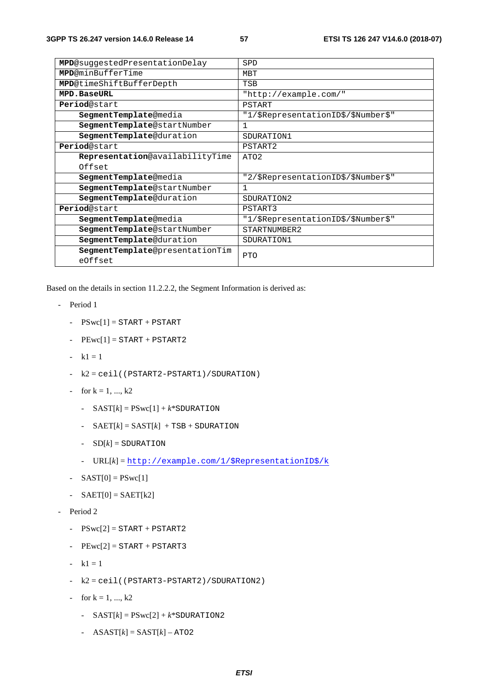| MPD@suggestedPresentationDelay             | SPD                                 |
|--------------------------------------------|-------------------------------------|
| <b>MPD@minBufferTime</b>                   | MBT                                 |
| MPD@timeShiftBufferDepth                   | TSB                                 |
| <b>MPD.BaseURL</b>                         | "http://example.com/"               |
| Period@start                               | PSTART                              |
| SegmentTemplate@media                      | "1/\$RepresentationID\$/\$Number\$" |
| SegmentTemplate@startNumber                | $\mathbf{1}$                        |
| SegmentTemplate@duration                   | SDURATION1                          |
| Period@start                               | PSTART2                             |
| Representation@availabilityTime            | ATO <sub>2</sub>                    |
| Offset                                     |                                     |
| SegmentTemplate@media                      | "2/\$RepresentationID\$/\$Number\$" |
| SegmentTemplate@startNumber                | 1                                   |
| SegmentTemplate@duration                   | SDURATION2                          |
| Period@start                               | PSTART3                             |
| SegmentTemplate@media                      | "1/\$RepresentationID\$/\$Number\$" |
| SegmentTemplate@startNumber                | STARTNUMBER2                        |
| SegmentTemplate@duration                   | SDURATION1                          |
| SegmentTemplate@presentationTim<br>eOffset | <b>PTO</b>                          |

Based on the details in section 11.2.2.2, the Segment Information is derived as:

- Period 1
	- $PSwc[1] = STATE + PSTRACT$
	- $PEwc[1] = STATE + PSTRACT2$
	- $-k1 = 1$
	- k2 = ceil((PSTART2-PSTART1)/SDURATION)
	- for  $k = 1, ..., k2$ 
		- $-$  SAST[ $k$ ] =  $PSwc[1] + k*$ SDURATION
		- $-$  SAET[ $k$ ] = SAST[ $k$ ] + TSB + SDURATION
		- $-$  SD $[k]$  = SDURATION
		- URL[*k*] = [http://example.com/1/\\$RepresentationID\\$/k](http://example.com/1/$RepresentationID$/k)
	- $-SAST[0] = PSwc[1]$
	- $SAET[0] = SAET[k2]$
- Period 2
	- $-$  PSwc[2] = START + PSTART2
	- $PEwc[2] = START + PSTART3$
	- $-k1 = 1$
	- k2 = ceil((PSTART3-PSTART2)/SDURATION2)
	- for  $k = 1, ..., k2$ 
		- $-$  SAST[ $k$ ] =  $PSwc[2] + k*$ SDURATION2
		- $ASAST[k] = SAST[k] ATO2$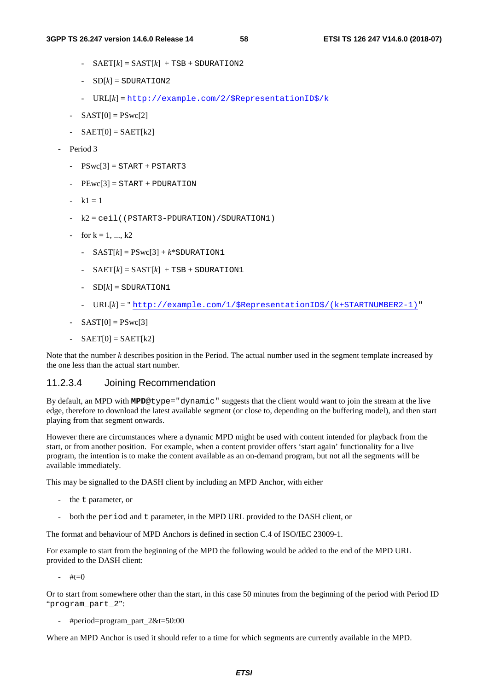- $-$  SAET[ $k$ ] = SAST[ $k$ ] + TSB + SDURATION2
- $-SD[k] = SDURATION2$
- URL[*k*] = [http://example.com/2/\\$RepresentationID\\$/k](http://example.com/2/$RepresentationID$/k)
- $-SAST[0] = PSwc[2]$
- $-SAET[0] = SAET[k2]$
- Period 3
	- $-$  PSwc[3] = START + PSTART3
	- $PEwc[3] = START + PDURATION$
	- $-k1 = 1$
	- k2 = ceil((PSTART3-PDURATION)/SDURATION1)
	- for  $k = 1, ..., k2$ 
		- $-$  SAST[ $k$ ] =  $PSwc[3] + k*$ SDURATION1
		- $-$  SAET[ $k$ ] = SAST[ $k$ ] + TSB + SDURATION1
		- $-SD[k] = SDURATION1$
		- URL[*k*] = " [http://example.com/1/\\$RepresentationID\\$/\(k+STARTNUMBER2-1\)"](http://example.com/1/$RepresentationID$/(k+STARTNUMBER2-1))
	- $SAST[0] = PSwc[3]$
	- $-SAET[0] = SAET[k2]$

Note that the number *k* describes position in the Period. The actual number used in the segment template increased by the one less than the actual start number.

#### 11.2.3.4 Joining Recommendation

By default, an MPD with **MPD**@type="dynamic" suggests that the client would want to join the stream at the live edge, therefore to download the latest available segment (or close to, depending on the buffering model), and then start playing from that segment onwards.

However there are circumstances where a dynamic MPD might be used with content intended for playback from the start, or from another position. For example, when a content provider offers 'start again' functionality for a live program, the intention is to make the content available as an on-demand program, but not all the segments will be available immediately.

This may be signalled to the DASH client by including an MPD Anchor, with either

- the t parameter, or
- both the period and t parameter, in the MPD URL provided to the DASH client, or

The format and behaviour of MPD Anchors is defined in section C.4 of ISO/IEC 23009-1.

For example to start from the beginning of the MPD the following would be added to the end of the MPD URL provided to the DASH client:

 $\#$ t $-$ 0

Or to start from somewhere other than the start, in this case 50 minutes from the beginning of the period with Period ID "program\_part\_2":

- #period=program\_part\_2&t=50:00

Where an MPD Anchor is used it should refer to a time for which segments are currently available in the MPD.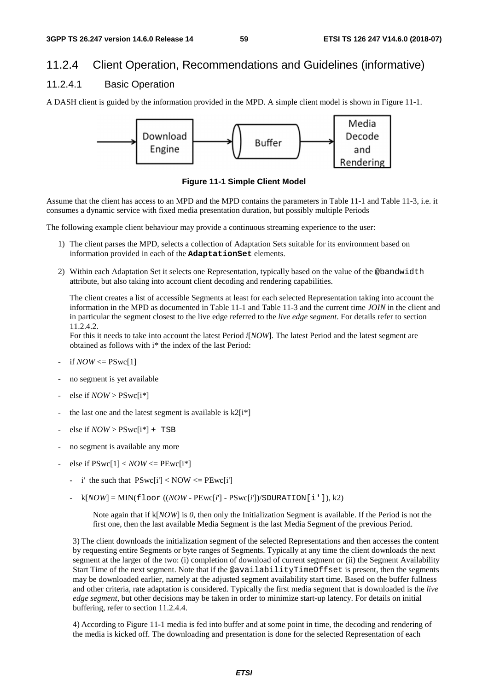### 11.2.4 Client Operation, Recommendations and Guidelines (informative)

### 11.2.4.1 Basic Operation

A DASH client is guided by the information provided in the MPD. A simple client model is shown in Figure 11-1.



**Figure 11-1 Simple Client Model** 

Assume that the client has access to an MPD and the MPD contains the parameters in Table 11-1 and Table 11-3, i.e. it consumes a dynamic service with fixed media presentation duration, but possibly multiple Periods

The following example client behaviour may provide a continuous streaming experience to the user:

- 1) The client parses the MPD, selects a collection of Adaptation Sets suitable for its environment based on information provided in each of the **AdaptationSet** elements.
- 2) Within each Adaptation Set it selects one Representation, typically based on the value of the @bandwidth attribute, but also taking into account client decoding and rendering capabilities.

 The client creates a list of accessible Segments at least for each selected Representation taking into account the information in the MPD as documented in Table 11-1 and Table 11-3 and the current time *JOIN* in the client and in particular the segment closest to the live edge referred to the *live edge segment*. For details refer to section 11.2.4.2.

For this it needs to take into account the latest Period *i*[*NOW*]. The latest Period and the latest segment are obtained as follows with i\* the index of the last Period:

- if  $NOW \leq PSwc[1]$
- no segment is yet available
- else if  $NOW >$  PSwc[i<sup>\*</sup>]
- the last one and the latest segment is available is  $k2[i*]$
- else if  $\textit{NOW} > \textit{PSwc}[i^*] + \textit{TSB}$
- no segment is available any more
- $else if PSwc[1]<$  *NOW*  $<=$   $PEwc[i*]$ 
	- i' the such that  $PSwc[i'] < NOW \leq PEwc[i']$
	- $k[NOW] = MIN(floor((NOW PEwc[i'] PSwc[i'])/SDURATION[i'])$ , k2)

Note again that if k[*NOW*] is *0*, then only the Initialization Segment is available. If the Period is not the first one, then the last available Media Segment is the last Media Segment of the previous Period.

3) The client downloads the initialization segment of the selected Representations and then accesses the content by requesting entire Segments or byte ranges of Segments. Typically at any time the client downloads the next segment at the larger of the two: (i) completion of download of current segment or (ii) the Segment Availability Start Time of the next segment. Note that if the @availabilityTimeOffset is present, then the segments may be downloaded earlier, namely at the adjusted segment availability start time. Based on the buffer fullness and other criteria, rate adaptation is considered. Typically the first media segment that is downloaded is the *live edge segment*, but other decisions may be taken in order to minimize start-up latency. For details on initial buffering, refer to section 11.2.4.4.

4) According to Figure 11-1 media is fed into buffer and at some point in time, the decoding and rendering of the media is kicked off. The downloading and presentation is done for the selected Representation of each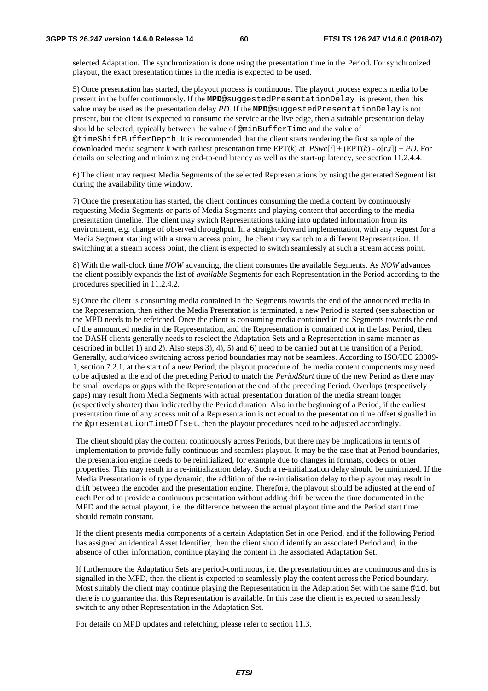selected Adaptation. The synchronization is done using the presentation time in the Period. For synchronized playout, the exact presentation times in the media is expected to be used.

5) Once presentation has started, the playout process is continuous. The playout process expects media to be present in the buffer continuously. If the **MPD**@suggestedPresentationDelay is present, then this value may be used as the presentation delay *PD*. If the **MPD**@suggestedPresentationDelay is not present, but the client is expected to consume the service at the live edge, then a suitable presentation delay should be selected, typically between the value of @minBufferTime and the value of @timeShiftBufferDepth. It is recommended that the client starts rendering the first sample of the downloaded media segment *k* with earliest presentation time  $EPT(k)$  at  $PSwc[i] + (EPT(k) - o[r,i]) + PD$ . For details on selecting and minimizing end-to-end latency as well as the start-up latency, see section 11.2.4.4.

6) The client may request Media Segments of the selected Representations by using the generated Segment list during the availability time window.

7) Once the presentation has started, the client continues consuming the media content by continuously requesting Media Segments or parts of Media Segments and playing content that according to the media presentation timeline. The client may switch Representations taking into updated information from its environment, e.g. change of observed throughput. In a straight-forward implementation, with any request for a Media Segment starting with a stream access point, the client may switch to a different Representation. If switching at a stream access point, the client is expected to switch seamlessly at such a stream access point.

8) With the wall-clock time *NOW* advancing, the client consumes the available Segments. As *NOW* advances the client possibly expands the list of *available* Segments for each Representation in the Period according to the procedures specified in 11.2.4.2.

9) Once the client is consuming media contained in the Segments towards the end of the announced media in the Representation, then either the Media Presentation is terminated, a new Period is started (see subsection or the MPD needs to be refetched. Once the client is consuming media contained in the Segments towards the end of the announced media in the Representation, and the Representation is contained not in the last Period, then the DASH clients generally needs to reselect the Adaptation Sets and a Representation in same manner as described in bullet 1) and 2). Also steps 3), 4), 5) and 6) need to be carried out at the transition of a Period. Generally, audio/video switching across period boundaries may not be seamless. According to ISO/IEC 23009- 1, section 7.2.1, at the start of a new Period, the playout procedure of the media content components may need to be adjusted at the end of the preceding Period to match the *PeriodStart* time of the new Period as there may be small overlaps or gaps with the Representation at the end of the preceding Period. Overlaps (respectively gaps) may result from Media Segments with actual presentation duration of the media stream longer (respectively shorter) than indicated by the Period duration. Also in the beginning of a Period, if the earliest presentation time of any access unit of a Representation is not equal to the presentation time offset signalled in the @presentationTimeOffset, then the playout procedures need to be adjusted accordingly.

The client should play the content continuously across Periods, but there may be implications in terms of implementation to provide fully continuous and seamless playout. It may be the case that at Period boundaries, the presentation engine needs to be reinitialized, for example due to changes in formats, codecs or other properties. This may result in a re-initialization delay. Such a re-initialization delay should be minimized. If the Media Presentation is of type dynamic, the addition of the re-initialisation delay to the playout may result in drift between the encoder and the presentation engine. Therefore, the playout should be adjusted at the end of each Period to provide a continuous presentation without adding drift between the time documented in the MPD and the actual playout, i.e. the difference between the actual playout time and the Period start time should remain constant.

If the client presents media components of a certain Adaptation Set in one Period, and if the following Period has assigned an identical Asset Identifier, then the client should identify an associated Period and, in the absence of other information, continue playing the content in the associated Adaptation Set.

If furthermore the Adaptation Sets are period-continuous, i.e. the presentation times are continuous and this is signalled in the MPD, then the client is expected to seamlessly play the content across the Period boundary. Most suitably the client may continue playing the Representation in the Adaptation Set with the same @id, but there is no guarantee that this Representation is available. In this case the client is expected to seamlessly switch to any other Representation in the Adaptation Set.

For details on MPD updates and refetching, please refer to section 11.3.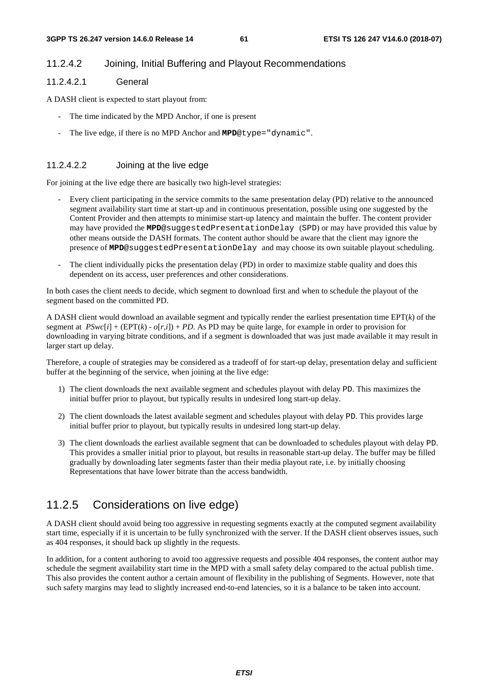#### 11.2.4.2 Joining, Initial Buffering and Playout Recommendations

#### 11.2.4.2.1 General

A DASH client is expected to start playout from:

- The time indicated by the MPD Anchor, if one is present
- The live edge, if there is no MPD Anchor and **MPD**@type="dynamic".

#### 11.2.4.2.2 Joining at the live edge

For joining at the live edge there are basically two high-level strategies:

- Every client participating in the service commits to the same presentation delay (PD) relative to the announced segment availability start time at start-up and in continuous presentation, possible using one suggested by the Content Provider and then attempts to minimise start-up latency and maintain the buffer. The content provider may have provided the **MPD**@suggestedPresentationDelay (SPD) or may have provided this value by other means outside the DASH formats. The content author should be aware that the client may ignore the presence of **MPD**@suggestedPresentationDelay and may choose its own suitable playout scheduling.
- The client individually picks the presentation delay (PD) in order to maximize stable quality and does this dependent on its access, user preferences and other considerations.

In both cases the client needs to decide, which segment to download first and when to schedule the playout of the segment based on the committed PD.

A DASH client would download an available segment and typically render the earliest presentation time EPT(*k*) of the segment at  $PSwc[i] + (EPT(k) - o[r,i]) + PD$ . As PD may be quite large, for example in order to provision for downloading in varying bitrate conditions, and if a segment is downloaded that was just made available it may result in larger start up delay.

Therefore, a couple of strategies may be considered as a tradeoff of for start-up delay, presentation delay and sufficient buffer at the beginning of the service, when joining at the live edge:

- 1) The client downloads the next available segment and schedules playout with delay PD. This maximizes the initial buffer prior to playout, but typically results in undesired long start-up delay.
- 2) The client downloads the latest available segment and schedules playout with delay PD. This provides large initial buffer prior to playout, but typically results in undesired long start-up delay.
- 3) The client downloads the earliest available segment that can be downloaded to schedules playout with delay PD. This provides a smaller initial prior to playout, but results in reasonable start-up delay. The buffer may be filled gradually by downloading later segments faster than their media playout rate, i.e. by initially choosing Representations that have lower bitrate than the access bandwidth.

### 11.2.5 Considerations on live edge)

A DASH client should avoid being too aggressive in requesting segments exactly at the computed segment availability start time, especially if it is uncertain to be fully synchronized with the server. If the DASH client observes issues, such as 404 responses, it should back up slightly in the requests.

In addition, for a content authoring to avoid too aggressive requests and possible 404 responses, the content author may schedule the segment availability start time in the MPD with a small safety delay compared to the actual publish time. This also provides the content author a certain amount of flexibility in the publishing of Segments. However, note that such safety margins may lead to slightly increased end-to-end latencies, so it is a balance to be taken into account.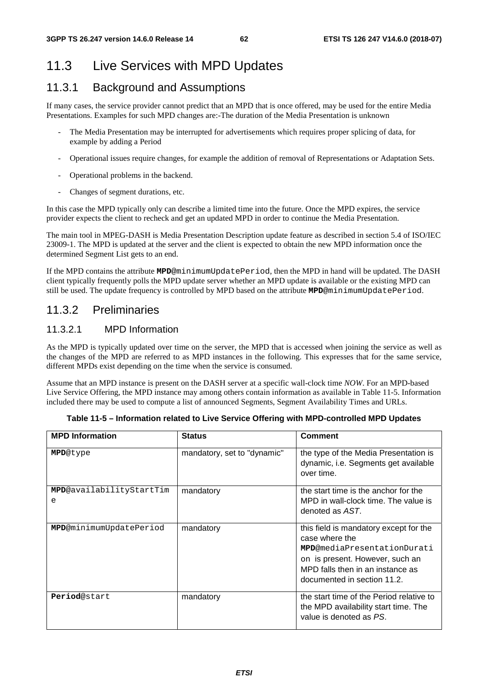### 11.3 Live Services with MPD Updates

### 11.3.1 Background and Assumptions

If many cases, the service provider cannot predict that an MPD that is once offered, may be used for the entire Media Presentations. Examples for such MPD changes are:-The duration of the Media Presentation is unknown

- The Media Presentation may be interrupted for advertisements which requires proper splicing of data, for example by adding a Period
- Operational issues require changes, for example the addition of removal of Representations or Adaptation Sets.
- Operational problems in the backend.
- Changes of segment durations, etc.

In this case the MPD typically only can describe a limited time into the future. Once the MPD expires, the service provider expects the client to recheck and get an updated MPD in order to continue the Media Presentation.

The main tool in MPEG-DASH is Media Presentation Description update feature as described in section 5.4 of ISO/IEC 23009-1. The MPD is updated at the server and the client is expected to obtain the new MPD information once the determined Segment List gets to an end.

If the MPD contains the attribute **MPD**@minimumUpdatePeriod, then the MPD in hand will be updated. The DASH client typically frequently polls the MPD update server whether an MPD update is available or the existing MPD can still be used. The update frequency is controlled by MPD based on the attribute **MPD**@minimumUpdatePeriod.

### 11.3.2 Preliminaries

#### 11.3.2.1 MPD Information

As the MPD is typically updated over time on the server, the MPD that is accessed when joining the service as well as the changes of the MPD are referred to as MPD instances in the following. This expresses that for the same service, different MPDs exist depending on the time when the service is consumed.

Assume that an MPD instance is present on the DASH server at a specific wall-clock time *NOW*. For an MPD-based Live Service Offering, the MPD instance may among others contain information as available in Table 11-5. Information included there may be used to compute a list of announced Segments, Segment Availability Times and URLs.

| <b>MPD Information</b>          | <b>Status</b>               | <b>Comment</b>                                                                                                                                                                                        |
|---------------------------------|-----------------------------|-------------------------------------------------------------------------------------------------------------------------------------------------------------------------------------------------------|
| <b>MPD@type</b>                 | mandatory, set to "dynamic" | the type of the Media Presentation is<br>dynamic, i.e. Segments get available<br>over time.                                                                                                           |
| MPD@availabilityStartTim<br>e   | mandatory                   | the start time is the anchor for the<br>MPD in wall-clock time. The value is<br>denoted as AST.                                                                                                       |
| <b>MPD</b> @minimumUpdatePeriod | mandatory                   | this field is mandatory except for the<br>case where the<br><b>MPD</b> @mediaPresentationDurati<br>on is present. However, such an<br>MPD falls then in an instance as<br>documented in section 11.2. |
| Period@start                    | mandatory                   | the start time of the Period relative to<br>the MPD availability start time. The<br>value is denoted as PS.                                                                                           |

|  |  | Table 11-5 – Information related to Live Service Offering with MPD-controlled MPD Updates |  |
|--|--|-------------------------------------------------------------------------------------------|--|
|  |  |                                                                                           |  |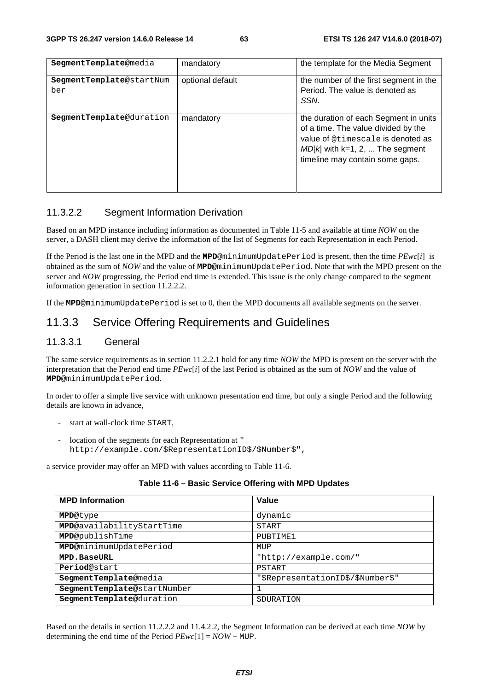| SegmentTemplate@media           | mandatory        | the template for the Media Segment                                                                                                                                                        |
|---------------------------------|------------------|-------------------------------------------------------------------------------------------------------------------------------------------------------------------------------------------|
| SegmentTemplate@startNum<br>ber | optional default | the number of the first segment in the<br>Period. The value is denoted as<br>SSN.                                                                                                         |
| <b>SegmentTemplate@duration</b> | mandatory        | the duration of each Segment in units<br>of a time. The value divided by the<br>value of @timescale is denoted as<br>$MD[k]$ with k=1, 2,  The segment<br>timeline may contain some gaps. |

#### 11.3.2.2 Segment Information Derivation

Based on an MPD instance including information as documented in Table 11-5 and available at time *NOW* on the server, a DASH client may derive the information of the list of Segments for each Representation in each Period.

If the Period is the last one in the MPD and the **MPD**@minimumUpdatePeriod is present, then the time *PEwc*[*i*] is obtained as the sum of *NOW* and the value of **MPD**@minimumUpdatePeriod. Note that with the MPD present on the server and *NOW* progressing, the Period end time is extended. This issue is the only change compared to the segment information generation in section 11.2.2.2.

If the **MPD**@minimumUpdatePeriod is set to 0, then the MPD documents all available segments on the server.

### 11.3.3 Service Offering Requirements and Guidelines

#### 11.3.3.1 General

The same service requirements as in section 11.2.2.1 hold for any time *NOW* the MPD is present on the server with the interpretation that the Period end time *PEwc*[*i*] of the last Period is obtained as the sum of *NOW* and the value of **MPD**@minimumUpdatePeriod.

In order to offer a simple live service with unknown presentation end time, but only a single Period and the following details are known in advance,

- start at wall-clock time START,
- location of the segments for each Representation at " http://example.com/\$RepresentationID\$/\$Number\$",

a service provider may offer an MPD with values according to Table 11-6.

| <b>MPD Information</b>      | Value                             |
|-----------------------------|-----------------------------------|
| <b>MPD@type</b>             | dynamic                           |
| MPD@availabilityStartTime   | START                             |
| MPD@publishTime             | PUBTIME1                          |
| MPD@minimumUpdatePeriod     | MUP                               |
| MPD.BaseURL                 | "http://example.com/"             |
| Period@start                | PSTART                            |
| SegmentTemplate@media       | "\$RepresentationID\$/\$Number\$" |
| SegmentTemplate@startNumber |                                   |
| SegmentTemplate@duration    | SDURATION                         |

#### **Table 11-6 – Basic Service Offering with MPD Updates**

Based on the details in section 11.2.2.2 and 11.4.2.2, the Segment Information can be derived at each time *NOW* by determining the end time of the Period *PEwc*[1] = *NOW* + MUP.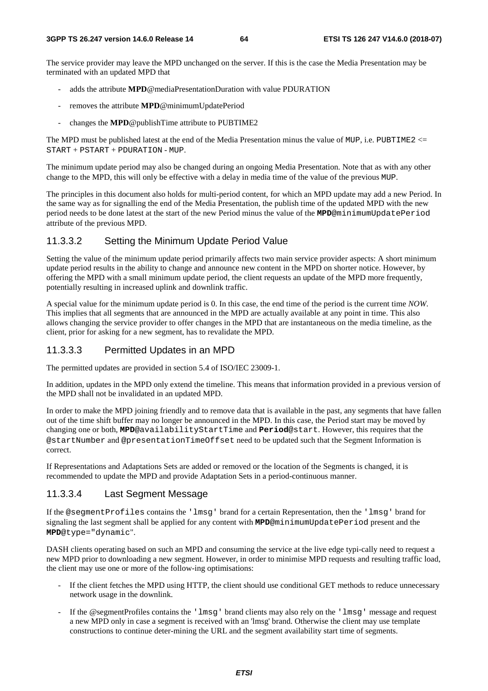The service provider may leave the MPD unchanged on the server. If this is the case the Media Presentation may be terminated with an updated MPD that

- adds the attribute **MPD**@mediaPresentationDuration with value PDURATION
- removes the attribute **MPD**@minimumUpdatePeriod
- changes the **MPD**@publishTime attribute to PUBTIME2

The MPD must be published latest at the end of the Media Presentation minus the value of MUP, i.e. PUBTIME2  $\leq$ START + PSTART + PDURATION - MUP.

The minimum update period may also be changed during an ongoing Media Presentation. Note that as with any other change to the MPD, this will only be effective with a delay in media time of the value of the previous MUP.

The principles in this document also holds for multi-period content, for which an MPD update may add a new Period. In the same way as for signalling the end of the Media Presentation, the publish time of the updated MPD with the new period needs to be done latest at the start of the new Period minus the value of the **MPD**@minimumUpdatePeriod attribute of the previous MPD.

#### 11.3.3.2 Setting the Minimum Update Period Value

Setting the value of the minimum update period primarily affects two main service provider aspects: A short minimum update period results in the ability to change and announce new content in the MPD on shorter notice. However, by offering the MPD with a small minimum update period, the client requests an update of the MPD more frequently, potentially resulting in increased uplink and downlink traffic.

A special value for the minimum update period is 0. In this case, the end time of the period is the current time *NOW*. This implies that all segments that are announced in the MPD are actually available at any point in time. This also allows changing the service provider to offer changes in the MPD that are instantaneous on the media timeline, as the client, prior for asking for a new segment, has to revalidate the MPD.

#### 11.3.3.3 Permitted Updates in an MPD

The permitted updates are provided in section 5.4 of ISO/IEC 23009-1.

In addition, updates in the MPD only extend the timeline. This means that information provided in a previous version of the MPD shall not be invalidated in an updated MPD.

In order to make the MPD joining friendly and to remove data that is available in the past, any segments that have fallen out of the time shift buffer may no longer be announced in the MPD. In this case, the Period start may be moved by changing one or both, **MPD**@availabilityStartTime and **Period**@start. However, this requires that the @startNumber and @presentationTimeOffset need to be updated such that the Segment Information is correct.

If Representations and Adaptations Sets are added or removed or the location of the Segments is changed, it is recommended to update the MPD and provide Adaptation Sets in a period-continuous manner.

#### 11.3.3.4 Last Segment Message

If the @segmentProfiles contains the 'lmsg' brand for a certain Representation, then the 'lmsg' brand for signaling the last segment shall be applied for any content with **MPD**@minimumUpdatePeriod present and the **MPD**@type="dynamic".

DASH clients operating based on such an MPD and consuming the service at the live edge typi-cally need to request a new MPD prior to downloading a new segment. However, in order to minimise MPD requests and resulting traffic load, the client may use one or more of the follow-ing optimisations:

- If the client fetches the MPD using HTTP, the client should use conditional GET methods to reduce unnecessary network usage in the downlink.
- If the @segmentProfiles contains the 'lmsg' brand clients may also rely on the 'lmsg' message and request a new MPD only in case a segment is received with an 'lmsg' brand. Otherwise the client may use template constructions to continue deter-mining the URL and the segment availability start time of segments.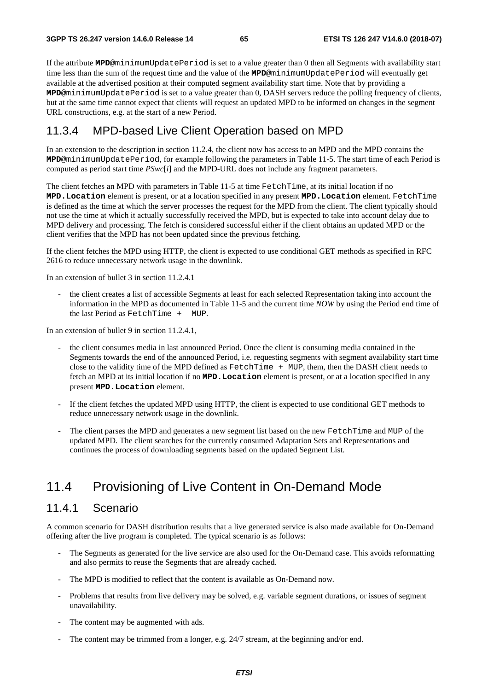If the attribute **MPD**@minimumUpdatePeriod is set to a value greater than 0 then all Segments with availability start time less than the sum of the request time and the value of the **MPD**@minimumUpdatePeriod will eventually get available at the advertised position at their computed segment availability start time. Note that by providing a **MPD**@minimumUpdatePeriod is set to a value greater than 0, DASH servers reduce the polling frequency of clients, but at the same time cannot expect that clients will request an updated MPD to be informed on changes in the segment URL constructions, e.g. at the start of a new Period.

### 11.3.4 MPD-based Live Client Operation based on MPD

In an extension to the description in section 11.2.4, the client now has access to an MPD and the MPD contains the **MPD**@minimumUpdatePeriod, for example following the parameters in Table 11-5. The start time of each Period is computed as period start time  $PSwc[i]$  and the MPD-URL does not include any fragment parameters.

The client fetches an MPD with parameters in Table 11-5 at time FetchTime, at its initial location if no **MPD.Location** element is present, or at a location specified in any present **MPD.Location** element. FetchTime is defined as the time at which the server processes the request for the MPD from the client. The client typically should not use the time at which it actually successfully received the MPD, but is expected to take into account delay due to MPD delivery and processing. The fetch is considered successful either if the client obtains an updated MPD or the client verifies that the MPD has not been updated since the previous fetching.

If the client fetches the MPD using HTTP, the client is expected to use conditional GET methods as specified in RFC 2616 to reduce unnecessary network usage in the downlink.

In an extension of bullet 3 in section 11.2.4.1

- the client creates a list of accessible Segments at least for each selected Representation taking into account the information in the MPD as documented in Table 11-5 and the current time *NOW* by using the Period end time of the last Period as FetchTime + MUP.

In an extension of bullet 9 in section 11.2.4.1,

- the client consumes media in last announced Period. Once the client is consuming media contained in the Segments towards the end of the announced Period, i.e. requesting segments with segment availability start time close to the validity time of the MPD defined as FetchTime + MUP, them, then the DASH client needs to fetch an MPD at its initial location if no **MPD.Location** element is present, or at a location specified in any present **MPD.Location** element.
- If the client fetches the updated MPD using HTTP, the client is expected to use conditional GET methods to reduce unnecessary network usage in the downlink.
- The client parses the MPD and generates a new segment list based on the new FetchTime and MUP of the updated MPD. The client searches for the currently consumed Adaptation Sets and Representations and continues the process of downloading segments based on the updated Segment List.

### 11.4 Provisioning of Live Content in On-Demand Mode

### 11.4.1 Scenario

A common scenario for DASH distribution results that a live generated service is also made available for On-Demand offering after the live program is completed. The typical scenario is as follows:

- The Segments as generated for the live service are also used for the On-Demand case. This avoids reformatting and also permits to reuse the Segments that are already cached.
- The MPD is modified to reflect that the content is available as On-Demand now.
- Problems that results from live delivery may be solved, e.g. variable segment durations, or issues of segment unavailability.
- The content may be augmented with ads.
- The content may be trimmed from a longer, e.g. 24/7 stream, at the beginning and/or end.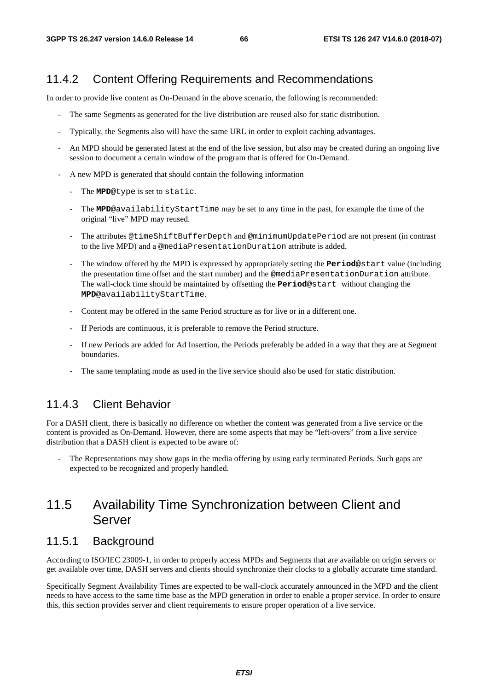### 11.4.2 Content Offering Requirements and Recommendations

In order to provide live content as On-Demand in the above scenario, the following is recommended:

- The same Segments as generated for the live distribution are reused also for static distribution.
- Typically, the Segments also will have the same URL in order to exploit caching advantages.
- An MPD should be generated latest at the end of the live session, but also may be created during an ongoing live session to document a certain window of the program that is offered for On-Demand.
- A new MPD is generated that should contain the following information
	- The **MPD**@type is set to static.
	- The **MPD**@availabilityStartTime may be set to any time in the past, for example the time of the original "live" MPD may reused.
	- The attributes @timeShiftBufferDepth and @minimumUpdatePeriod are not present (in contrast to the live MPD) and a @mediaPresentationDuration attribute is added.
	- The window offered by the MPD is expressed by appropriately setting the **Period**@start value (including the presentation time offset and the start number) and the @mediaPresentationDuration attribute. The wall-clock time should be maintained by offsetting the **Period**@start without changing the **MPD**@availabilityStartTime.
	- Content may be offered in the same Period structure as for live or in a different one.
	- If Periods are continuous, it is preferable to remove the Period structure.
	- If new Periods are added for Ad Insertion, the Periods preferably be added in a way that they are at Segment boundaries.
	- The same templating mode as used in the live service should also be used for static distribution.

### 11.4.3 Client Behavior

For a DASH client, there is basically no difference on whether the content was generated from a live service or the content is provided as On-Demand. However, there are some aspects that may be "left-overs" from a live service distribution that a DASH client is expected to be aware of:

The Representations may show gaps in the media offering by using early terminated Periods. Such gaps are expected to be recognized and properly handled.

### 11.5 Availability Time Synchronization between Client and Server

### 11.5.1 Background

According to ISO/IEC 23009-1, in order to properly access MPDs and Segments that are available on origin servers or get available over time, DASH servers and clients should synchronize their clocks to a globally accurate time standard.

Specifically Segment Availability Times are expected to be wall-clock accurately announced in the MPD and the client needs to have access to the same time base as the MPD generation in order to enable a proper service. In order to ensure this, this section provides server and client requirements to ensure proper operation of a live service.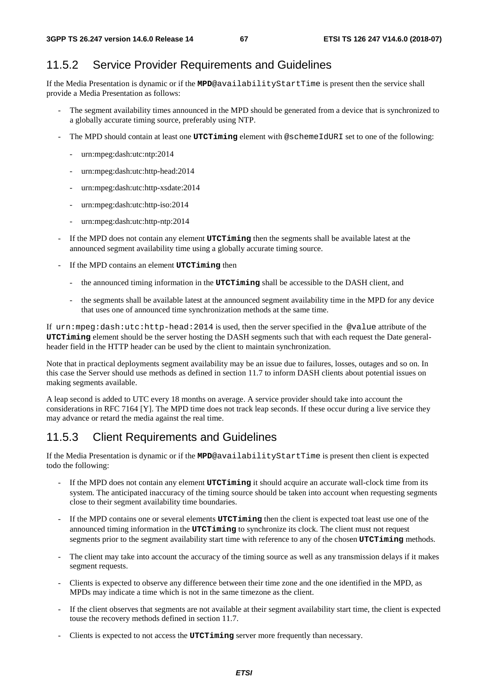### 11.5.2 Service Provider Requirements and Guidelines

If the Media Presentation is dynamic or if the **MPD**@availabilityStartTime is present then the service shall provide a Media Presentation as follows:

- The segment availability times announced in the MPD should be generated from a device that is synchronized to a globally accurate timing source, preferably using NTP.
- The MPD should contain at least one **UTCTiming** element with @schemeIdURI set to one of the following:
	- urn:mpeg:dash:utc:ntp:2014
	- urn:mpeg:dash:utc:http-head:2014
	- urn:mpeg:dash:utc:http-xsdate:2014
	- urn:mpeg:dash:utc:http-iso:2014
	- urn:mpeg:dash:utc:http-ntp:2014
- If the MPD does not contain any element **UTCTiming** then the segments shall be available latest at the announced segment availability time using a globally accurate timing source.
- If the MPD contains an element **UTCTiming** then
	- the announced timing information in the **UTCTiming** shall be accessible to the DASH client, and
	- the segments shall be available latest at the announced segment availability time in the MPD for any device that uses one of announced time synchronization methods at the same time.

If urn:mpeg:dash:utc:http-head:2014 is used, then the server specified in the @value attribute of the **UTCTiming** element should be the server hosting the DASH segments such that with each request the Date generalheader field in the HTTP header can be used by the client to maintain synchronization.

Note that in practical deployments segment availability may be an issue due to failures, losses, outages and so on. In this case the Server should use methods as defined in section 11.7 to inform DASH clients about potential issues on making segments available.

A leap second is added to UTC every 18 months on average. A service provider should take into account the considerations in RFC 7164 [Y]. The MPD time does not track leap seconds. If these occur during a live service they may advance or retard the media against the real time.

### 11.5.3 Client Requirements and Guidelines

If the Media Presentation is dynamic or if the **MPD**@availabilityStartTime is present then client is expected todo the following:

- If the MPD does not contain any element **UTCTiming** it should acquire an accurate wall-clock time from its system. The anticipated inaccuracy of the timing source should be taken into account when requesting segments close to their segment availability time boundaries.
- If the MPD contains one or several elements **UTCTiming** then the client is expected toat least use one of the announced timing information in the **UTCTiming** to synchronize its clock. The client must not request segments prior to the segment availability start time with reference to any of the chosen **UTCTiming** methods.
- The client may take into account the accuracy of the timing source as well as any transmission delays if it makes segment requests.
- Clients is expected to observe any difference between their time zone and the one identified in the MPD, as MPDs may indicate a time which is not in the same timezone as the client.
- If the client observes that segments are not available at their segment availability start time, the client is expected touse the recovery methods defined in section 11.7.
- Clients is expected to not access the **UTCTiming** server more frequently than necessary.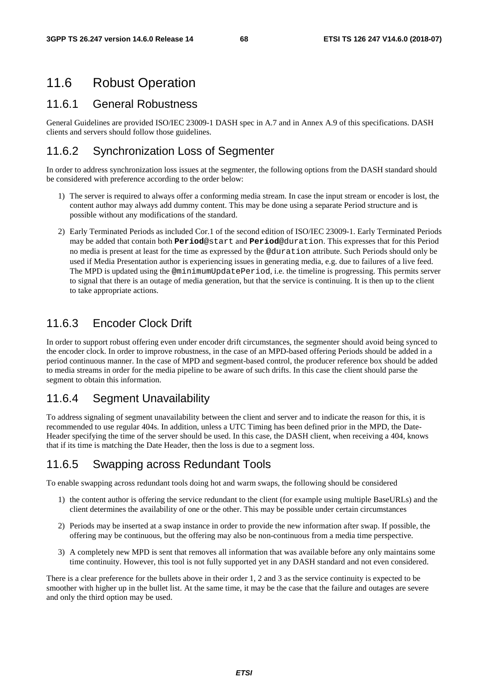### 11.6 Robust Operation

### 11.6.1 General Robustness

General Guidelines are provided ISO/IEC 23009-1 DASH spec in A.7 and in Annex A.9 of this specifications. DASH clients and servers should follow those guidelines.

### 11.6.2 Synchronization Loss of Segmenter

In order to address synchronization loss issues at the segmenter, the following options from the DASH standard should be considered with preference according to the order below:

- 1) The server is required to always offer a conforming media stream. In case the input stream or encoder is lost, the content author may always add dummy content. This may be done using a separate Period structure and is possible without any modifications of the standard.
- 2) Early Terminated Periods as included Cor.1 of the second edition of ISO/IEC 23009-1. Early Terminated Periods may be added that contain both **Period**@start and **Period**@duration. This expresses that for this Period no media is present at least for the time as expressed by the @duration attribute. Such Periods should only be used if Media Presentation author is experiencing issues in generating media, e.g. due to failures of a live feed. The MPD is updated using the @minimumUpdatePeriod, i.e. the timeline is progressing. This permits server to signal that there is an outage of media generation, but that the service is continuing. It is then up to the client to take appropriate actions.

### 11.6.3 Encoder Clock Drift

In order to support robust offering even under encoder drift circumstances, the segmenter should avoid being synced to the encoder clock. In order to improve robustness, in the case of an MPD-based offering Periods should be added in a period continuous manner. In the case of MPD and segment-based control, the producer reference box should be added to media streams in order for the media pipeline to be aware of such drifts. In this case the client should parse the segment to obtain this information.

### 11.6.4 Segment Unavailability

To address signaling of segment unavailability between the client and server and to indicate the reason for this, it is recommended to use regular 404s. In addition, unless a UTC Timing has been defined prior in the MPD, the Date-Header specifying the time of the server should be used. In this case, the DASH client, when receiving a 404, knows that if its time is matching the Date Header, then the loss is due to a segment loss.

### 11.6.5 Swapping across Redundant Tools

To enable swapping across redundant tools doing hot and warm swaps, the following should be considered

- 1) the content author is offering the service redundant to the client (for example using multiple BaseURLs) and the client determines the availability of one or the other. This may be possible under certain circumstances
- 2) Periods may be inserted at a swap instance in order to provide the new information after swap. If possible, the offering may be continuous, but the offering may also be non-continuous from a media time perspective.
- 3) A completely new MPD is sent that removes all information that was available before any only maintains some time continuity. However, this tool is not fully supported yet in any DASH standard and not even considered.

There is a clear preference for the bullets above in their order 1, 2 and 3 as the service continuity is expected to be smoother with higher up in the bullet list. At the same time, it may be the case that the failure and outages are severe and only the third option may be used.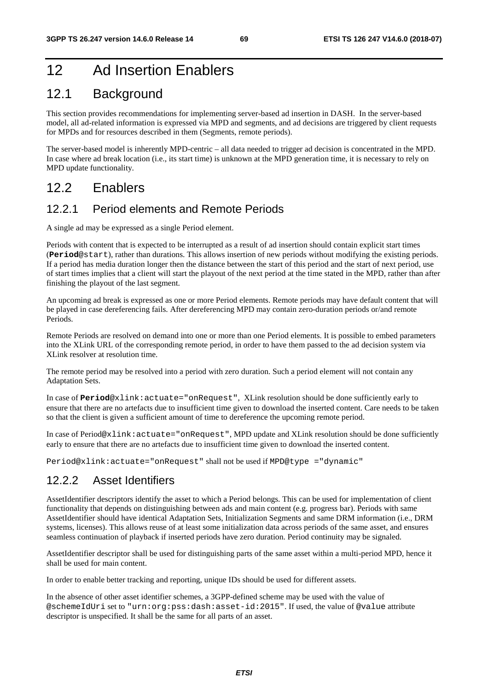## 12 Ad Insertion Enablers

### 12.1 Background

This section provides recommendations for implementing server-based ad insertion in DASH. In the server-based model, all ad-related information is expressed via MPD and segments, and ad decisions are triggered by client requests for MPDs and for resources described in them (Segments, remote periods).

The server-based model is inherently MPD-centric – all data needed to trigger ad decision is concentrated in the MPD. In case where ad break location (i.e., its start time) is unknown at the MPD generation time, it is necessary to rely on MPD update functionality.

### 12.2 Enablers

### 12.2.1 Period elements and Remote Periods

A single ad may be expressed as a single Period element.

Periods with content that is expected to be interrupted as a result of ad insertion should contain explicit start times (**Period**@start), rather than durations. This allows insertion of new periods without modifying the existing periods. If a period has media duration longer then the distance between the start of this period and the start of next period, use of start times implies that a client will start the playout of the next period at the time stated in the MPD, rather than after finishing the playout of the last segment.

An upcoming ad break is expressed as one or more Period elements. Remote periods may have default content that will be played in case dereferencing fails. After dereferencing MPD may contain zero-duration periods or/and remote Periods.

Remote Periods are resolved on demand into one or more than one Period elements. It is possible to embed parameters into the XLink URL of the corresponding remote period, in order to have them passed to the ad decision system via XLink resolver at resolution time.

The remote period may be resolved into a period with zero duration. Such a period element will not contain any Adaptation Sets.

In case of **Period**@xlink:actuate="onRequest", XLink resolution should be done sufficiently early to ensure that there are no artefacts due to insufficient time given to download the inserted content. Care needs to be taken so that the client is given a sufficient amount of time to dereference the upcoming remote period.

In case of Period@xlink:actuate="onRequest", MPD update and XLink resolution should be done sufficiently early to ensure that there are no artefacts due to insufficient time given to download the inserted content.

Period@xlink:actuate="onRequest" shall not be used if MPD@type ="dynamic"

### 12.2.2 Asset Identifiers

AssetIdentifier descriptors identify the asset to which a Period belongs. This can be used for implementation of client functionality that depends on distinguishing between ads and main content (e.g. progress bar). Periods with same AssetIdentifier should have identical Adaptation Sets, Initialization Segments and same DRM information (i.e., DRM systems, licenses). This allows reuse of at least some initialization data across periods of the same asset, and ensures seamless continuation of playback if inserted periods have zero duration. Period continuity may be signaled.

AssetIdentifier descriptor shall be used for distinguishing parts of the same asset within a multi-period MPD, hence it shall be used for main content.

In order to enable better tracking and reporting, unique IDs should be used for different assets.

In the absence of other asset identifier schemes, a 3GPP-defined scheme may be used with the value of @schemeIdUri set to "urn:org:pss:dash:asset-id:2015". If used, the value of @value attribute descriptor is unspecified. It shall be the same for all parts of an asset.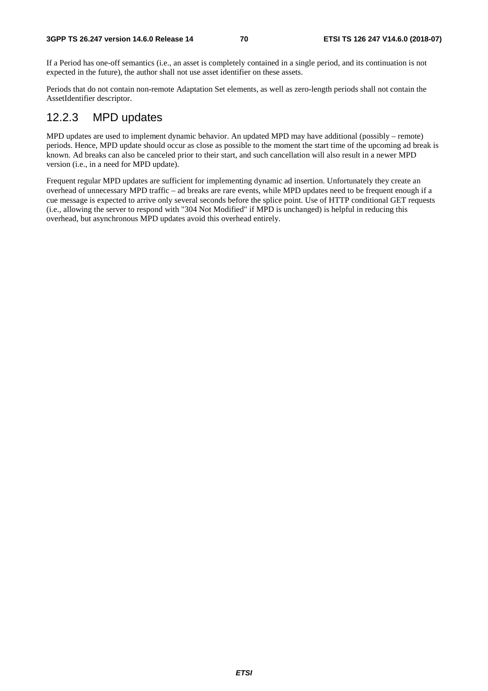If a Period has one-off semantics (i.e., an asset is completely contained in a single period, and its continuation is not expected in the future), the author shall not use asset identifier on these assets.

Periods that do not contain non-remote Adaptation Set elements, as well as zero-length periods shall not contain the AssetIdentifier descriptor.

### 12.2.3 MPD updates

MPD updates are used to implement dynamic behavior. An updated MPD may have additional (possibly – remote) periods. Hence, MPD update should occur as close as possible to the moment the start time of the upcoming ad break is known. Ad breaks can also be canceled prior to their start, and such cancellation will also result in a newer MPD version (i.e., in a need for MPD update).

Frequent regular MPD updates are sufficient for implementing dynamic ad insertion. Unfortunately they create an overhead of unnecessary MPD traffic – ad breaks are rare events, while MPD updates need to be frequent enough if a cue message is expected to arrive only several seconds before the splice point. Use of HTTP conditional GET requests (i.e., allowing the server to respond with "304 Not Modified" if MPD is unchanged) is helpful in reducing this overhead, but asynchronous MPD updates avoid this overhead entirely.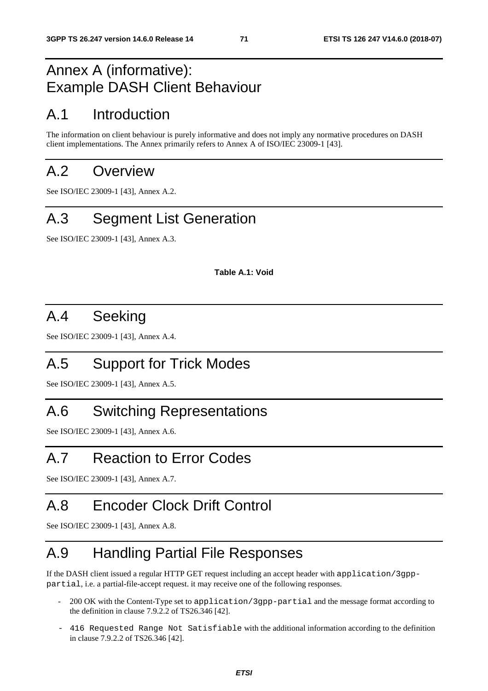## Annex A (informative): Example DASH Client Behaviour

## A.1 Introduction

The information on client behaviour is purely informative and does not imply any normative procedures on DASH client implementations. The Annex primarily refers to Annex A of ISO/IEC 23009-1 [43].

## A.2 Overview

See ISO/IEC 23009-1 [43], Annex A.2.

## A.3 Segment List Generation

See ISO/IEC 23009-1 [43], Annex A.3.

**Table A.1: Void** 

## A.4 Seeking

See ISO/IEC 23009-1 [43], Annex A.4.

## A.5 Support for Trick Modes

See ISO/IEC 23009-1 [43], Annex A.5.

## A.6 Switching Representations

See ISO/IEC 23009-1 [43], Annex A.6.

## A.7 Reaction to Error Codes

See ISO/IEC 23009-1 [43], Annex A.7.

## A.8 Encoder Clock Drift Control

See ISO/IEC 23009-1 [43], Annex A.8.

## A.9 Handling Partial File Responses

If the DASH client issued a regular HTTP GET request including an accept header with application/3gpppartial, i.e. a partial-file-accept request. it may receive one of the following responses.

- 200 OK with the Content-Type set to application/3gpp-partial and the message format according to the definition in clause 7.9.2.2 of TS26.346 [42].
- 416 Requested Range Not Satisfiable with the additional information according to the definition in clause 7.9.2.2 of TS26.346 [42].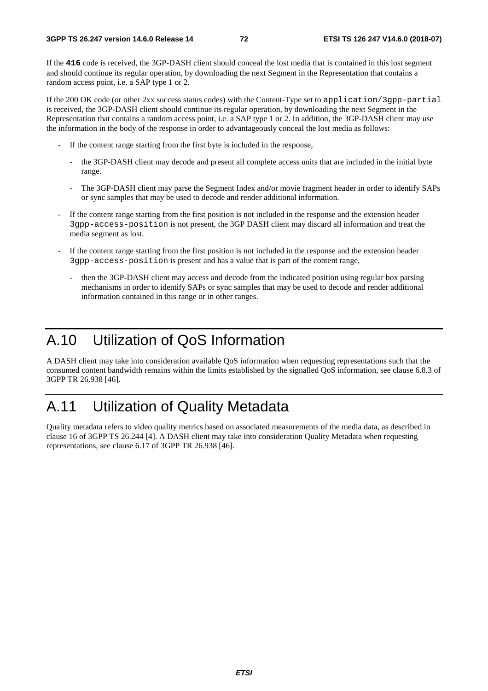If the **416** code is received, the 3GP-DASH client should conceal the lost media that is contained in this lost segment and should continue its regular operation, by downloading the next Segment in the Representation that contains a random access point, i.e. a SAP type 1 or 2.

If the 200 OK code (or other 2xx success status codes) with the Content-Type set to application/3gpp-partial is received, the 3GP-DASH client should continue its regular operation, by downloading the next Segment in the Representation that contains a random access point, i.e. a SAP type 1 or 2. In addition, the 3GP-DASH client may use the information in the body of the response in order to advantageously conceal the lost media as follows:

- If the content range starting from the first byte is included in the response,
	- the 3GP-DASH client may decode and present all complete access units that are included in the initial byte range.
	- The 3GP-DASH client may parse the Segment Index and/or movie fragment header in order to identify SAPs or sync samples that may be used to decode and render additional information.
- If the content range starting from the first position is not included in the response and the extension header 3gpp-access-position is not present, the 3GP DASH client may discard all information and treat the media segment as lost.
- If the content range starting from the first position is not included in the response and the extension header 3gpp-access-position is present and has a value that is part of the content range,
	- then the 3GP-DASH client may access and decode from the indicated position using regular box parsing mechanisms in order to identify SAPs or sync samples that may be used to decode and render additional information contained in this range or in other ranges.

# A.10 Utilization of QoS Information

A DASH client may take into consideration available QoS information when requesting representations such that the consumed content bandwidth remains within the limits established by the signalled QoS information, see clause 6.8.3 of 3GPP TR 26.938 [46].

### A.11 Utilization of Quality Metadata

Quality metadata refers to video quality metrics based on associated measurements of the media data, as described in clause 16 of 3GPP TS 26.244 [4]. A DASH client may take into consideration Quality Metadata when requesting representations, see clause 6.17 of 3GPP TR 26.938 [46].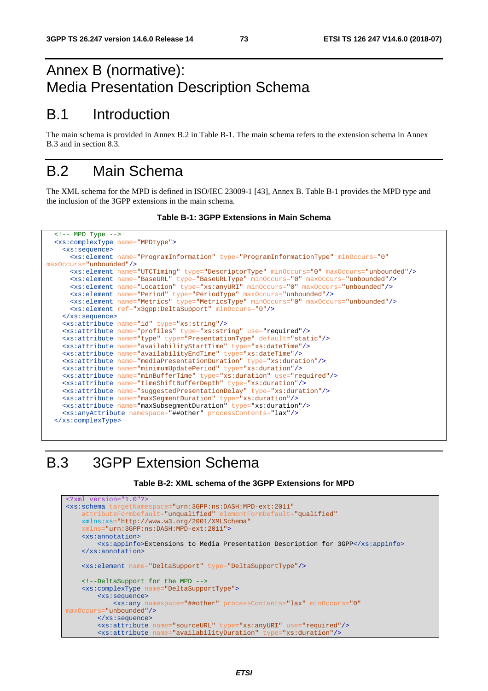# Annex B (normative): Media Presentation Description Schema

# B.1 Introduction

The main schema is provided in Annex B.2 in Table B-1. The main schema refers to the extension schema in Annex B.3 and in section 8.3.

# B.2 Main Schema

The XML schema for the MPD is defined in ISO/IEC 23009-1 [43], Annex B. Table B-1 provides the MPD type and the inclusion of the 3GPP extensions in the main schema.

```
Table B-1: 3GPP Extensions in Main Schema
```

```
\overline{ <!-- MPD Type -->
   <xs:complexType name="MPDtype">
    <xs:sequence>
      <xs:element name="ProgramInformation" type="ProgramInformationType" minOccurs="0"
maxOccurs="unbounded"/>
      <xs:element name="UTCTiming" type="DescriptorType" minOccurs="0" maxOccurs="unbounded"/>
      <xs:element name="BaseURL" type="BaseURLType" minOccurs="0" maxOccurs="unbounded"/>
      <xs:element name="Location" type="xs:anyURI" minOccurs="0" maxOccurs="unbounded"/>
      <xs:element name="Period" type="PeriodType" maxOccurs="unbounded"/>
      <xs:element name="Metrics" type="MetricsType" minOccurs="0" maxOccurs="unbounded"/>
       <xs:element ref="x3gpp:DeltaSupport" minOccurs="0"/>
     </xs:sequence>
     <xs:attribute name="id" type="xs:string"/>
     <xs:attribute name="profiles" type="xs:string" use="required"/>
     <xs:attribute name="type" type="PresentationType" default="static"/>
     <xs:attribute name="availabilityStartTime" type="xs:dateTime"/>
     <xs:attribute name="availabilityEndTime" type="xs:dateTime"/>
     <xs:attribute name="mediaPresentationDuration" type="xs:duration"/>
     <xs:attribute name="minimumUpdatePeriod" type="xs:duration"/>
     <xs:attribute name="minBufferTime" type="xs:duration" use="required"/>
     <xs:attribute name="timeShiftBufferDepth" type="xs:duration"/>
     <xs:attribute name="suggestedPresentationDelay" type="xs:duration"/>
     <xs:attribute name="maxSegmentDuration" type="xs:duration"/> 
     <xs:attribute name="maxSubsegmentDuration" type="xs:duration"/>
     <xs:anyAttribute namespace="##other" processContents="lax"/>
   </xs:complexType>
```
# B.3 3GPP Extension Schema

```
Table B-2: XML schema of the 3GPP Extensions for MPD
```

| $\frac{2 \times m}{2 \times m}$ version="1.0"?>                                      |
|--------------------------------------------------------------------------------------|
| <xs:schema <="" targetnamespace="urn:3GPP:ns:DASH:MPD-ext:2011" td=""></xs:schema>   |
| attributeFormDefault="unqualified" elementFormDefault="qualified"                    |
| xmlns:xs="http://www.w3.org/2001/XMLSchema"                                          |
| $xmlns="urn:3GPP:ns:DASH:MPD-ext:2011"$                                              |
| <xs:annotation></xs:annotation>                                                      |
| <xs:appinfo>Extensions to Media Presentation Description for 3GPP</xs:appinfo>       |
| $\langle x \rangle$                                                                  |
|                                                                                      |
| <xs:element name="DeltaSupport" type="DeltaSupportType"></xs:element>                |
|                                                                                      |
| DeltaSupport for the MPD                                                             |
| <xs:complextype name="DeltaSupportType"></xs:complextype>                            |
| <xs:sequence></xs:sequence>                                                          |
| <xs:any <="" minoccurs="0" namespace="##other" processcontents="lax" td=""></xs:any> |
| maxOccurs="unbounded"/>                                                              |
| $\langle xs : \text{sequence} \rangle$                                               |
| <xs:attribute name="sourceURL" type="xs:anyURI" use="required"></xs:attribute>       |
| <xs:attribute name="availabilityDuration" type="xs:duration"></xs:attribute>         |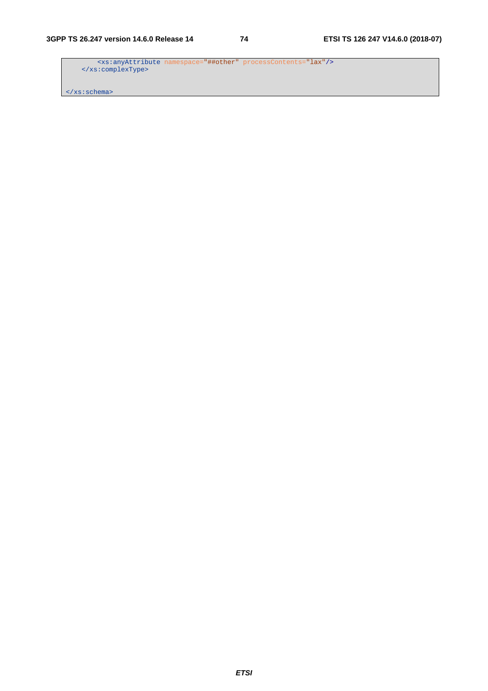<xs:anyAttribute namespace="##other" processContents="lax"/> </xs:complexType>

</xs:schema>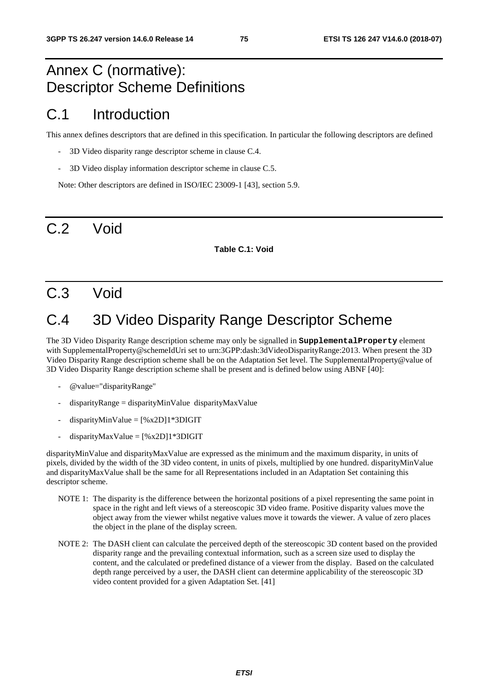# Annex C (normative): Descriptor Scheme Definitions

### C.1 Introduction

This annex defines descriptors that are defined in this specification. In particular the following descriptors are defined

- 3D Video disparity range descriptor scheme in clause C.4.
- 3D Video display information descriptor scheme in clause C.5.

Note: Other descriptors are defined in ISO/IEC 23009-1 [43], section 5.9.

# C.2 Void

#### **Table C.1: Void**

### C.3 Void

### C.4 3D Video Disparity Range Descriptor Scheme

The 3D Video Disparity Range description scheme may only be signalled in **SupplementalProperty** element with SupplementalProperty@schemeIdUri set to urn:3GPP:dash:3dVideoDisparityRange:2013. When present the 3D Video Disparity Range description scheme shall be on the Adaptation Set level. The SupplementalProperty@value of 3D Video Disparity Range description scheme shall be present and is defined below using ABNF [40]:

- @value="disparityRange"
- $disparityRange = disparityMinValue$  disparity $MaxValue$
- $disparityMinValue = [%x2D]1*3DIGIT$
- $disparityMaxValue = [%x2D]1*3DIGIT$

disparityMinValue and disparityMaxValue are expressed as the minimum and the maximum disparity, in units of pixels, divided by the width of the 3D video content, in units of pixels, multiplied by one hundred. disparityMinValue and disparityMaxValue shall be the same for all Representations included in an Adaptation Set containing this descriptor scheme.

- NOTE 1: The disparity is the difference between the horizontal positions of a pixel representing the same point in space in the right and left views of a stereoscopic 3D video frame. Positive disparity values move the object away from the viewer whilst negative values move it towards the viewer. A value of zero places the object in the plane of the display screen.
- NOTE 2: The DASH client can calculate the perceived depth of the stereoscopic 3D content based on the provided disparity range and the prevailing contextual information, such as a screen size used to display the content, and the calculated or predefined distance of a viewer from the display. Based on the calculated depth range perceived by a user, the DASH client can determine applicability of the stereoscopic 3D video content provided for a given Adaptation Set. [41]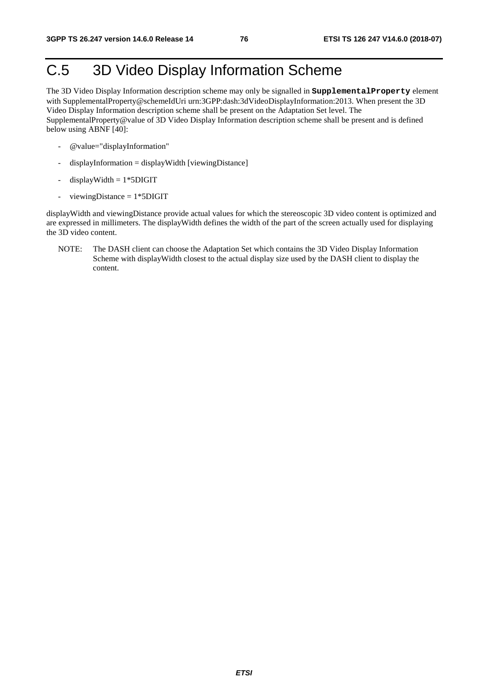# C.5 3D Video Display Information Scheme

The 3D Video Display Information description scheme may only be signalled in **SupplementalProperty** element with SupplementalProperty@schemeIdUri urn:3GPP:dash:3dVideoDisplayInformation:2013. When present the 3D Video Display Information description scheme shall be present on the Adaptation Set level. The SupplementalProperty@value of 3D Video Display Information description scheme shall be present and is defined below using ABNF [40]:

- @value="displayInformation"
- $displayInformation = displayWidth [viewingDistance]$
- $displayWidth = 1*5DIGHT$
- $viewingDistance = 1*5DIGIT$

displayWidth and viewingDistance provide actual values for which the stereoscopic 3D video content is optimized and are expressed in millimeters. The displayWidth defines the width of the part of the screen actually used for displaying the 3D video content.

NOTE: The DASH client can choose the Adaptation Set which contains the 3D Video Display Information Scheme with displayWidth closest to the actual display size used by the DASH client to display the content.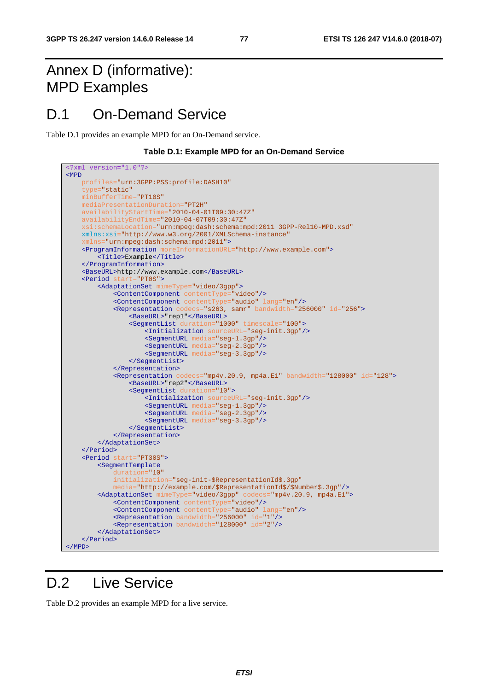# Annex D (informative): MPD Examples

### D.1 On-Demand Service

Table D.1 provides an example MPD for an On-Demand service.

**Table D.1: Example MPD for an On-Demand Service** 

```
<?xml version="1.0"?>
<MPD
     profiles="urn:3GPP:PSS:profile:DASH10"
     type="static"
     minBufferTime="PT10S"
     mediaPresentationDuration="PT2H"
     availabilityStartTime="2010-04-01T09:30:47Z"
     availabilityEndTime="2010-04-07T09:30:47Z"
     xsi:schemaLocation="urn:mpeg:dash:schema:mpd:2011 3GPP-Rel10-MPD.xsd" 
     xmlns:xsi="http://www.w3.org/2001/XMLSchema-instance" 
     xmlns="urn:mpeg:dash:schema:mpd:2011">
     <ProgramInformation moreInformationURL="http://www.example.com">
         <Title>Example</Title>
     </ProgramInformation>
     <BaseURL>http://www.example.com</BaseURL>
     <Period start="PT0S">
         <AdaptationSet mimeType="video/3gpp">
             <ContentComponent contentType="video"/>
             <ContentComponent contentType="audio" lang="en"/>
             <Representation codecs="s263, samr" bandwidth="256000" id="256">
                 <BaseURL>"rep1"</BaseURL>
                <SegmentList duration="1000" timescale="100"> 
                     <Initialization sourceURL="seg-init.3gp"/>
                     <SegmentURL media="seg-1.3gp"/>
                     <SegmentURL media="seg-2.3gp"/>
                     <SegmentURL media="seg-3.3gp"/>
                 </SegmentList> 
             </Representation>
             <Representation codecs="mp4v.20.9, mp4a.E1" bandwidth="128000" id="128">
                 <BaseURL>"rep2"</BaseURL>
                 <SegmentList duration="10">
                     <Initialization sourceURL="seg-init.3gp"/>
                     <SegmentURL media="seg-1.3gp"/>
                     <SegmentURL media="seg-2.3gp"/>
                     <SegmentURL media="seg-3.3gp"/>
                 </SegmentList>
             </Representation>
         </AdaptationSet>
     </Period>
     <Period start="PT30S">
         <SegmentTemplate
             duration="10"
             initialization="seg-init-$RepresentationId$.3gp"
             media="http://example.com/$RepresentationId$/$Number$.3gp"/>
         <AdaptationSet mimeType="video/3gpp" codecs="mp4v.20.9, mp4a.E1">
 <ContentComponent contentType="video"/>
 <ContentComponent contentType="audio" lang="en"/>
             <Representation bandwidth="256000" id="1"/>
             <Representation bandwidth="128000" id="2"/>
         </AdaptationSet>
     </Period>
</MPD>
```
### D.2 Live Service

Table D.2 provides an example MPD for a live service.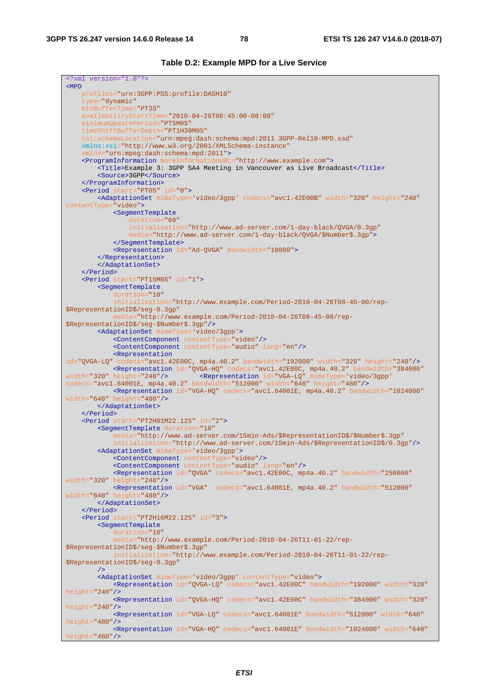<?xml version="1.0"?>

**Table D.2: Example MPD for a Live Service** 

```
<MPD
    profiles="urn:3GPP:PSS:profile:DASH10"
     type="dynamic"
     minBufferTime="PT3S"
     availabilityStartTime="2010-04-26T08:45:00-08:00"
     minimumUpdatePeriod="PT5M0S"
     timeShiftBufferDepth="PT1H30M0S"
        xsi:schemaLocation="urn:mpeg:dash:schema:mpd:2011 3GPP-Rel10-MPD.xsd"
     xmlns:xsi="http://www.w3.org/2001/XMLSchema-instance"
     xmlns="urn:mpeg:dash:schema:mpd:2011">
     <ProgramInformation moreInformationURL="http://www.example.com">
        <Title>Example 3: 3GPP SA4 Meeting in Vancouver as Live Broadcast</Title>
        <Source>3GPP</Source>
     </ProgramInformation>
     <Period start="PT0S" id="0">
         <AdaptationSet mimeType='video/3gpp' codecs="avc1.42E00B" width="320" height="240"
contentType="video">
             <SegmentTemplate
                 duration="60"
                 initialization="http://www.ad-server.com/1-day-black/QVGA/0.3gp"
                 media="http://www.ad-server.com/1-day-black/QVGA/$Number$.3gp">
             </SegmentTemplate>
             <Representation id="Ad-QVGA" bandwidth="10000">
         </Representation>
         </AdaptationSet>
     </Period>
     <Period start="PT15M0S" id="1">
         <SegmentTemplate
            duration="10"
             initialization="http://www.example.com/Period-2010-04-26T08-45-00/rep-
$RepresentationID$/seg-0.3gp"
            media="http://www.example.com/Period-2010-04-26T08-45-00/rep-
$RepresentationID$/seg-$Number$.3gp"/>
         <AdaptationSet mimeType='video/3gpp'>
             <ContentComponent contentType="video"/>
             <ContentComponent contentType="audio" lang="en"/>
             <Representation 
id="QVGA-LQ" codecs="avc1.42E00C, mp4a.40.2" bandwidth="192000" width="320" height="240"/>
<Representation id="QVGA-HQ" codecs="avc1.42E00C, mp4a.40.2" bandwidth="384000"<br>width="320" height="240"/><br><Representation id="VGA-LQ" mimeType='video/3gpp'
width="320" height="240"/> <Representation id="VGA-LQ" mimeType='video/3gpp'
codecs="avc1.64001E, mp4a.40.2" bandwidth="512000" width="640" height="480"/>
             <Representation id="VGA-HQ" codecs="avc1.64001E, mp4a.40.2" bandwidth="1024000"
width="640" height="480"/>
         </AdaptationSet>
     </Period>
     <Period start="PT2H01M22.12S" id="2">
         <SegmentTemplate duration="10"
            media="http://www.ad-server.com/15min-Ads/$RepresentationID$/$Number$.3gp"
             initialization="http://www.ad-server.com/15min-Ads/$RepresentationID$/0.3gp"/>
         <AdaptationSet mimeType='video/3gpp'>
 <ContentComponent contentType="video"/>
 <ContentComponent contentType="audio" lang="en"/> 
             <Representation id="QVGA" codecs="avc1.42E00C, mp4a.40.2" bandwidth="256000"
width="320" height="240"/> 
             <Representation id="VGA" codecs="avc1.64001E, mp4a.40.2" bandwidth="512000"
width="640" height="480"/> 
         </AdaptationSet>
     </Period>
     <Period start="PT2H16M22.12S" id="3">
         <SegmentTemplate
 duration="10"
 media="http://www.example.com/Period-2010-04-26T11-01-22/rep-
$RepresentationID$/seg-$Number$.3gp"
             initialization="http://www.example.com/Period-2010-04-26T11-01-22/rep-
$RepresentationID$/seg-0.3gp"
         />
         <AdaptationSet mimeType='video/3gpp' contentType="video">
             <Representation id="QVGA-LQ" codecs="avc1.42E00C" bandwidth="192000" width="320"
height="240"/>
             <Representation id="QVGA-HQ" codecs="avc1.42E00C" bandwidth="384000" width="320"
height="240"/>
             <Representation id="VGA-LQ" codecs="avc1.64001E" bandwidth="512000" width="640"
height="480"/>
             <Representation id="VGA-HQ" codecs="avc1.64001E" bandwidth="1024000" width="640"
height="480"/>
```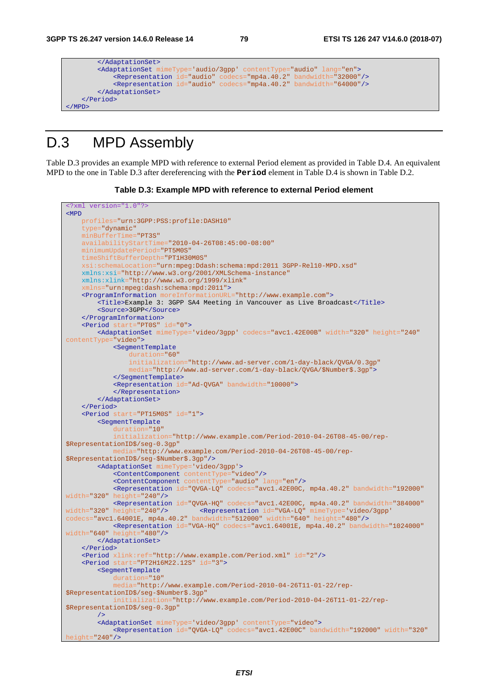```
 </AdaptationSet>
         <AdaptationSet mimeType='audio/3gpp' contentType="audio" lang="en">
 <Representation id="audio" codecs="mp4a.40.2" bandwidth="32000"/>
 <Representation id="audio" codecs="mp4a.40.2" bandwidth="64000"/>
         </AdaptationSet>
     </Period>
\langle/MPD\rangle
```
# D.3 MPD Assembly

Table D.3 provides an example MPD with reference to external Period element as provided in Table D.4. An equivalent MPD to the one in Table D.3 after dereferencing with the **Period** element in Table D.4 is shown in Table D.2.

#### **Table D.3: Example MPD with reference to external Period element**

```
<?xml version="1.0"?>
<MPD
    profiles="urn:3GPP:PSS:profile:DASH10"
     type="dynamic"
     minBufferTime="PT3S"
     availabilityStartTime="2010-04-26T08:45:00-08:00"
     minimumUpdatePeriod="PT5M0S"
     timeShiftBufferDepth="PT1H30M0S"
     xsi:schemaLocation="urn:mpeg:Ddash:schema:mpd:2011 3GPP-Rel10-MPD.xsd"
     xmlns:xsi="http://www.w3.org/2001/XMLSchema-instance"
     xmlns:xlink="http://www.w3.org/1999/xlink" 
     xmlns="urn:mpeg:dash:schema:mpd:2011"> 
     <ProgramInformation moreInformationURL="http://www.example.com">
         <Title>Example 3: 3GPP SA4 Meeting in Vancouver as Live Broadcast</Title>
         <Source>3GPP</Source>
     </ProgramInformation>
     <Period start="PT0S" id="0">
        <AdaptationSet mimeType='video/3gpp' codecs="avc1.42E00B" width="320" height="240"
contentType="video">
             <SegmentTemplate
                 duration="60"
                 initialization="http://www.ad-server.com/1-day-black/QVGA/0.3gp"
                 media="http://www.ad-server.com/1-day-black/QVGA/$Number$.3gp">
             </SegmentTemplate>
             <Representation id="Ad-QVGA" bandwidth="10000">
             </Representation>
         </AdaptationSet>
     </Period>
     <Period start="PT15M0S" id="1">
         <SegmentTemplate
            duration="10"
             initialization="http://www.example.com/Period-2010-04-26T08-45-00/rep-
$RepresentationID$/seg-0.3gp"
              media="http://www.example.com/Period-2010-04-26T08-45-00/rep-
$RepresentationID$/seg-$Number$.3gp"/>
         <AdaptationSet mimeType='video/3gpp'>
             <ContentComponent contentType="video"/>
             <ContentComponent contentType="audio" lang="en"/>
             <Representation id="QVGA-LQ" codecs="avc1.42E00C, mp4a.40.2" bandwidth="192000"
width="320" height="240"/>
             <Representation id="QVGA-HQ" codecs="avc1.42E00C, mp4a.40.2" bandwidth="384000"
width="320" height="240"/> <Representation id="VGA-LQ" mimeType='video/3gpp'
codecs="avc1.64001E, mp4a.40.2" bandwidth="512000" width="640" height="480"/>
            <Representation id="VGA-HQ" codecs="avc1.64001E, mp4a.40.2" bandwidth="1024000"
width="640" height="480"/>
         </AdaptationSet>
     </Period>
     <Period xlink:ref="http://www.example.com/Period.xml" id="2"/>
     <Period start="PT2H16M22.12S" id="3">
         <SegmentTemplate
            duration="10"
             media="http://www.example.com/Period-2010-04-26T11-01-22/rep-
$RepresentationID$/seg-$Number$.3gp"
                   initialization="http://www.example.com/Period-2010-04-26T11-01-22/rep-
$RepresentationID$/seg-0.3gp"
         />
         <AdaptationSet mimeType='video/3gpp' contentType="video">
             <Representation id="QVGA-LQ" codecs="avc1.42E00C" bandwidth="192000" width="320"
height="240"/>
```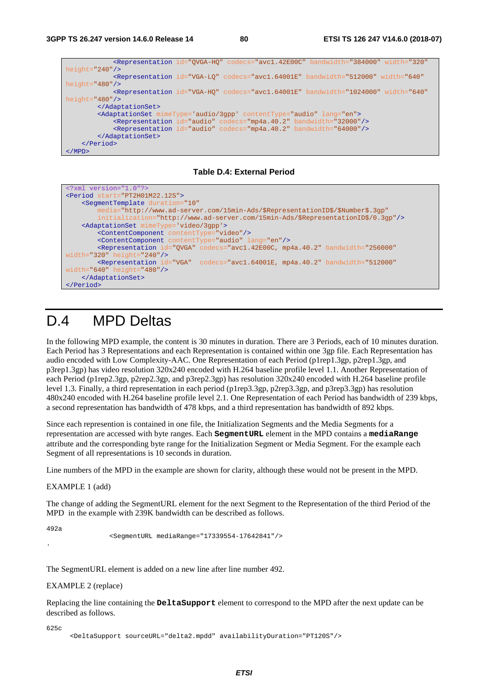```
 <Representation id="QVGA-HQ" codecs="avc1.42E00C" bandwidth="384000" width="320"
height="240"/>
             <Representation id="VGA-LQ" codecs="avc1.64001E" bandwidth="512000" width="640"
height="480"/>
             <Representation id="VGA-HQ" codecs="avc1.64001E" bandwidth="1024000" width="640"
height="480"/>
        </AdaptationSet>
         <AdaptationSet mimeType='audio/3gpp' contentType="audio" lang="en">
             <Representation id="audio" codecs="mp4a.40.2" bandwidth="32000"/>
             <Representation id="audio" codecs="mp4a.40.2" bandwidth="64000"/>
        </AdaptationSet>
     </Period>
</MPD>
```
#### **Table D.4: External Period**

```
<?xml version="1.0"?>
<Period start="PT2H01M22.12S">
     <SegmentTemplate duration="10"
         media="http://www.ad-server.com/15min-Ads/$RepresentationID$/$Number$.3gp"
               initialization="http://www.ad-server.com/15min-Ads/$RepresentationID$/0.3gp"/>
     <AdaptationSet mimeType='video/3gpp'>
 <ContentComponent contentType="video"/>
 <ContentComponent contentType="audio" lang="en"/> 
         <Representation id="QVGA" codecs="avc1.42E00C, mp4a.40.2" bandwidth="256000"
width="320" height="240"/> 
         <Representation id="VGA" codecs="avc1.64001E, mp4a.40.2" bandwidth="512000"
width="640" height="480"/>
     </AdaptationSet>
 </Period>
```
### D.4 MPD Deltas

In the following MPD example, the content is 30 minutes in duration. There are 3 Periods, each of 10 minutes duration. Each Period has 3 Representations and each Representation is contained within one 3gp file. Each Representation has audio encoded with Low Complexity-AAC. One Representation of each Period (p1rep1.3gp, p2rep1.3gp, and p3rep1.3gp) has video resolution 320x240 encoded with H.264 baseline profile level 1.1. Another Representation of each Period (p1rep2.3gp, p2rep2.3gp, and p3rep2.3gp) has resolution 320x240 encoded with H.264 baseline profile level 1.3. Finally, a third representation in each period (p1rep3.3gp, p2rep3.3gp, and p3rep3.3gp) has resolution 480x240 encoded with H.264 baseline profile level 2.1. One Representation of each Period has bandwidth of 239 kbps, a second representation has bandwidth of 478 kbps, and a third representation has bandwidth of 892 kbps.

Since each represention is contained in one file, the Initialization Segments and the Media Segments for a representation are accessed with byte ranges. Each **SegmentURL** element in the MPD contains a **mediaRange** attribute and the corresponding byte range for the Initialization Segment or Media Segment. For the example each Segment of all representations is 10 seconds in duration.

Line numbers of the MPD in the example are shown for clarity, although these would not be present in the MPD.

EXAMPLE 1 (add)

The change of adding the SegmentURL element for the next Segment to the Representation of the third Period of the MPD in the example with 239K bandwidth can be described as follows.

492a

.

<SegmentURL mediaRange="17339554-17642841"/>

The SegmentURL element is added on a new line after line number 492.

EXAMPLE 2 (replace)

Replacing the line containing the **DeltaSupport** element to correspond to the MPD after the next update can be described as follows.

625c

<DeltaSupport sourceURL="delta2.mpdd" availabilityDuration="PT120S"/>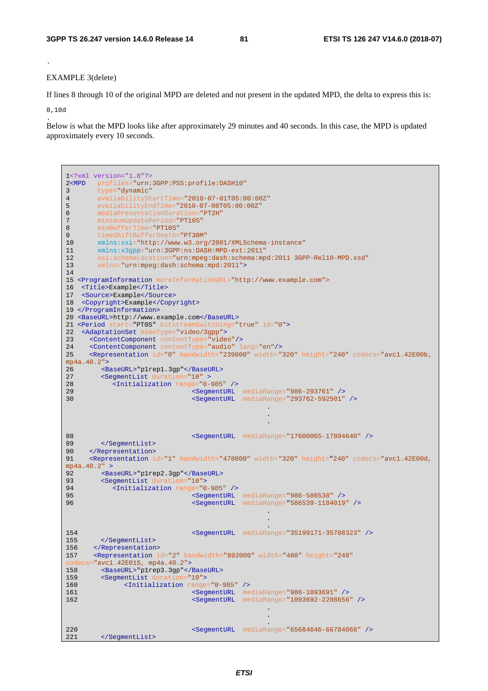#### EXAMPLE 3(delete)

If lines 8 through 10 of the original MPD are deleted and not present in the updated MPD, the delta to express this is:

8,10d .

.

Below is what the MPD looks like after approximately 29 minutes and 40 seconds. In this case, the MPD is updated approximately every 10 seconds.

```
1<?xml version="1.0"?>
2<MPD profiles="urn:3GPP:PSS:profile:DASH10" 
3 type="dynamic" 
4 availabilityStartTime="2010-07-01T05:00:00Z" 
5 availabilityEndTime="2010-07-08T05:00:00Z"
6 mediaPresentationDuration="PT2H" 
7 minimumUpdatePeriod="PT10S"<br>8 minBufferTime="PT10S"
      minBufferTime="PT10S"
9 timeShiftBufferDepth="PT30M"
10 xmlns:xsi="http://www.w3.org/2001/XMLSchema-instance"
11 xmlns:x3gpp="ur:3GPP:ns:DASH:MPD-ext:2011"<br>12 xsi:schemalocation="ur:mpeq:dash:schema:mp12 xsi:schemaLocation="urn:mpeg:dash:schema:mpd:2011 3GPP-Rel10-MPD.xsd"
13 xmlns="urn:mpeg:dash:schema:mpd:2011">
14 
15 <ProgramInformation moreInformationURL="http://www.example.com">
16 <Title>Example</Title>
17 <Source>Example</Source>
18 <Copyright>Example</Copyright>
19 </ProgramInformation>
20 <BaseURL>http://www.example.com</BaseURL>
21 <Period start="PT0S" bitstreamSwitching="true" id="0">
22 <AdaptationSet mimeType="video/3gpp">
23 <ContentComponent contentType="video"/>
24 <ContentComponent contentType="audio" lang="en"/> 
25 <Representation id="0" bandwidth="239000" width="320" height="240" codecs="avc1.42E00b, 
mp4a.40.2">
26 <BaseURL>"p1rep1.3gp"</BaseURL>
27 <SegmentList duration="10" >
28 <Initialization range="0-985" /><br>29 <SecuentURL
29 <SegmentURL mediaRange="986-293761" />
30 <SegmentURL mediaRange="293762-592501" />
 . 
 . 
 . 
88 <SegmentURL mediaRange="17600065-17894640" />
89 </SegmentList> 
90 </Representation>
91 <Representation id="1" bandwidth="478000" width="320" height="240" codecs="avc1.42E00d, 
mp4a.40.2" >
92 <BaseURL>"p1rep2.3gp"</BaseURL><br>93 <SecmentList.duration="10">
93 < SegmentList duration="10"><br>94 < Initialization range="0
94 <Initialization range="0-985" />
                          95 <SegmentURL mediaRange="986-586538" />
96 <SegmentURL mediaRange="586539-1184019" />
 . 
 . 
 . 
154 <SegmentURL mediaRange="35199171-35788323" />
155 </SegmentList>
156 </Representation>
157 <Representation id="2" bandwidth="892000" width="480" height="240" 
\text{codecs} = \text{"avcl}.42E015, \text{mp4a}.40.2" > 158158 <br/> <BaseURL>"p1rep3.3gp"</BaseURL><br>159 <SegmentList duration="10">
      <SegmentList durati
160 <Initialization range="0-985" />
                          161 <SegmentURL mediaRange="986-1093691" />
162 <SegmentURL mediaRange="1093692-2208656" />
 . 
 . 
 . 
220 <SegmentURL mediaRange="65684646-66784068" />
221 </SegmentList>
```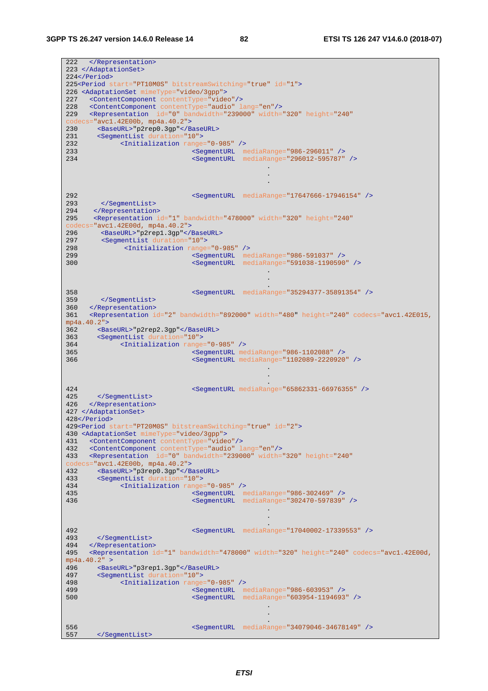#### **3GPP TS 26.247 version 14.6.0 Release 14 82 ETSI TS 126 247 V14.6.0 (2018-07)**

222 </Representation> 223 </AdaptationSet> 224</Period> 225<Period start="PT10M0S" bitstreamSwitching="true" id="1"> 226 <AdaptationSet mimeType="video/3gpp"> 227 <ContentComponent contentType="video"/> 228 <ContentComponent contentType="audio" lang="en"/> 229 <Representation id="0" bandwidth="239000" width="320" height="240"  $\frac{\text{codecs}}{\text{avcl.42E00b}}$ ,  $\frac{\text{mp4a.40.2}}{\text{NaseIIRL}> \text{v2rep0.3go}}$  < // 230 <BaseURL>"p2rep0.3gp"</BaseURL><br>231 <SeqmentList duration="10"> 231 <SegmentList duration="10"> 232 <Initialization range="0-985" /> 233 <SegmentURL mediaRange="986-296011" /> 234 <SegmentURL mediaRange="296012-595787" /> . . . 292 <SegmentURL mediaRange="17647666-17946154" /> 293 </SegmentList> 294 </Representation> 295 <Representation id="1" bandwidth="478000" width="320" height="240"  $\text{codecs} = \text{"avcl}.42E00d, \text{mp4a}.40.2" > 296$ 296 <BaseURL>"p2rep1.3gp"</BaseURL><br>297 <SecmentList duration="10"> 297 <SegmentList duration="10"> 298 <Initialization range="0-985" /> 299 <SegmentURL mediaRange="986-591037" /> 300 <SegmentURL mediaRange="591038-1190590" /> . . . 358 <SegmentURL mediaRange="35294377-35891354" /> 359 </SegmentList> 360 </Representation> 361 <Representation id="2" bandwidth="892000" width="480" height="240" codecs="avc1.42E015, mp4a.40.2"> 362 <BaseURL>"p2rep2.3gp"</BaseURL> 363 <SegmentList duration="10"> 364 <Initialization range="0-985" /> 365 <SegmentURL mediaRange="986-1102088" /> 366 <SegmentURL mediaRange="1102089-2220920" /> . . . 424 <SegmentURL mediaRange="65862331-66976355" /> 425 </SegmentList> 426 </Representation> 427 </AdaptationSet> 428</Period> 429<Period start="PT20M0S" bitstreamSwitching="true" id="2"> 430 <AdaptationSet mimeType="video/3gpp"> 431 <ContentComponent contentType="video"/> 432 <ContentComponent contentType="audio" lang="en"/> 433 <Representation id="0" bandwidth="239000" width="320" height="240" codecs="avc1.42E00b, mp4a.40.2"> 432 <BaseURL>"p3rep0.3gp"</BaseURL><br>433 <SequentList duration="10"> 433 <SegmentList duration="10"> 434 <Initialization range="0-985" /><br>435 <commentIBL m 435 <SegmentURL mediaRange="986-302469" /> 436 <SegmentURL mediaRange="302470-597839" /> . . . 492 <SegmentURL mediaRange="17040002-17339553" /> 493 </SegmentList><br>494 </Representation> 494 </Representation><br>495 <Representation ion 495 <Representation id="1" bandwidth="478000" width="320" height="240" codecs="avc1.42E00d,  $mp4a.40.2" >$ 496 <BaseURL>"p3rep1.3gp"</BaseURL> 497 <SegmentList duration="10"><br>498 <Initialization range 498 <Initialization range="0-985" /><br>499 <SegmentURL m 499 <SegmentURL mediaRange="986-603953" /> 500 <SegmentURL mediaRange="603954-1194693" /> . . . 556 <SegmentURL mediaRange="34079046-34678149" /> 557 </SegmentList>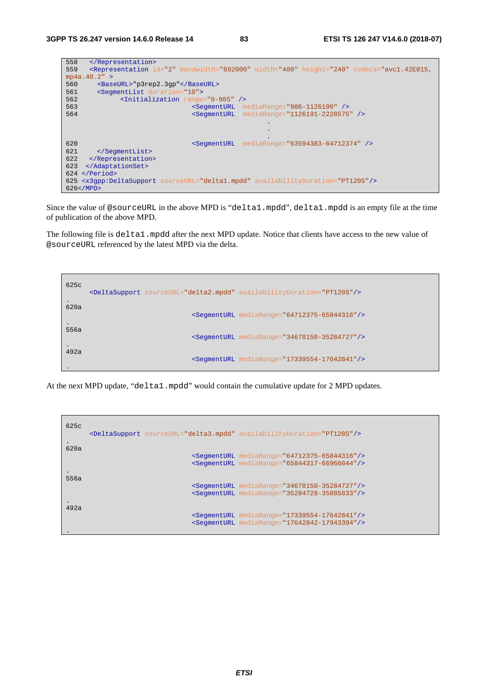| <br>558                                                                                                                                                                    |
|----------------------------------------------------------------------------------------------------------------------------------------------------------------------------|
| <representation bandwidth="892000" codecs="avc1.42E015,&lt;br&gt;559&lt;/td&gt;&lt;/tr&gt;&lt;tr&gt;&lt;td&gt;mp4a.40.2" height="240" id="2" width="480"></representation> |
| 560<br><baseurl>"p3rep2.3qp"</baseurl>                                                                                                                                     |
| 561<br><seqmentlist duration="10"></seqmentlist>                                                                                                                           |
| 562<br><initialization range="0-985"></initialization>                                                                                                                     |
| 563<br><seqmenturl mediarange="986-1126190"></seqmenturl>                                                                                                                  |
| 564<br>mediaRange="1126191-2228575" /><br><seqmenturl< td=""></seqmenturl<>                                                                                                |
| $\bullet$                                                                                                                                                                  |
|                                                                                                                                                                            |
|                                                                                                                                                                            |
| <segmenturl mediarange="63594383-64712374"></segmenturl><br>620                                                                                                            |
| 621<br>                                                                                                                                                                    |
| 622<br>                                                                                                                                                                    |
| 623<br>                                                                                                                                                                    |
| $624$                                                                                                                                                                      |
| 625 <x3qpp:deltasupport availabilityduration="PT120S" sourceurl="delta1.mpdd"></x3qpp:deltasupport>                                                                        |
| 626 < /MPD                                                                                                                                                                 |

Since the value of @sourceURL in the above MPD is "delta1.mpdd", delta1.mpdd is an empty file at the time of publication of the above MPD.

The following file is delta1.mpdd after the next MPD update. Notice that clients have access to the new value of @sourceURL referenced by the latest MPD via the delta.

| 625c | <deltasupport availabilityduration="PT120S" sourceurl="delta2.mpdd"></deltasupport> |
|------|-------------------------------------------------------------------------------------|
| 620a | <segmenturl mediarange="64712375-65844316"></segmenturl>                            |
| 556a | <segmenturl mediarange="34678150-35284727"></segmenturl>                            |
| 492a | <seqmenturl mediarange="17339554-17642841"></seqmenturl>                            |

At the next MPD update, "deltal.mpdd" would contain the cumulative update for 2 MPD updates.

| 625c | <deltasupport availabilityduration="PT120S" sourceurl="delta3.mpdd"></deltasupport> |
|------|-------------------------------------------------------------------------------------|
| 620a | <segmenturl mediarange="64712375-65844316"></segmenturl>                            |
|      | <seqmenturl mediarange="65844317-66966044"></seqmenturl>                            |
| 556a | <segmenturl mediarange="34678150-35284727"></segmenturl>                            |
|      | <segmenturl mediarange="35284728-35885833"></segmenturl>                            |
| 492a | <segmenturl mediarange="17339554-17642841"></segmenturl>                            |
|      | <segmenturl mediarange="17642842-17943394"></segmenturl>                            |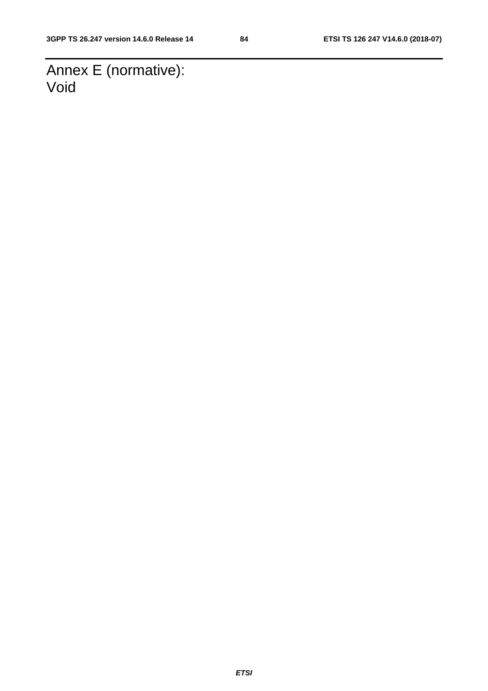Annex E (normative): Void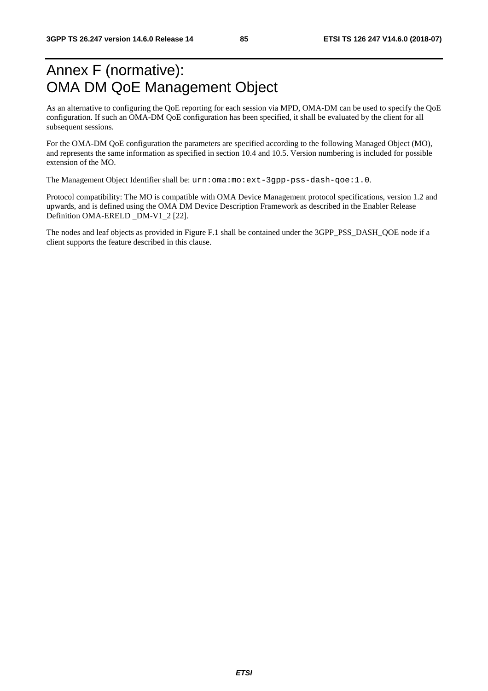# Annex F (normative): OMA DM QoE Management Object

As an alternative to configuring the QoE reporting for each session via MPD, OMA-DM can be used to specify the QoE configuration. If such an OMA-DM QoE configuration has been specified, it shall be evaluated by the client for all subsequent sessions.

For the OMA-DM QoE configuration the parameters are specified according to the following Managed Object (MO), and represents the same information as specified in section 10.4 and 10.5. Version numbering is included for possible extension of the MO.

The Management Object Identifier shall be: urn:oma:mo:ext-3gpp-pss-dash-qoe:1.0.

Protocol compatibility: The MO is compatible with OMA Device Management protocol specifications, version 1.2 and upwards, and is defined using the OMA DM Device Description Framework as described in the Enabler Release Definition OMA-ERELD \_DM-V1\_2 [22].

The nodes and leaf objects as provided in Figure F.1 shall be contained under the 3GPP\_PSS\_DASH\_QOE node if a client supports the feature described in this clause.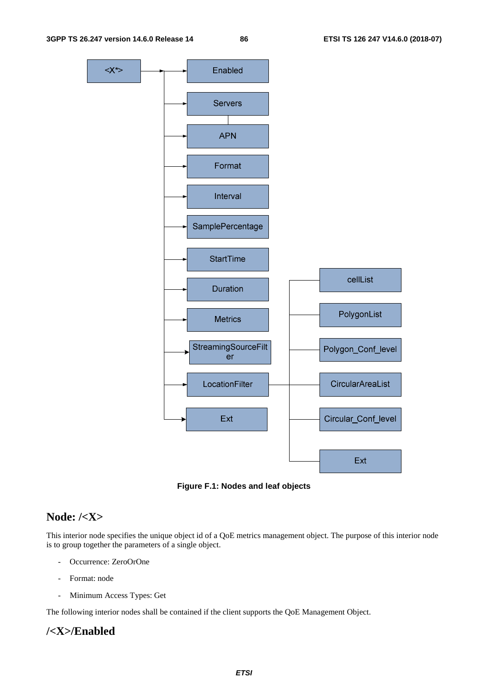

**Figure F.1: Nodes and leaf objects** 

### **Node: /<X>**

This interior node specifies the unique object id of a QoE metrics management object. The purpose of this interior node is to group together the parameters of a single object.

- Occurrence: ZeroOrOne
- Format: node
- Minimum Access Types: Get

The following interior nodes shall be contained if the client supports the QoE Management Object.

### **/<X>/Enabled**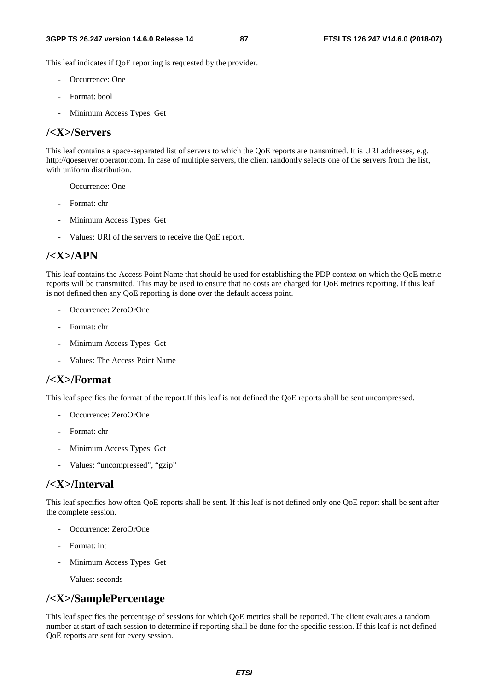This leaf indicates if QoE reporting is requested by the provider.

- Occurrence: One
- Format: bool
- Minimum Access Types: Get

### **/<X>/Servers**

This leaf contains a space-separated list of servers to which the QoE reports are transmitted. It is URI addresses, e.g. http://qoeserver.operator.com. In case of multiple servers, the client randomly selects one of the servers from the list, with uniform distribution.

- Occurrence: One
- Format: chr
- Minimum Access Types: Get
- Values: URI of the servers to receive the QoE report.

### **/<X>/APN**

This leaf contains the Access Point Name that should be used for establishing the PDP context on which the QoE metric reports will be transmitted. This may be used to ensure that no costs are charged for QoE metrics reporting. If this leaf is not defined then any QoE reporting is done over the default access point.

- Occurrence: ZeroOrOne
- Format: chr
- Minimum Access Types: Get
- Values: The Access Point Name

### **/<X>/Format**

This leaf specifies the format of the report.If this leaf is not defined the QoE reports shall be sent uncompressed.

- Occurrence: ZeroOrOne
- Format: chr
- Minimum Access Types: Get
- Values: "uncompressed", "gzip"

### **/<X>/Interval**

This leaf specifies how often QoE reports shall be sent. If this leaf is not defined only one QoE report shall be sent after the complete session.

- Occurrence: ZeroOrOne
- Format: int
- Minimum Access Types: Get
- Values: seconds

### **/<X>/SamplePercentage**

This leaf specifies the percentage of sessions for which QoE metrics shall be reported. The client evaluates a random number at start of each session to determine if reporting shall be done for the specific session. If this leaf is not defined QoE reports are sent for every session.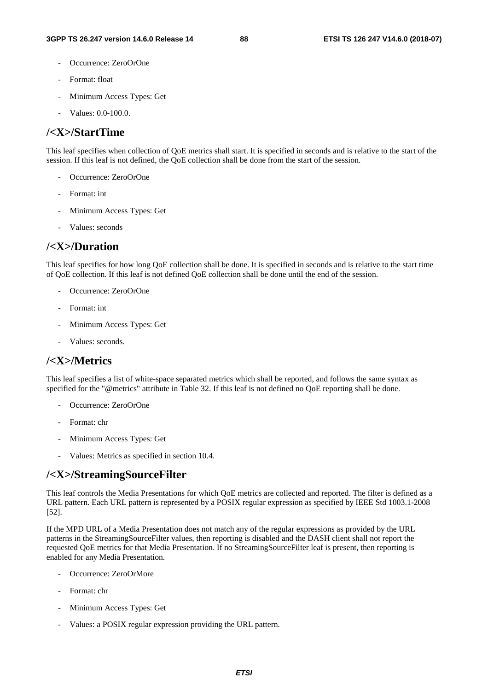- Occurrence: ZeroOrOne
- Format: float
- Minimum Access Types: Get
- Values: 0.0-100.0.

### **/<X>/StartTime**

This leaf specifies when collection of QoE metrics shall start. It is specified in seconds and is relative to the start of the session. If this leaf is not defined, the QoE collection shall be done from the start of the session.

- Occurrence: ZeroOrOne
- Format: int
- Minimum Access Types: Get
- Values: seconds

### **/<X>/Duration**

This leaf specifies for how long QoE collection shall be done. It is specified in seconds and is relative to the start time of QoE collection. If this leaf is not defined QoE collection shall be done until the end of the session.

- Occurrence: ZeroOrOne
- Format: int
- Minimum Access Types: Get
- Values: seconds.

### **/<X>/Metrics**

This leaf specifies a list of white-space separated metrics which shall be reported, and follows the same syntax as specified for the "@metrics" attribute in Table 32. If this leaf is not defined no QoE reporting shall be done.

- Occurrence: ZeroOrOne
- Format: chr
- Minimum Access Types: Get
- Values: Metrics as specified in section 10.4.

### **/<X>/StreamingSourceFilter**

This leaf controls the Media Presentations for which QoE metrics are collected and reported. The filter is defined as a URL pattern. Each URL pattern is represented by a POSIX regular expression as specified by IEEE Std 1003.1-2008 [52].

If the MPD URL of a Media Presentation does not match any of the regular expressions as provided by the URL patterns in the StreamingSourceFilter values, then reporting is disabled and the DASH client shall not report the requested QoE metrics for that Media Presentation. If no StreamingSourceFilter leaf is present, then reporting is enabled for any Media Presentation.

- Occurrence: ZeroOrMore
- Format: chr
- Minimum Access Types: Get
- Values: a POSIX regular expression providing the URL pattern.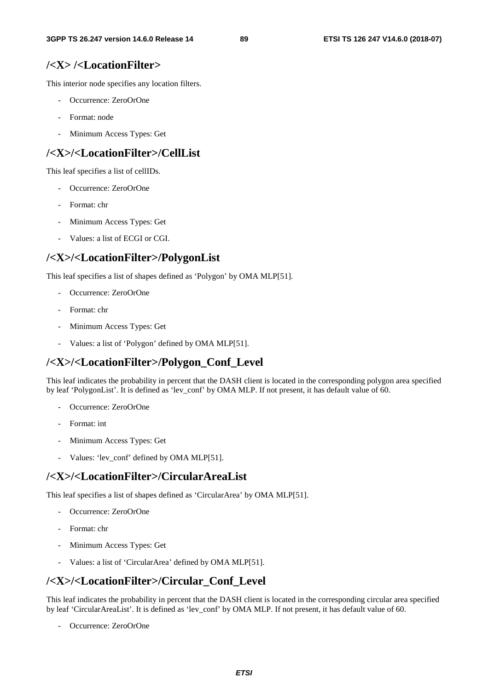### **/<X> /<LocationFilter>**

This interior node specifies any location filters.

- Occurrence: ZeroOrOne
- Format: node
- Minimum Access Types: Get

### **/<X>/<LocationFilter>/CellList**

This leaf specifies a list of cellIDs.

- Occurrence: ZeroOrOne
- Format: chr
- Minimum Access Types: Get
- Values: a list of ECGI or CGI.

### **/<X>/<LocationFilter>/PolygonList**

This leaf specifies a list of shapes defined as 'Polygon' by OMA MLP[51].

- Occurrence: ZeroOrOne
- Format: chr
- Minimum Access Types: Get
- Values: a list of 'Polygon' defined by OMA MLP[51].

### **/<X>/<LocationFilter>/Polygon\_Conf\_Level**

This leaf indicates the probability in percent that the DASH client is located in the corresponding polygon area specified by leaf 'PolygonList'. It is defined as 'lev\_conf' by OMA MLP. If not present, it has default value of 60.

- Occurrence: ZeroOrOne
- Format: int
- Minimum Access Types: Get
- Values: 'lev\_conf' defined by OMA MLP[51].

#### **/<X>/<LocationFilter>/CircularAreaList**

This leaf specifies a list of shapes defined as 'CircularArea' by OMA MLP[51].

- Occurrence: ZeroOrOne
- Format: chr
- Minimum Access Types: Get
- Values: a list of 'CircularArea' defined by OMA MLP[51].

### **/<X>/<LocationFilter>/Circular\_Conf\_Level**

This leaf indicates the probability in percent that the DASH client is located in the corresponding circular area specified by leaf 'CircularAreaList'. It is defined as 'lev\_conf' by OMA MLP. If not present, it has default value of 60.

Occurrence: ZeroOrOne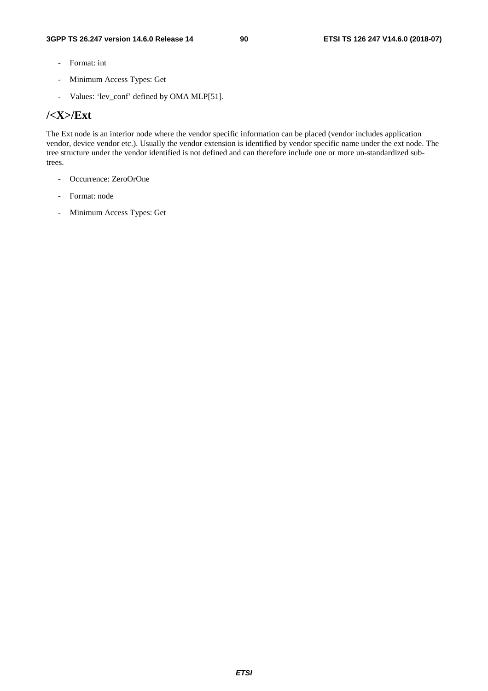- Format: int
- Minimum Access Types: Get
- Values: 'lev\_conf' defined by OMA MLP[51].

### **/<X>/Ext**

The Ext node is an interior node where the vendor specific information can be placed (vendor includes application vendor, device vendor etc.). Usually the vendor extension is identified by vendor specific name under the ext node. The tree structure under the vendor identified is not defined and can therefore include one or more un-standardized subtrees.

- Occurrence: ZeroOrOne
- Format: node
- Minimum Access Types: Get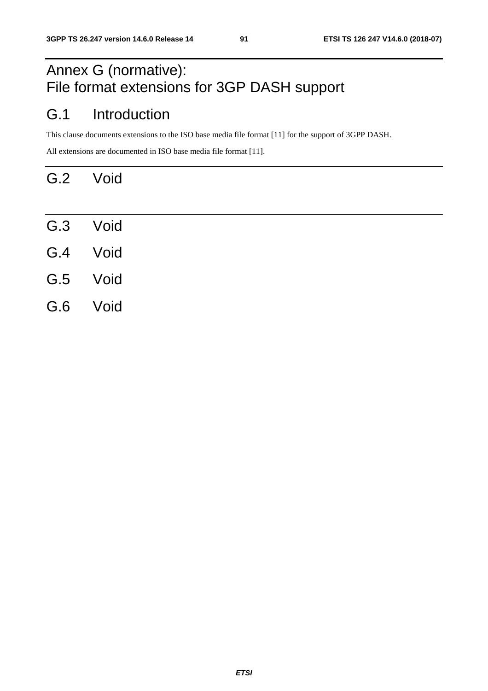# Annex G (normative): File format extensions for 3GP DASH support

# G.1 Introduction

This clause documents extensions to the ISO base media file format [11] for the support of 3GPP DASH.

All extensions are documented in ISO base media file format [11].

# G.2 Void

- G.3 Void G.4 Void G.5 Void
- G.6 Void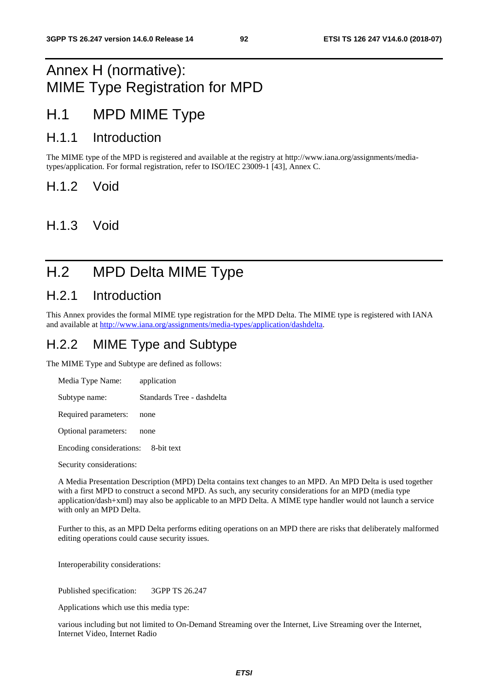## Annex H (normative): MIME Type Registration for MPD

### H.1 MPD MIME Type

### H.1.1 Introduction

The MIME type of the MPD is registered and available at the registry at http://www.iana.org/assignments/mediatypes/application. For formal registration, refer to ISO/IEC 23009-1 [43], Annex C.

H.1.2 Void

H.1.3 Void

# H.2 MPD Delta MIME Type

### H.2.1 Introduction

This Annex provides the formal MIME type registration for the MPD Delta. The MIME type is registered with IANA and available at <http://www.iana.org/assignments/media-types/application/dashdelta>.

### H.2.2 MIME Type and Subtype

The MIME Type and Subtype are defined as follows:

| Media Type Name:     | application                |
|----------------------|----------------------------|
| Subtype name:        | Standards Tree - dashdelta |
| Required parameters: | none                       |
| Optional parameters: | none                       |

Encoding considerations: 8-bit text

Security considerations:

A Media Presentation Description (MPD) Delta contains text changes to an MPD. An MPD Delta is used together with a first MPD to construct a second MPD. As such, any security considerations for an MPD (media type application/dash+xml) may also be applicable to an MPD Delta. A MIME type handler would not launch a service with only an MPD Delta.

Further to this, as an MPD Delta performs editing operations on an MPD there are risks that deliberately malformed editing operations could cause security issues.

Interoperability considerations:

Published specification: 3GPP TS 26.247

Applications which use this media type:

various including but not limited to On-Demand Streaming over the Internet, Live Streaming over the Internet, Internet Video, Internet Radio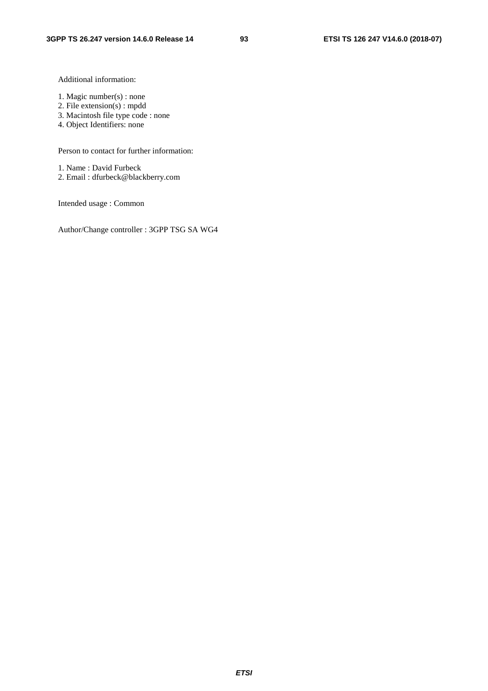Additional information:

- 1. Magic number(s) : none
- 2. File extension(s) : mpdd
- 3. Macintosh file type code : none
- 4. Object Identifiers: none

Person to contact for further information:

1. Name : David Furbeck

2. Email : dfurbeck@blackberry.com

Intended usage : Common

Author/Change controller : 3GPP TSG SA WG4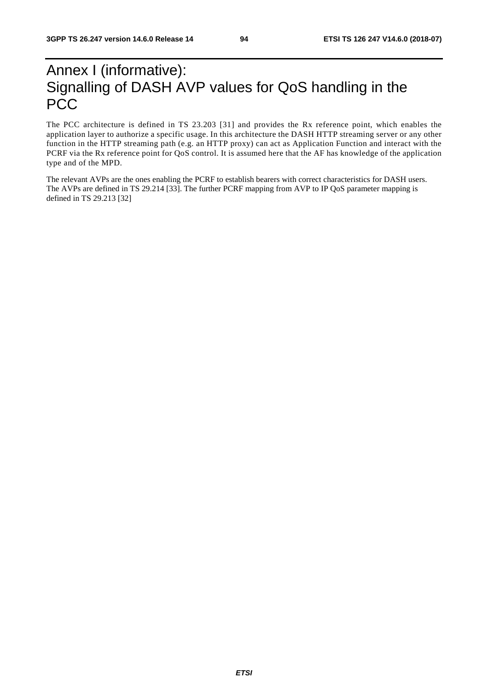# Annex I (informative): Signalling of DASH AVP values for QoS handling in the **PCC**

The PCC architecture is defined in TS 23.203 [31] and provides the Rx reference point, which enables the application layer to authorize a specific usage. In this architecture the DASH HTTP streaming server or any other function in the HTTP streaming path (e.g. an HTTP proxy) can act as Application Function and interact with the PCRF via the Rx reference point for QoS control. It is assumed here that the AF has knowledge of the application type and of the MPD.

The relevant AVPs are the ones enabling the PCRF to establish bearers with correct characteristics for DASH users. The AVPs are defined in TS 29.214 [33]. The further PCRF mapping from AVP to IP QoS parameter mapping is defined in TS 29.213 [32]

*ETSI*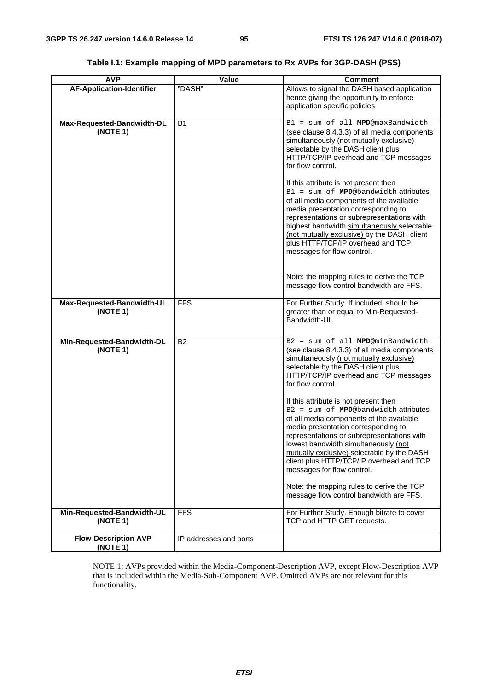| <b>AVP</b>                              | Value                  | <b>Comment</b>                                                                                                                                                                                                                                                                                                                                                                                                                                                                                                                                                                                                                                                                                               |
|-----------------------------------------|------------------------|--------------------------------------------------------------------------------------------------------------------------------------------------------------------------------------------------------------------------------------------------------------------------------------------------------------------------------------------------------------------------------------------------------------------------------------------------------------------------------------------------------------------------------------------------------------------------------------------------------------------------------------------------------------------------------------------------------------|
| <b>AF-Application-Identifier</b>        | "DASH"                 | Allows to signal the DASH based application<br>hence giving the opportunity to enforce<br>application specific policies                                                                                                                                                                                                                                                                                                                                                                                                                                                                                                                                                                                      |
| Max-Requested-Bandwidth-DL<br>(NOTE 1)  | <b>B1</b>              | B1 = sum of all MPD@maxBandwidth<br>(see clause 8.4.3.3) of all media components<br>simultaneously (not mutually exclusive)<br>selectable by the DASH client plus<br>HTTP/TCP/IP overhead and TCP messages<br>for flow control.<br>If this attribute is not present then<br>$B1 = sum of MPD@bandwidth attributes$<br>of all media components of the available<br>media presentation corresponding to<br>representations or subrepresentations with<br>highest bandwidth simultaneously selectable<br>(not mutually exclusive) by the DASH client<br>plus HTTP/TCP/IP overhead and TCP<br>messages for flow control.<br>Note: the mapping rules to derive the TCP<br>message flow control bandwidth are FFS. |
| Max-Requested-Bandwidth-UL<br>(NOTE 1)  | <b>FFS</b>             | For Further Study. If included, should be<br>greater than or equal to Min-Requested-<br>Bandwidth-UL                                                                                                                                                                                                                                                                                                                                                                                                                                                                                                                                                                                                         |
| Min-Requested-Bandwidth-DL<br>(NOTE 1)  | <b>B2</b>              | B2 = sum of all MPD@minBandwidth<br>(see clause 8.4.3.3) of all media components<br>simultaneously (not mutually exclusive)<br>selectable by the DASH client plus<br>HTTP/TCP/IP overhead and TCP messages<br>for flow control.<br>If this attribute is not present then<br>B2 = sum of MPD@bandwidth attributes<br>of all media components of the available<br>media presentation corresponding to<br>representations or subrepresentations with<br>lowest bandwidth simultaneously (not<br>mutually exclusive) selectable by the DASH<br>client plus HTTP/TCP/IP overhead and TCP<br>messages for flow control.<br>Note: the mapping rules to derive the TCP<br>message flow control bandwidth are FFS.    |
| Min-Requested-Bandwidth-UL<br>(NOTE 1)  | <b>FFS</b>             | For Further Study. Enough bitrate to cover<br>TCP and HTTP GET requests.                                                                                                                                                                                                                                                                                                                                                                                                                                                                                                                                                                                                                                     |
| <b>Flow-Description AVP</b><br>(NOTE 1) | IP addresses and ports |                                                                                                                                                                                                                                                                                                                                                                                                                                                                                                                                                                                                                                                                                                              |

### **Table I.1: Example mapping of MPD parameters to Rx AVPs for 3GP-DASH (PSS)**

NOTE 1: AVPs provided within the Media-Component-Description AVP, except Flow-Description AVP that is included within the Media-Sub-Component AVP. Omitted AVPs are not relevant for this functionality.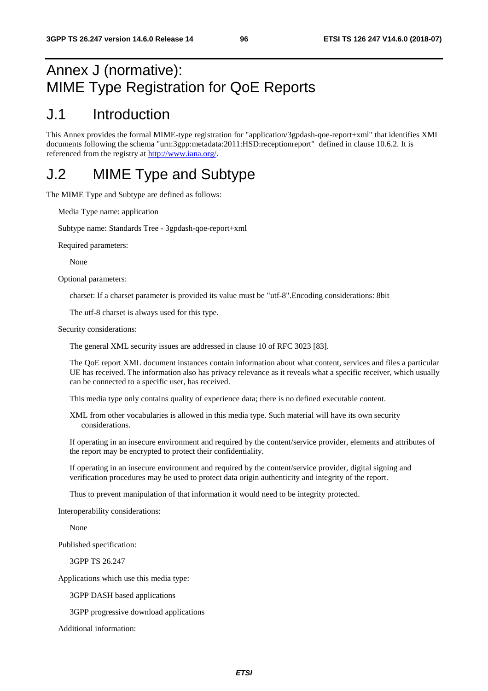# Annex J (normative): MIME Type Registration for QoE Reports

### J.1 Introduction

This Annex provides the formal MIME-type registration for "application/3gpdash-qoe-report+xml" that identifies XML documents following the schema "urn:3gpp:metadata:2011:HSD:receptionreport" defined in clause 10.6.2. It is referenced from the registry at [http://www.iana.org/.](http://www.iana.org/)

### J.2 MIME Type and Subtype

The MIME Type and Subtype are defined as follows:

Media Type name: application

Subtype name: Standards Tree - 3gpdash-qoe-report+xml

Required parameters:

None

Optional parameters:

charset: If a charset parameter is provided its value must be "utf-8".Encoding considerations: 8bit

The utf-8 charset is always used for this type.

Security considerations:

The general XML security issues are addressed in clause 10 of RFC 3023 [83].

The QoE report XML document instances contain information about what content, services and files a particular UE has received. The information also has privacy relevance as it reveals what a specific receiver, which usually can be connected to a specific user, has received.

This media type only contains quality of experience data; there is no defined executable content.

XML from other vocabularies is allowed in this media type. Such material will have its own security considerations.

If operating in an insecure environment and required by the content/service provider, elements and attributes of the report may be encrypted to protect their confidentiality.

If operating in an insecure environment and required by the content/service provider, digital signing and verification procedures may be used to protect data origin authenticity and integrity of the report.

Thus to prevent manipulation of that information it would need to be integrity protected.

Interoperability considerations:

None

Published specification:

3GPP TS 26.247

Applications which use this media type:

3GPP DASH based applications

3GPP progressive download applications

Additional information: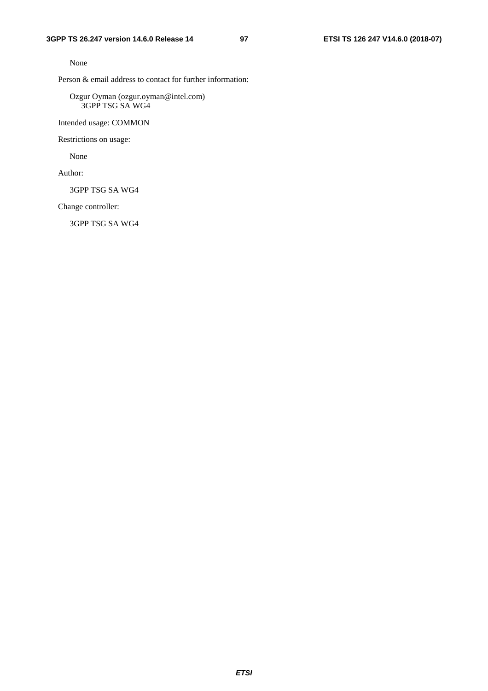None

Person & email address to contact for further information:

Ozgur Oyman (ozgur.oyman@intel.com) 3GPP TSG SA WG4

Intended usage: COMMON

Restrictions on usage:

None

Author:

3GPP TSG SA WG4

Change controller:

3GPP TSG SA WG4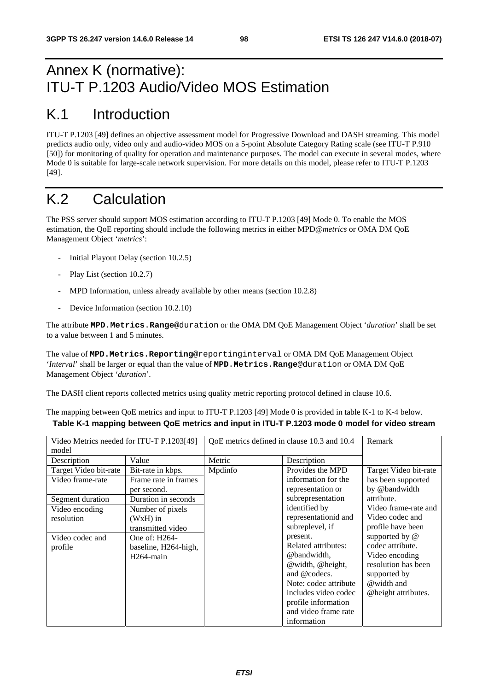# Annex K (normative): ITU-T P.1203 Audio/Video MOS Estimation

# K.1 Introduction

ITU-T P.1203 [49] defines an objective assessment model for Progressive Download and DASH streaming. This model predicts audio only, video only and audio-video MOS on a 5-point Absolute Category Rating scale (see ITU-T P.910 [50]) for monitoring of quality for operation and maintenance purposes. The model can execute in several modes, where Mode 0 is suitable for large-scale network supervision. For more details on this model, please refer to ITU-T P.1203 [49].

# K.2 Calculation

The PSS server should support MOS estimation according to ITU-T P.1203 [49] Mode 0. To enable the MOS estimation, the QoE reporting should include the following metrics in either MPD@*metrics* or OMA DM QoE Management Object '*metrics*':

- Initial Playout Delay (section 10.2.5)
- Play List (section 10.2.7)
- MPD Information, unless already available by other means (section 10.2.8)
- Device Information (section 10.2.10)

The attribute **MPD**.**Metrics**.**Range**@duration or the OMA DM QoE Management Object '*duration*' shall be set to a value between 1 and 5 minutes.

The value of **MPD.Metrics.Reporting**@reportinginterval or OMA DM QoE Management Object '*Interval*' shall be larger or equal than the value of **MPD**.**Metrics**.**Range**@duration or OMA DM QoE Management Object '*duration*'.

The DASH client reports collected metrics using quality metric reporting protocol defined in clause 10.6.

The mapping between QoE metrics and input to ITU-T P.1203 [49] Mode 0 is provided in table K-1 to K-4 below. **Table K-1 mapping between QoE metrics and input in ITU-T P.1203 mode 0 model for video stream** 

| Video Metrics needed for ITU-T P.1203[49]<br>model |                        | QoE metrics defined in clause 10.3 and 10.4 |                       | Remark                |
|----------------------------------------------------|------------------------|---------------------------------------------|-----------------------|-----------------------|
| Description                                        | Value                  | Metric                                      | Description           |                       |
| Target Video bit-rate                              | Bit-rate in kbps.      | Mpdinfo                                     | Provides the MPD      | Target Video bit-rate |
| Video frame-rate                                   | Frame rate in frames   |                                             | information for the   | has been supported    |
|                                                    | per second.            |                                             | representation or     | by @bandwidth         |
| Segment duration                                   | Duration in seconds    |                                             | subrepresentation     | attribute.            |
| Video encoding                                     | Number of pixels       |                                             | identified by         | Video frame-rate and  |
| resolution                                         | $(WxH)$ in             |                                             | representationid and  | Video codec and       |
|                                                    | transmitted video      |                                             | subreplevel, if       | profile have been     |
| Video codec and                                    | One of: H264-          |                                             | present.              | supported by @        |
| profile                                            | baseline, H264-high,   |                                             | Related attributes:   | codec attribute.      |
|                                                    | H <sub>264</sub> -main |                                             | @bandwidth,           | Video encoding        |
|                                                    |                        |                                             | @width, @height,      | resolution has been   |
|                                                    |                        |                                             | and @codecs.          | supported by          |
|                                                    |                        |                                             | Note: codec attribute | @width and            |
|                                                    |                        |                                             | includes video codec  | @height attributes.   |
|                                                    |                        |                                             | profile information   |                       |
|                                                    |                        |                                             | and video frame rate  |                       |
|                                                    |                        |                                             | information           |                       |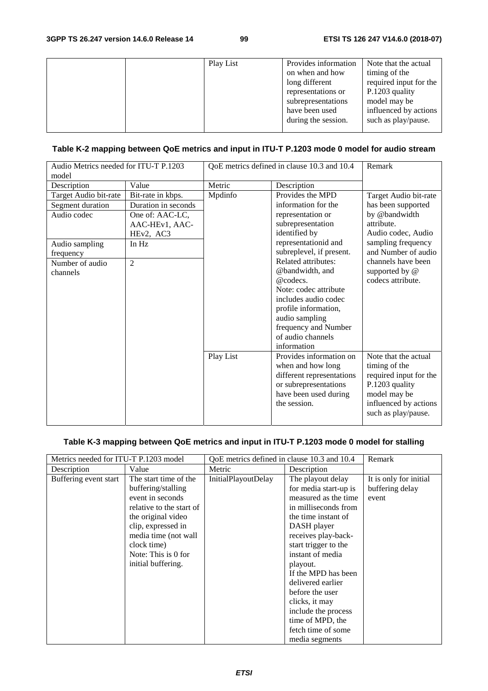|  | Play List | Provides information<br>on when and how<br>long different<br>representations or<br>subrepresentations<br>have been used<br>during the session. | Note that the actual<br>timing of the<br>required input for the<br>P.1203 quality<br>model may be<br>influenced by actions<br>such as play/pause. |
|--|-----------|------------------------------------------------------------------------------------------------------------------------------------------------|---------------------------------------------------------------------------------------------------------------------------------------------------|
|--|-----------|------------------------------------------------------------------------------------------------------------------------------------------------|---------------------------------------------------------------------------------------------------------------------------------------------------|

### **Table K-2 mapping between QoE metrics and input in ITU-T P.1203 mode 0 model for audio stream**

| Audio Metrics needed for ITU-T P.1203<br>model |                     | QoE metrics defined in clause 10.3 and 10.4 |                                                  | Remark                                    |
|------------------------------------------------|---------------------|---------------------------------------------|--------------------------------------------------|-------------------------------------------|
| Description                                    | Value               | Metric                                      | Description                                      |                                           |
| Target Audio bit-rate                          | Bit-rate in kbps.   | Mpdinfo                                     | Provides the MPD                                 | Target Audio bit-rate                     |
| Segment duration                               | Duration in seconds |                                             | information for the                              | has been supported                        |
| Audio codec                                    | One of: AAC-LC,     |                                             | representation or                                | by @bandwidth                             |
|                                                | AAC-HEv1, AAC-      |                                             | subrepresentation                                | attribute.                                |
|                                                | HEv2, AC3           |                                             | identified by                                    | Audio codec, Audio                        |
| Audio sampling                                 | In Hz               |                                             | representationid and<br>subreplevel, if present. | sampling frequency<br>and Number of audio |
| frequency<br>Number of audio                   | $\overline{2}$      |                                             | Related attributes:                              | channels have been                        |
| channels                                       |                     |                                             | @bandwidth, and                                  | supported by @                            |
|                                                |                     |                                             | @codecs.                                         | codecs attribute.                         |
|                                                |                     |                                             | Note: codec attribute                            |                                           |
|                                                |                     |                                             | includes audio codec                             |                                           |
|                                                |                     |                                             | profile information,                             |                                           |
|                                                |                     |                                             | audio sampling                                   |                                           |
|                                                |                     |                                             | frequency and Number                             |                                           |
|                                                |                     |                                             | of audio channels                                |                                           |
|                                                |                     |                                             | information                                      |                                           |
|                                                |                     | Play List                                   | Provides information on                          | Note that the actual                      |
|                                                |                     |                                             | when and how long                                | timing of the                             |
|                                                |                     |                                             | different representations                        | required input for the                    |
|                                                |                     |                                             | or subrepresentations                            | P.1203 quality                            |
|                                                |                     |                                             | have been used during                            | model may be                              |
|                                                |                     |                                             | the session.                                     | influenced by actions                     |
|                                                |                     |                                             |                                                  | such as play/pause.                       |

#### **Table K-3 mapping between QoE metrics and input in ITU-T P.1203 mode 0 model for stalling**

| Metrics needed for ITU-T P.1203 model |                          | QoE metrics defined in clause 10.3 and 10.4 |                       | Remark                 |
|---------------------------------------|--------------------------|---------------------------------------------|-----------------------|------------------------|
| Description                           | Value                    | Metric                                      | Description           |                        |
| Buffering event start                 | The start time of the    | InitialPlayoutDelay                         | The playout delay     | It is only for initial |
|                                       | buffering/stalling       |                                             | for media start-up is | buffering delay        |
|                                       | event in seconds         |                                             | measured as the time  | event                  |
|                                       | relative to the start of |                                             | in milliseconds from  |                        |
|                                       | the original video       |                                             | the time instant of   |                        |
|                                       | clip, expressed in       |                                             | DASH player           |                        |
|                                       | media time (not wall     |                                             | receives play-back-   |                        |
|                                       | clock time)              |                                             | start trigger to the  |                        |
|                                       | Note: This is 0 for      |                                             | instant of media      |                        |
|                                       | initial buffering.       |                                             | playout.              |                        |
|                                       |                          |                                             | If the MPD has been   |                        |
|                                       |                          |                                             | delivered earlier     |                        |
|                                       |                          |                                             | before the user       |                        |
|                                       |                          |                                             | clicks, it may        |                        |
|                                       |                          |                                             | include the process   |                        |
|                                       |                          |                                             | time of MPD, the      |                        |
|                                       |                          |                                             | fetch time of some    |                        |
|                                       |                          |                                             | media segments        |                        |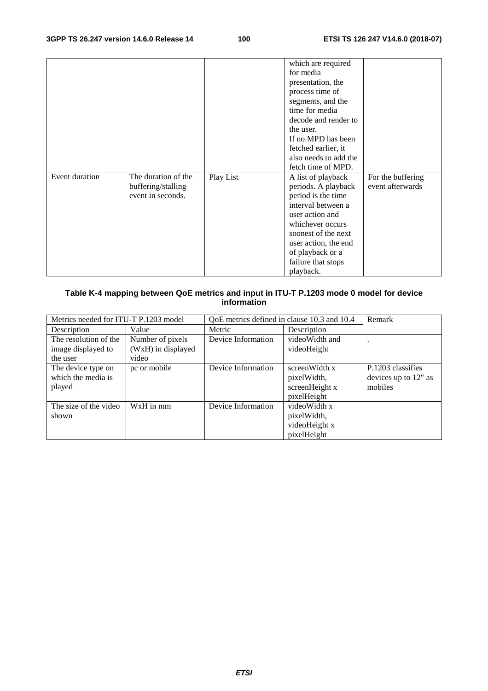|                |                     |           | which are required                                                          |                   |
|----------------|---------------------|-----------|-----------------------------------------------------------------------------|-------------------|
|                |                     |           | for media                                                                   |                   |
|                |                     |           |                                                                             |                   |
|                |                     |           | presentation, the                                                           |                   |
|                |                     |           | process time of                                                             |                   |
|                |                     |           | segments, and the                                                           |                   |
|                |                     |           | time for media                                                              |                   |
|                |                     |           | decode and render to                                                        |                   |
|                |                     |           | the user.                                                                   |                   |
|                |                     |           | If no MPD has been                                                          |                   |
|                |                     |           | fetched earlier, it                                                         |                   |
|                |                     |           | also needs to add the                                                       |                   |
|                |                     |           | fetch time of MPD.                                                          |                   |
| Event duration | The duration of the | Play List | A list of playback                                                          | For the buffering |
|                | buffering/stalling  |           | periods. A playback                                                         | event afterwards  |
|                | event in seconds.   |           | period is the time                                                          |                   |
|                |                     |           | interval between a                                                          |                   |
|                |                     |           | user action and                                                             |                   |
|                |                     |           | whichever occurs                                                            |                   |
|                |                     |           | soonest of the next                                                         |                   |
|                |                     |           |                                                                             |                   |
|                |                     |           |                                                                             |                   |
|                |                     |           |                                                                             |                   |
|                |                     |           |                                                                             |                   |
|                |                     |           | user action, the end<br>of playback or a<br>failure that stops<br>playback. |                   |

#### **Table K-4 mapping between QoE metrics and input in ITU-T P.1203 mode 0 model for device information**

| Metrics needed for ITU-T P.1203 model |                    | QoE metrics defined in clause 10.3 and 10.4 |                | Remark               |
|---------------------------------------|--------------------|---------------------------------------------|----------------|----------------------|
| Description                           | Value              | Metric                                      | Description    |                      |
| The resolution of the                 | Number of pixels   | Device Information                          | videoWidth and |                      |
| image displayed to                    | (WxH) in displayed |                                             | videoHeight    |                      |
| the user                              | video              |                                             |                |                      |
| The device type on                    | pc or mobile       | Device Information                          | screenWidth x  | P.1203 classifies    |
| which the media is                    |                    |                                             | pixelWidth,    | devices up to 12" as |
| played                                |                    |                                             | screenHeight x | mobiles              |
|                                       |                    |                                             | pixelHeight    |                      |
| The size of the video                 | WxH in mm          | Device Information                          | videoWidth x   |                      |
| shown                                 |                    |                                             | pixelWidth,    |                      |
|                                       |                    |                                             | videoHeight x  |                      |
|                                       |                    |                                             | pixelHeight    |                      |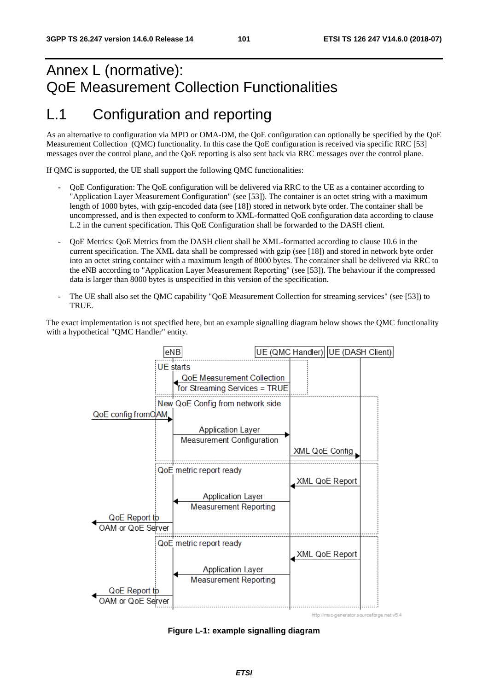# Annex L (normative): QoE Measurement Collection Functionalities

### L.1 Configuration and reporting

As an alternative to configuration via MPD or OMA-DM, the QoE configuration can optionally be specified by the QoE Measurement Collection (QMC) functionality. In this case the QoE configuration is received via specific RRC [53] messages over the control plane, and the QoE reporting is also sent back via RRC messages over the control plane.

If QMC is supported, the UE shall support the following QMC functionalities:

- QoE Configuration: The QoE configuration will be delivered via RRC to the UE as a container according to "Application Layer Measurement Configuration" (see [53]). The container is an octet string with a maximum length of 1000 bytes, with gzip-encoded data (see [18]) stored in network byte order. The container shall be uncompressed, and is then expected to conform to XML-formatted QoE configuration data according to clause L.2 in the current specification. This QoE Configuration shall be forwarded to the DASH client.
- QoE Metrics: QoE Metrics from the DASH client shall be XML-formatted according to clause 10.6 in the current specification. The XML data shall be compressed with gzip (see [18]) and stored in network byte order into an octet string container with a maximum length of 8000 bytes. The container shall be delivered via RRC to the eNB according to "Application Layer Measurement Reporting" (see [53]). The behaviour if the compressed data is larger than 8000 bytes is unspecified in this version of the specification.
- The UE shall also set the QMC capability "QoE Measurement Collection for streaming services" (see [53]) to TRUE.

The exact implementation is not specified here, but an example signalling diagram below shows the QMC functionality with a hypothetical "QMC Handler" entity.



**Figure L-1: example signalling diagram**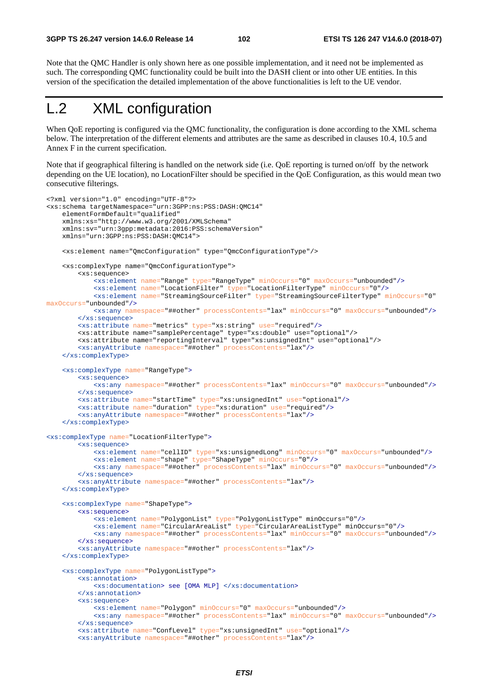Note that the QMC Handler is only shown here as one possible implementation, and it need not be implemented as such. The corresponding QMC functionality could be built into the DASH client or into other UE entities. In this version of the specification the detailed implementation of the above functionalities is left to the UE vendor.

# L.2 XML configuration

When QoE reporting is configured via the QMC functionality, the configuration is done according to the XML schema below. The interpretation of the different elements and attributes are the same as described in clauses 10.4, 10.5 and Annex F in the current specification.

Note that if geographical filtering is handled on the network side (i.e. QoE reporting is turned on/off by the network depending on the UE location), no LocationFilter should be specified in the QoE Configuration, as this would mean two consecutive filterings.

```
<?xml version="1.0" encoding="UTF-8"?> 
<xs:schema targetNamespace="urn:3GPP:ns:PSS:DASH:QMC14" 
     elementFormDefault="qualified" 
     xmlns:xs="http://www.w3.org/2001/XMLSchema" 
     xmlns:sv="urn:3gpp:metadata:2016:PSS:schemaVersion" 
     xmlns="urn:3GPP:ns:PSS:DASH:QMC14"> 
     <xs:element name="QmcConfiguration" type="QmcConfigurationType"/> 
     <xs:complexType name="QmcConfigurationType"> 
         <xs:sequence> 
             <xs:element name="Range" type="RangeType" minOccurs="0" maxOccurs="unbounded"/> 
             <xs:element name="LocationFilter" type="LocationFilterType" minOccurs="0"/> 
             <xs:element name="StreamingSourceFilter" type="StreamingSourceFilterType" minOccurs="0" 
maxOccurs="unbounded"/>
             <xs:any namespace="##other" processContents="lax" minOccurs="0" maxOccurs="unbounded"/>
         </xs:sequence>
         <xs:attribute name="metrics" type="xs:string" use="required"/> 
         <xs:attribute name="samplePercentage" type="xs:double" use="optional"/> 
         <xs:attribute name="reportingInterval" type="xs:unsignedInt" use="optional"/> 
         <xs:anyAttribute namespace="##other" processContents="lax"/>
     </xs:complexType>
     <xs:complexType name="RangeType">
         <xs:sequence>
             <xs:any namespace="##other" processContents="lax" minOccurs="0" maxOccurs="unbounded"/>
         </xs:sequence>
         <xs:attribute name="startTime" type="xs:unsignedInt" use="optional"/>
         <xs:attribute name="duration" type="xs:duration" use="required"/>
         <xs:anyAttribute namespace="##other" processContents="lax"/>
     </xs:complexType> 
<xs:complexType name="LocationFilterType">
         <xs:sequence>
             <xs:element name="cellID" type="xs:unsignedLong" minOccurs="0" maxOccurs="unbounded"/> 
             <xs:element name="shape" type="ShapeType" minOccurs="0"/> 
             <xs:any namespace="##other" processContents="lax" minOccurs="0" maxOccurs="unbounded"/>
         </xs:sequence> 
         <xs:anyAttribute namespace="##other" processContents="lax"/> 
     </xs:complexType> 
     <xs:complexType name="ShapeType"> 
         <xs:sequence>
             <xs:element name="PolygonList" type="PolygonListType" minOccurs="0"/> 
             <xs:element name="CircularAreaList" type="CircularAreaListType" minOccurs="0"/> 
             <xs:any namespace="##other" processContents="lax" minOccurs="0" maxOccurs="unbounded"/>
         </xs:sequence> 
         <xs:anyAttribute namespace="##other" processContents="lax"/> 
     </xs:complexType> 
     <xs:complexType name="PolygonListType">
         <xs:annotation> 
             <xs:documentation> see [OMA MLP] </xs:documentation> 
         </xs:annotation> 
         <xs:sequence> 
             <xs:element name="Polygon" minOccurs="0" maxOccurs="unbounded"/> 
             <xs:any namespace="##other" processContents="lax" minOccurs="0" maxOccurs="unbounded"/> 
         </xs:sequence>
         <xs:attribute name="ConfLevel" type="xs:unsignedInt" use="optional"/> 
         <xs:anyAttribute namespace="##other" processContents="lax"/>
```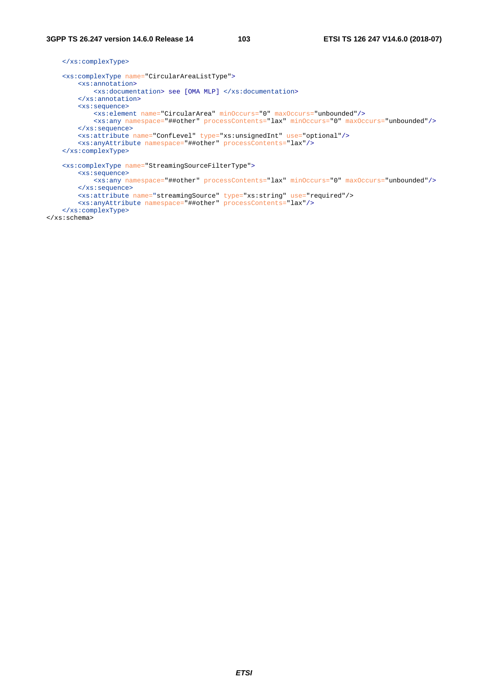#### **3GPP TS 26.247 version 14.6.0 Release 14 103 ETSI TS 126 247 V14.6.0 (2018-07)**

 </xs:complexType> <xs:complexType name="CircularAreaListType"> <xs:annotation> <xs:documentation> see [OMA MLP] </xs:documentation> </xs:annotation> <xs:sequence> <xs:element name="CircularArea" minOccurs="0" maxOccurs="unbounded"/> <xs:any namespace="##other" processContents="lax" minOccurs="0" maxOccurs="unbounded"/> </xs:sequence> <xs:attribute name="ConfLevel" type="xs:unsignedInt" use="optional"/> <xs:anyAttribute namespace="##other" processContents="lax"/> </xs:complexType> <xs:complexType name="StreamingSourceFilterType"> <xs:sequence> <xs:any namespace="##other" processContents="lax" minOccurs="0" maxOccurs="unbounded"/> </xs:sequence> <xs:attribute name="streamingSource" type="xs:string" use="required"/> <xs:anyAttribute namespace="##other" processContents="lax"/> </xs:complexType>

</xs:schema>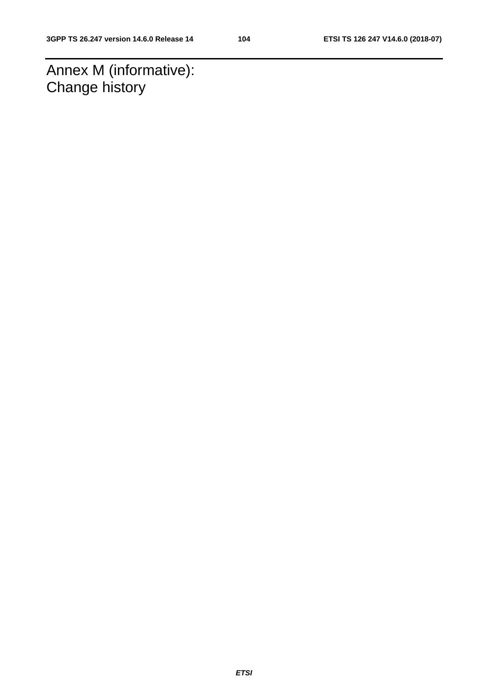Annex M (informative): Change history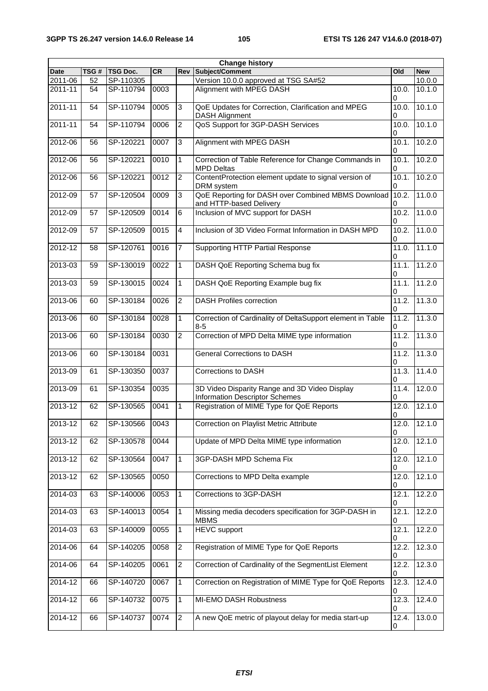| <b>Change history</b> |      |                 |           |                |                                                                                 |                          |                     |
|-----------------------|------|-----------------|-----------|----------------|---------------------------------------------------------------------------------|--------------------------|---------------------|
| <b>Date</b>           | TSG# | <b>TSG Doc.</b> | <b>CR</b> | Rev            | <b>Subject/Comment</b>                                                          | Old                      | <b>New</b>          |
| 2011-06               | 52   | SP-110305       |           |                | Version 10.0.0 approved at TSG SA#52                                            |                          | 10.0.0              |
| 2011-11               | 54   | SP-110794       | 0003      |                | Alignment with MPEG DASH<br>10.0.<br>0                                          |                          | 10.1.0              |
| $2011 - 11$           | 54   | SP-110794       | 0005      | 3              | QoE Updates for Correction, Clarification and MPEG<br><b>DASH Alignment</b>     | 10.0.<br>0               | 10.1.0              |
| 2011-11               | 54   | SP-110794       | 0006      | $\overline{c}$ | QoS Support for 3GP-DASH Services                                               | 10.0.<br>0               | 10.1.0              |
| 2012-06               | 56   | SP-120221       | 0007      | 3              | Alignment with MPEG DASH                                                        | 10.1.<br>0               | 10.2.0              |
| 2012-06               | 56   | SP-120221       | 0010      | 1              | Correction of Table Reference for Change Commands in<br><b>MPD Deltas</b>       | 10.1.<br>0               | 10.2.0              |
| 2012-06               | 56   | SP-120221       | 0012      | 2              | ContentProtection element update to signal version of<br>DRM system             | 10.1.<br>0               | 10.2.0              |
| 2012-09               | 57   | SP-120504       | 0009      | 3              | QoE Reporting for DASH over Combined MBMS Download<br>and HTTP-based Delivery   | 10.2.<br>0               | 11.0.0              |
| 2012-09               | 57   | SP-120509       | 0014      | 6              | Inclusion of MVC support for DASH                                               | 10.2.<br>0               | 11.0.0              |
| 2012-09               | 57   | SP-120509       | 0015      | 4              | Inclusion of 3D Video Format Information in DASH MPD                            | 10.2.<br>0               | 11.0.0              |
| 2012-12               | 58   | SP-120761       | 0016      | 7              | <b>Supporting HTTP Partial Response</b>                                         | 11.0.<br>0               | 11.1.0              |
| 2013-03               | 59   | SP-130019       | 0022      | 1              | DASH QoE Reporting Schema bug fix                                               | 11.1.<br>0               | 11.2.0              |
| 2013-03               | 59   | SP-130015       | 0024      | 1              | DASH QoE Reporting Example bug fix                                              | $\overline{1}1.1.$<br>0  | 11.2.0              |
| 2013-06               | 60   | SP-130184       | 0026      | $\overline{c}$ | <b>DASH Profiles correction</b>                                                 | 11.2.<br>0               | 11.3.0              |
| 2013-06               | 60   | SP-130184       | 0028      | 1              | Correction of Cardinality of DeltaSupport element in Table<br>$8 - 5$           | 11.2.<br>0               | 11.3.0              |
| 2013-06               | 60   | SP-130184       | 0030      | $\overline{c}$ | Correction of MPD Delta MIME type information                                   | 11.2.<br>0               | 11.3.0              |
| 2013-06               | 60   | SP-130184       | 0031      |                | <b>General Corrections to DASH</b>                                              | $\overline{1}$ 1.2.<br>0 | 11.3.0              |
| 2013-09               | 61   | SP-130350       | 0037      |                | Corrections to DASH                                                             | 11.3.<br>0               | 11.4.0              |
| 2013-09               | 61   | SP-130354       | 0035      |                | 3D Video Disparity Range and 3D Video Display<br>Information Descriptor Schemes | 11.4.<br>0               | $\overline{12.0.0}$ |
| 2013-12               | 62   | SP-130565       | 0041      | 1              | Registration of MIME Type for QoE Reports                                       | 12.0.<br>0               | 12.1.0              |
| 2013-12               | 62   | SP-130566       | 0043      |                | Correction on Playlist Metric Attribute<br>12.0.<br>$\mathbf 0$                 |                          | 12.1.0              |
| $2013 - 12$           | 62   | SP-130578       | 0044      |                | Update of MPD Delta MIME type information                                       | 12.0.<br>0               | 12.1.0              |
| 2013-12               | 62   | SP-130564       | 0047      | $\mathbf{1}$   | 3GP-DASH MPD Schema Fix                                                         | 12.0.<br>0               | 12.1.0              |
| 2013-12               | 62   | SP-130565       | 0050      |                | Corrections to MPD Delta example                                                | $\overline{12.0}$ .<br>0 | 12.1.0              |
| 2014-03               | 63   | SP-140006       | 0053      | 1              | Corrections to 3GP-DASH                                                         | 12.1.<br>0               | 12.2.0              |
| 2014-03               | 63   | SP-140013       | 0054      | 1              | Missing media decoders specification for 3GP-DASH in<br><b>MBMS</b>             | 12.1.<br>0               | 12.2.0              |
| 2014-03               | 63   | SP-140009       | 0055      | 1              | <b>HEVC</b> support                                                             | 12.1.<br>0               | 12.2.0              |
| 2014-06               | 64   | SP-140205       | 0058      | $\overline{c}$ | Registration of MIME Type for QoE Reports                                       | 12.2.<br>0               | 12.3.0              |
| 2014-06               | 64   | SP-140205       | 0061      | $\overline{2}$ | 12.2.<br>Correction of Cardinality of the SegmentList Element<br>0              |                          | 12.3.0              |
| 2014-12               | 66   | SP-140720       | 0067      | $\mathbf{1}$   | Correction on Registration of MIME Type for QoE Reports<br>12.3.                |                          | 12.4.0              |
| 2014-12               | 66   | SP-140732       | 0075      | 1              | MI-EMO DASH Robustness                                                          | 0<br>12.3.<br>0          | 12.4.0              |
| 2014-12               | 66   | SP-140737       | 0074      | $\overline{2}$ | A new QoE metric of playout delay for media start-up<br>12.4.<br>0              |                          | 13.0.0              |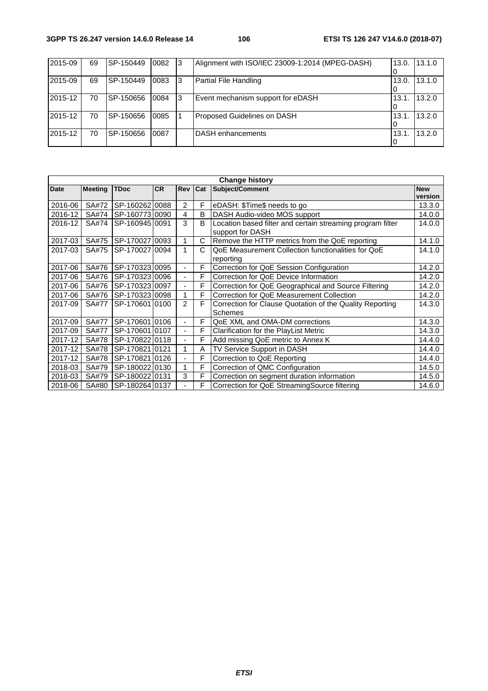#### **3GPP TS 26.247 version 14.6.0 Release 14 106 ETSI TS 126 247 V14.6.0 (2018-07)**

| 2015-09 | 69 | SP-150449 | 0082 | 13   | Alignment with ISO/IEC 23009-1:2014 (MPEG-DASH) | 13.0. | 13.1.0 |
|---------|----|-----------|------|------|-------------------------------------------------|-------|--------|
|         |    |           |      |      |                                                 |       |        |
| 2015-09 | 69 | SP-150449 | 0083 | -3   | Partial File Handling                           | 13.0. | 13.1.0 |
|         |    |           |      |      |                                                 |       |        |
| 2015-12 | 70 | SP-150656 | 0084 | - 13 | Event mechanism support for eDASH               | 13.1  | 13.2.0 |
|         |    |           |      |      |                                                 |       |        |
| 2015-12 | 70 | SP-150656 | 0085 |      | Proposed Guidelines on DASH                     | 13.1  | 13.2.0 |
|         |    |           |      |      |                                                 |       |        |
| 2015-12 | 70 | SP-150656 | 0087 |      | DASH enhancements                               | 13.1  | 13.2.0 |
|         |    |           |      |      |                                                 |       |        |

| <b>Change history</b> |                |                |           |                |     |                                                                                |                       |
|-----------------------|----------------|----------------|-----------|----------------|-----|--------------------------------------------------------------------------------|-----------------------|
| Date                  | <b>Meeting</b> | <b>TDoc</b>    | <b>CR</b> | Rev            | Cat | Subject/Comment                                                                | <b>New</b><br>version |
| 2016-06               | SA#72          | SP-160262 0088 |           | $\overline{2}$ | F   | eDASH: \$Time\$ needs to go                                                    | 13.3.0                |
| 2016-12               | SA#74          | SP-160773 0090 |           | 4              | B   | DASH Audio-video MOS support                                                   | 14.0.0                |
| 2016-12               | SA#74          | SP-16094510091 |           | 3              | B   | Location based filter and certain streaming program filter<br>support for DASH | 14.0.0                |
| 2017-03               | SA#75          | SP-17002710093 |           | 1              | C   | Remove the HTTP metrics from the QoE reporting                                 | 14.1.0                |
| 2017-03               | SA#75          | SP-17002710094 |           | 1              | C   | QoE Measurement Collection functionalities for QoE<br>reporting                | 14.1.0                |
| 2017-06               | SA#76          | SP-170323 0095 |           | ٠              | F   | Correction for QoE Session Configuration                                       | 14.2.0                |
| 2017-06               | SA#76          | SP-17032310096 |           | $\blacksquare$ | F   | Correction for QoE Device Information                                          | 14.2.0                |
| 2017-06               | SA#76          | SP-17032310097 |           | $\blacksquare$ | F   | Correction for QoE Geographical and Source Filtering                           | 14.2.0                |
| 2017-06               | SA#76          | SP-17032310098 |           | 1              | F   | Correction for QoE Measurement Collection                                      | 14.2.0                |
| 2017-09               | SA#77          | SP-170601 0100 |           | $\mathcal{P}$  | F   | Correction for Clause Quotation of the Quality Reporting<br>Schemes            | 14.3.0                |
| 2017-09               | <b>SA#77</b>   | SP-170601 0106 |           | ٠              | F   | QoE XML and OMA-DM corrections                                                 | 14.3.0                |
| 2017-09               | <b>SA#77</b>   | SP-170601 0107 |           | ÷              | F   | Clarification for the PlayList Metric                                          | 14.3.0                |
| 2017-12               | SA#78          | SP-170822 0118 |           | Ξ.             | F   | Add missing QoE metric to Annex K                                              | 14.4.0                |
| 2017-12               | SA#78          | SP-17082110121 |           | 1              | Α   | TV Service Support in DASH                                                     | 14.4.0                |
| 2017-12               | SA#78          | SP-170821 0126 |           | $\frac{1}{2}$  | F   | Correction to QoE Reporting                                                    | 14.4.0                |
| 2018-03               | SA#79          | SP-18002210130 |           | 1              | F   | Correction of QMC Configuration                                                | 14.5.0                |
| 2018-03               | SA#79          | SP-180022 0131 |           | 3              | F   | Correction on segment duration information                                     | 14.5.0                |
| 2018-06               | SA#80          | SP-180264 0137 |           |                | F   | Correction for QoE StreamingSource filtering                                   | 14.6.0                |